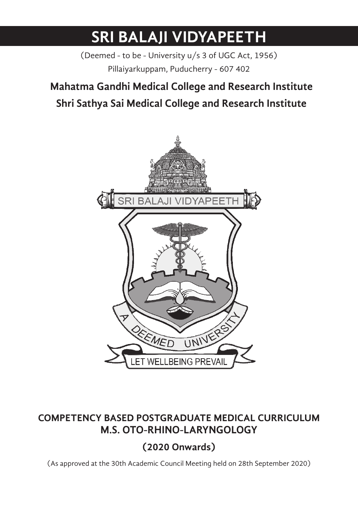# **SRI BALAJI VIDYAPEETH**

(Deemed - to be - University u/s 3 of UGC Act, 1956) Pillaiyarkuppam, Puducherry - 607 402

## Mahatma Gandhi Medical College and Research Institute **Mahatma Gandhi Medical College and Research Institute Shri Sathya Sai Medical College and Research Institute**



## **COMPETENCY BASED POSTGRADUATE MEDICAL CURRICULUM M.D. PSYCHIATRY M.S. OTO-RHINO-LARYNGOLOGY**

## **(2020 Onwards)**

(As approved at the 30th Academic Council Meeting held on 28th September 2020)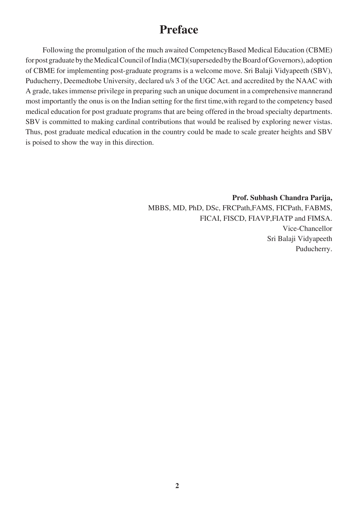## **Preface**

Following the promulgation of the much awaited CompetencyBased Medical Education (CBME) for post graduate by the Medical Council of India (MCI)(superseded by the Board of Governors), adoption of CBME for implementing post-graduate programs is a welcome move. Sri Balaji Vidyapeeth (SBV), Puducherry, Deemedtobe University, declared u/s 3 of the UGC Act. and accredited by the NAAC with A grade, takes immense privilege in preparing such an unique document in a comprehensive mannerand most importantly the onus is on the Indian setting for the first time,with regard to the competency based medical education for post graduate programs that are being offered in the broad specialty departments. SBV is committed to making cardinal contributions that would be realised by exploring newer vistas. Thus, post graduate medical education in the country could be made to scale greater heights and SBV is poised to show the way in this direction.

> **Prof. Subhash Chandra Parija,** MBBS, MD, PhD, DSc, FRCPath,FAMS, FICPath, FABMS, FICAI, FISCD, FIAVP,FIATP and FIMSA. Vice-Chancellor Sri Balaji Vidyapeeth Puducherry.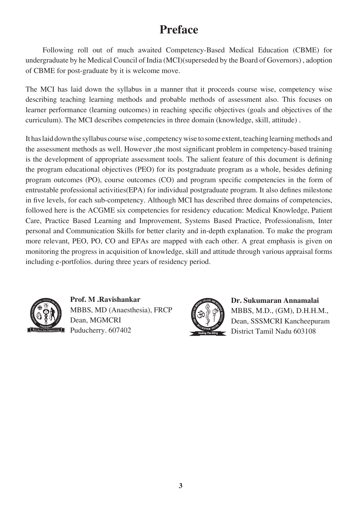## **Preface**

Following roll out of much awaited Competency-Based Medical Education (CBME) for undergraduate by he Medical Council of India (MCI)(superseded by the Board of Governors) , adoption of CBME for post-graduate by it is welcome move.

The MCI has laid down the syllabus in a manner that it proceeds course wise, competency wise describing teaching learning methods and probable methods of assessment also. This focuses on learner performance (learning outcomes) in reaching specific objectives (goals and objectives of the curriculum). The MCI describes competencies in three domain (knowledge, skill, attitude) .

It has laid down the syllabus course wise , competency wise to some extent, teaching learning methods and the assessment methods as well. However ,the most significant problem in competency-based training is the development of appropriate assessment tools. The salient feature of this document is defining the program educational objectives (PEO) for its postgraduate program as a whole, besides defining program outcomes (PO), course outcomes (CO) and program specific competencies in the form of entrustable professional activities(EPA) for individual postgraduate program. It also defines milestone in five levels, for each sub-competency. Although MCI has described three domains of competencies, followed here is the ACGME six competencies for residency education: Medical Knowledge, Patient Care, Practice Based Learning and Improvement, Systems Based Practice, Professionalism, Inter personal and Communication Skills for better clarity and in-depth explanation. To make the program more relevant, PEO, PO, CO and EPAs are mapped with each other. A great emphasis is given on monitoring the progress in acquisition of knowledge, skill and attitude through various appraisal forms including e-portfolios. during three years of residency period.



**Prof. M .Ravishankar** MBBS, MD (Anaesthesia), FRCP Dean, MGMCRI Puducherry. 607402



**Dr. Sukumaran Annamalai** MBBS, M.D., (GM), D.H.H.M., Dean, SSSMCRI Kancheepuram District Tamil Nadu 603108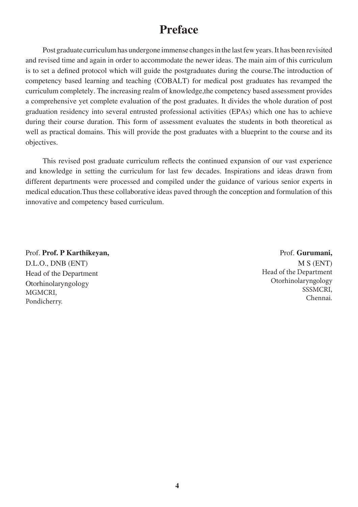## **Preface**

Post graduate curriculum has undergone immense changes in the last few years. It has been revisited and revised time and again in order to accommodate the newer ideas. The main aim of this curriculum is to set a defined protocol which will guide the postgraduates during the course.The introduction of competency based learning and teaching (COBALT) for medical post graduates has revamped the curriculum completely. The increasing realm of knowledge,the competency based assessment provides a comprehensive yet complete evaluation of the post graduates. It divides the whole duration of post graduation residency into several entrusted professional activities (EPAs) which one has to achieve during their course duration. This form of assessment evaluates the students in both theoretical as well as practical domains. This will provide the post graduates with a blueprint to the course and its objectives.

This revised post graduate curriculum reflects the continued expansion of our vast experience and knowledge in setting the curriculum for last few decades. Inspirations and ideas drawn from different departments were processed and compiled under the guidance of various senior experts in medical education.Thus these collaborative ideas paved through the conception and formulation of this innovative and competency based curriculum.

## Prof. **Prof. P Karthikeyan,** D.L.O., DNB (ENT) Head of the Department Otorhinolaryngology MGMCRI, Pondicherry.

#### Prof. **Gurumani,**

M S (ENT) Head of the Department Otorhinolaryngology SSSMCRI, Chennai.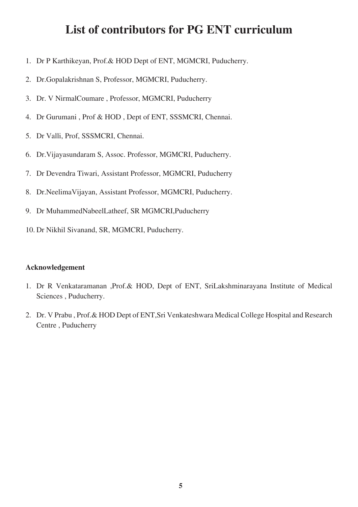## **List of contributors for PG ENT curriculum**

- 1. Dr P Karthikeyan, Prof.& HOD Dept of ENT, MGMCRI, Puducherry.
- 2. Dr.Gopalakrishnan S, Professor, MGMCRI, Puducherry.
- 3. Dr. V NirmalCoumare , Professor, MGMCRI, Puducherry
- 4. Dr Gurumani , Prof & HOD , Dept of ENT, SSSMCRI, Chennai.
- 5. Dr Valli, Prof, SSSMCRI, Chennai.
- 6. Dr.Vijayasundaram S, Assoc. Professor, MGMCRI, Puducherry.
- 7. Dr Devendra Tiwari, Assistant Professor, MGMCRI, Puducherry
- 8. Dr.NeelimaVijayan, Assistant Professor, MGMCRI, Puducherry.
- 9. Dr MuhammedNabeelLatheef, SR MGMCRI,Puducherry
- 10. Dr Nikhil Sivanand, SR, MGMCRI, Puducherry.

#### **Acknowledgement**

- 1. Dr R Venkataramanan ,Prof.& HOD, Dept of ENT, SriLakshminarayana Institute of Medical Sciences , Puducherry.
- 2. Dr. V Prabu , Prof.& HOD Dept of ENT,Sri Venkateshwara Medical College Hospital and Research Centre , Puducherry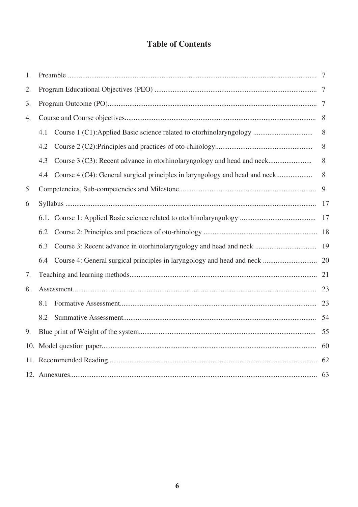## **Table of Contents**

| 1.  |     |                                                                             |   |
|-----|-----|-----------------------------------------------------------------------------|---|
| 2.  |     |                                                                             |   |
| 3.  |     |                                                                             |   |
| 4.  |     |                                                                             |   |
|     | 4.1 | Course 1 (C1):Applied Basic science related to otorhinolaryngology          | 8 |
|     | 4.2 |                                                                             | 8 |
|     | 4.3 | Course 3 (C3): Recent advance in otorhinolaryngology and head and neck      | 8 |
|     | 4.4 | Course 4 (C4): General surgical principles in laryngology and head and neck | 8 |
| 5   |     |                                                                             | 9 |
| 6   |     |                                                                             |   |
|     |     |                                                                             |   |
|     | 6.2 |                                                                             |   |
|     | 6.3 |                                                                             |   |
|     | 6.4 |                                                                             |   |
| 7.  |     |                                                                             |   |
| 8.  |     |                                                                             |   |
|     | 8.1 |                                                                             |   |
|     | 8.2 |                                                                             |   |
| 9.  |     |                                                                             |   |
| 10. |     |                                                                             |   |
|     |     |                                                                             |   |
|     |     |                                                                             |   |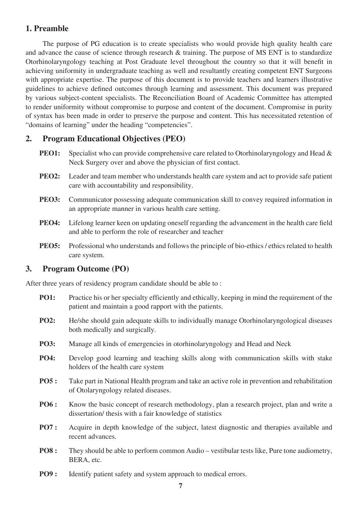## **1. Preamble**

The purpose of PG education is to create specialists who would provide high quality health care and advance the cause of science through research & training. The purpose of MS ENT is to standardize Otorhinolaryngology teaching at Post Graduate level throughout the country so that it will benefit in achieving uniformity in undergraduate teaching as well and resultantly creating competent ENT Surgeons with appropriate expertise. The purpose of this document is to provide teachers and learners illustrative guidelines to achieve defined outcomes through learning and assessment. This document was prepared by various subject-content specialists. The Reconciliation Board of Academic Committee has attempted to render uniformity without compromise to purpose and content of the document. Compromise in purity of syntax has been made in order to preserve the purpose and content. This has necessitated retention of "domains of learning" under the heading "competencies".

## **2. Program Educational Objectives (PEO)**

- **PEO1:** Specialist who can provide comprehensive care related to Otorhinolaryngology and Head & Neck Surgery over and above the physician of first contact.
- **PEO2:** Leader and team member who understands health care system and act to provide safe patient care with accountability and responsibility.
- **PEO3:** Communicator possessing adequate communication skill to convey required information in an appropriate manner in various health care setting.
- **PEO4:** Lifelong learner keen on updating oneself regarding the advancement in the health care field and able to perform the role of researcher and teacher
- **PEO5:** Professional who understands and follows the principle of bio-ethics / ethics related to health care system.

#### **3. Program Outcome (PO)**

After three years of residency program candidate should be able to :

- **PO1:** Practice his or her specialty efficiently and ethically, keeping in mind the requirement of the patient and maintain a good rapport with the patients.
- **PO2:** He/she should gain adequate skills to individually manage Otorhinolaryngological diseases both medically and surgically.
- **PO3:** Manage all kinds of emergencies in otorhinolaryngology and Head and Neck
- **PO4:** Develop good learning and teaching skills along with communication skills with stake holders of the health care system
- **PO5 :** Take part in National Health program and take an active role in prevention and rehabilitation of Otolaryngology related diseases.
- **PO6 :** Know the basic concept of research methodology, plan a research project, plan and write a dissertation/ thesis with a fair knowledge of statistics
- **PO7 :** Acquire in depth knowledge of the subject, latest diagnostic and therapies available and recent advances.
- **PO8 :** They should be able to perform common Audio vestibular tests like, Pure tone audiometry, BERA, etc.
- **PO9 :** Identify patient safety and system approach to medical errors.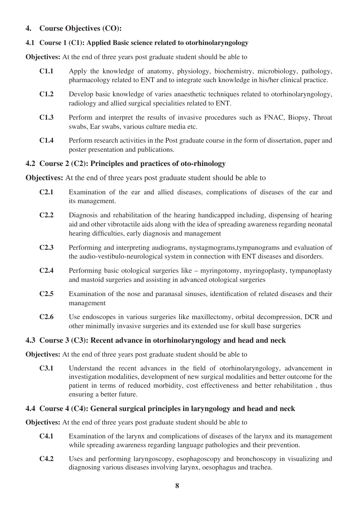### **4. Course Objectives (CO):**

#### **4.1 Course 1 (C1): Applied Basic science related to otorhinolaryngology**

**Objectives:** At the end of three years post graduate student should be able to

- **C1.1** Apply the knowledge of anatomy, physiology, biochemistry, microbiology, pathology, pharmacology related to ENT and to integrate such knowledge in his/her clinical practice.
- **C1.2** Develop basic knowledge of varies anaesthetic techniques related to otorhinolaryngology, radiology and allied surgical specialities related to ENT.
- **C1.3** Perform and interpret the results of invasive procedures such as FNAC, Biopsy, Throat swabs, Ear swabs, various culture media etc.
- **C1.4** Perform research activities in the Post graduate course in the form of dissertation, paper and poster presentation and publications.

### **4.2 Course 2 (C2): Principles and practices of oto-rhinology**

**Objectives:** At the end of three years post graduate student should be able to

- **C2.1** Examination of the ear and allied diseases, complications of diseases of the ear and its management.
- **C2.2** Diagnosis and rehabilitation of the hearing handicapped including, dispensing of hearing aid and other vibrotactile aids along with the idea of spreading awareness regarding neonatal hearing difficulties, early diagnosis and management
- **C2.3** Performing and interpreting audiograms, nystagmograms,tympanograms and evaluation of the audio-vestibulo-neurological system in connection with ENT diseases and disorders.
- **C2.4** Performing basic otological surgeries like myringotomy, myringoplasty, tympanoplasty and mastoid surgeries and assisting in advanced otological surgeries
- **C2.5** Examination of the nose and paranasal sinuses, identification of related diseases and their management
- **C2.6** Use endoscopes in various surgeries like maxillectomy, orbital decompression, DCR and other minimally invasive surgeries and its extended use for skull base surgeries

#### **4.3 Course 3 (C3): Recent advance in otorhinolaryngology and head and neck**

**Objectives:** At the end of three years post graduate student should be able to

**C3.1** Understand the recent advances in the field of otorhinolaryngology, advancement in investigation modalities, development of new surgical modalities and better outcome for the patient in terms of reduced morbidity, cost effectiveness and better rehabilitation , thus ensuring a better future.

#### **4.4 Course 4 (C4): General surgical principles in laryngology and head and neck**

**Objectives:** At the end of three years post graduate student should be able to

- **C4.1** Examination of the larynx and complications of diseases of the larynx and its management while spreading awareness regarding language pathologies and their prevention.
- **C4.2** Uses and performing laryngoscopy, esophagoscopy and bronchoscopy in visualizing and diagnosing various diseases involving larynx, oesophagus and trachea.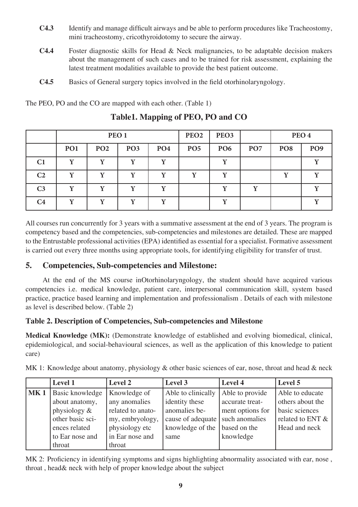- **C4.3** Identify and manage difficult airways and be able to perform procedures like Tracheostomy, mini tracheostomy, cricothyroidotomy to secure the airway.
- **C4.4** Foster diagnostic skills for Head & Neck malignancies, to be adaptable decision makers about the management of such cases and to be trained for risk assessment, explaining the latest treatment modalities available to provide the best patient outcome.
- **C4.5** Basics of General surgery topics involved in the field otorhinolaryngology.

The PEO, PO and the CO are mapped with each other. (Table 1)

|                |                 | PEO <sub>1</sub> |                 |                 |                 | PEO <sub>3</sub> |                 |                 | PEO <sub>4</sub> |
|----------------|-----------------|------------------|-----------------|-----------------|-----------------|------------------|-----------------|-----------------|------------------|
|                | PO <sub>1</sub> | PO <sub>2</sub>  | PO <sub>3</sub> | PO <sub>4</sub> | PO <sub>5</sub> | PO <sub>6</sub>  | PO <sub>7</sub> | PO <sub>8</sub> | PO <sub>9</sub>  |
| C <sub>1</sub> |                 |                  | $\mathbf v$     | ٦T              |                 | $\mathbf{v}$     |                 |                 |                  |
| C <sub>2</sub> |                 |                  | v               |                 |                 |                  |                 |                 |                  |
| C <sub>3</sub> |                 | v                | v               | V               |                 | v                | v               |                 |                  |
| C4             |                 | v                | v               | v               |                 |                  |                 |                 |                  |

**Table1. Mapping of PEO, PO and CO**

All courses run concurrently for 3 years with a summative assessment at the end of 3 years. The program is competency based and the competencies, sub-competencies and milestones are detailed. These are mapped to the Entrustable professional activities (EPA) identified as essential for a specialist. Formative assessment is carried out every three months using appropriate tools, for identifying eligibility for transfer of trust.

## **5. Competencies, Sub-competencies and Milestone:**

At the end of the MS course inOtorhinolaryngology, the student should have acquired various competencies i.e. medical knowledge, patient care, interpersonal communication skill, system based practice, practice based learning and implementation and professionalism . Details of each with milestone as level is described below. (Table 2)

## **Table 2. Description of Competencies, Sub-competencies and Milestone**

**Medical Knowledge (MK):** (Demonstrate knowledge of established and evolving biomedical, clinical, epidemiological, and social-behavioural sciences, as well as the application of this knowledge to patient care)

|                 | <b>Level 1</b>   | Level 2           | Level 3            | Level 4          | Level 5          |
|-----------------|------------------|-------------------|--------------------|------------------|------------------|
| MK <sub>1</sub> | Basic knowledge  | Knowledge of      | Able to clinically | Able to provide  | Able to educate  |
|                 | about anatomy,   | any anomalies     | identity these     | accurate treat-  | others about the |
|                 | physiology $&$   | related to anato- | anomalies be-      | ment options for | basic sciences   |
|                 | other basic sci- | my, embryology,   | cause of adequate  | such anomalies   | related to ENT & |
|                 | ences related    | physiology etc    | knowledge of the   | based on the     | Head and neck    |
|                 | to Ear nose and  | in Ear nose and   | same               | knowledge        |                  |
|                 | throat           | throat            |                    |                  |                  |

MK 1: Knowledge about anatomy, physiology & other basic sciences of ear, nose, throat and head & neck

MK 2: Proficiency in identifying symptoms and signs highlighting abnormality associated with ear, nose, throat , head& neck with help of proper knowledge about the subject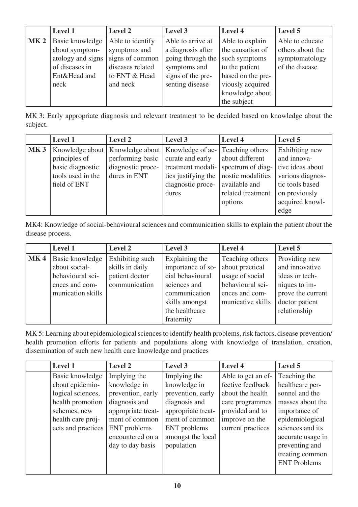|                 | <b>Level 1</b>                                                                                   | Level 2                                                                                              | Level 3                                                                                                             | <b>Level 4</b>                                                                                                                                    | Level 5                                                                 |
|-----------------|--------------------------------------------------------------------------------------------------|------------------------------------------------------------------------------------------------------|---------------------------------------------------------------------------------------------------------------------|---------------------------------------------------------------------------------------------------------------------------------------------------|-------------------------------------------------------------------------|
| MK <sub>2</sub> | Basic knowledge<br>about symptom-<br>atology and signs<br>of diseases in<br>Ent&Head and<br>neck | Able to identify<br>symptoms and<br>signs of common<br>diseases related<br>to ENT & Head<br>and neck | Able to arrive at<br>a diagnosis after<br>going through the<br>symptoms and<br>signs of the pre-<br>senting disease | Able to explain<br>the causation of<br>such symptoms<br>to the patient<br>based on the pre-<br>viously acquired<br>knowledge about<br>the subject | Able to educate<br>others about the<br>symptomatology<br>of the disease |

MK 3: Early appropriate diagnosis and relevant treatment to be decided based on knowledge about the subject.

|            | <b>Level 1</b>    | <b>Level 2</b>    | Level 3                            | Level 4           | Level 5               |
|------------|-------------------|-------------------|------------------------------------|-------------------|-----------------------|
| <b>MK3</b> | Knowledge about   |                   | Knowledge about   Knowledge of ac- | Teaching others   | <b>Exhibiting new</b> |
|            | principles of     | performing basic  | curate and early                   | about different   | and innova-           |
|            | basic diagnostic  | diagnostic proce- | treatment modali-                  | spectrum of diag- | tive ideas about      |
|            | tools used in the | dures in ENT      | ties justifying the                | nostic modalities | various diagnos-      |
|            | field of ENT      |                   | diagnostic proce-                  | available and     | tic tools based       |
|            |                   |                   | dures                              | related treatment | on previously         |
|            |                   |                   |                                    | options           | acquired knowl-       |
|            |                   |                   |                                    |                   | edge                  |

MK4: Knowledge of social-behavioural sciences and communication skills to explain the patient about the disease process.

|            | <b>Level 1</b>    | Level 2         | Level 3           | Level 4           | Level 5           |
|------------|-------------------|-----------------|-------------------|-------------------|-------------------|
| <b>MK4</b> | Basic knowledge   | Exhibiting such | Explaining the    | Teaching others   | Providing new     |
|            | about social-     | skills in daily | importance of so- | about practical   | and innovative    |
|            | behavioural sci-  | patient doctor  | cial behavioural  | usage of social   | ideas or tech-    |
|            | ences and com-    | communication   | sciences and      | behavioural sci-  | niques to im-     |
|            | munication skills |                 | communication     | ences and com-    | prove the current |
|            |                   |                 | skills amongst    | municative skills | doctor patient    |
|            |                   |                 | the healthcare    |                   | relationship      |
|            |                   |                 | fraternity        |                   |                   |

MK 5: Learning about epidemiological sciences to identify health problems, risk factors, disease prevention/ health promotion efforts for patients and populations along with knowledge of translation, creation, dissemination of such new health care knowledge and practices

| <b>Level 1</b>     | Level 2            | Level 3            | Level 4            | Level 5             |
|--------------------|--------------------|--------------------|--------------------|---------------------|
| Basic knowledge    | Implying the       | Implying the       | Able to get an ef- | Teaching the        |
| about epidemio-    | knowledge in       | knowledge in       | fective feedback   | healthcare per-     |
| logical sciences,  | prevention, early  | prevention, early  | about the health   | sonnel and the      |
| health promotion   | diagnosis and      | diagnosis and      | care programmes    | masses about the    |
| schemes, new       | appropriate treat- | appropriate treat- | provided and to    | importance of       |
| health care proj-  | ment of common     | ment of common     | improve on the     | epidemiological     |
| ects and practices | ENT problems       | ENT problems       | current practices  | sciences and its    |
|                    | encountered on a   | amongst the local  |                    | accurate usage in   |
|                    | day to day basis   | population         |                    | preventing and      |
|                    |                    |                    |                    | treating common     |
|                    |                    |                    |                    | <b>ENT Problems</b> |
|                    |                    |                    |                    |                     |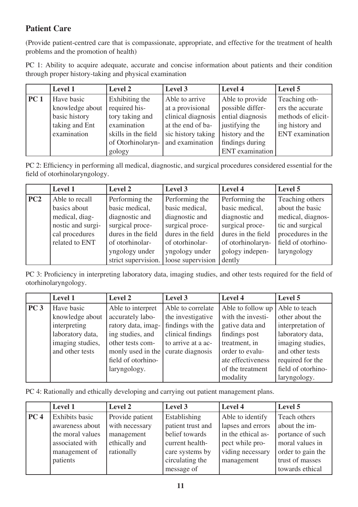## **Patient Care**

(Provide patient-centred care that is compassionate, appropriate, and effective for the treatment of health problems and the promotion of health)

PC 1: Ability to acquire adequate, accurate and concise information about patients and their condition through proper history-taking and physical examination

|                 | <b>Level 1</b>                                                                  | <b>Level 2</b>                                                                                                | Level 3                                                                                                                | Level 4                                                                                                         | Level 5                                                                                       |
|-----------------|---------------------------------------------------------------------------------|---------------------------------------------------------------------------------------------------------------|------------------------------------------------------------------------------------------------------------------------|-----------------------------------------------------------------------------------------------------------------|-----------------------------------------------------------------------------------------------|
| PC <sub>1</sub> | Have basic<br>knowledge about<br>basic history<br>taking and Ent<br>examination | Exhibiting the<br>required his-<br>tory taking and<br>examination<br>skills in the field<br>of Otorhinolaryn- | Able to arrive<br>at a provisional<br>clinical diagnosis<br>at the end of ba-<br>sic history taking<br>and examination | Able to provide<br>possible differ-<br>ential diagnosis<br>justifying the<br>history and the<br>findings during | Teaching oth-<br>ers the accurate<br>methods of elicit-<br>ing history and<br>ENT examination |
|                 |                                                                                 | gology                                                                                                        |                                                                                                                        | <b>ENT</b> examination                                                                                          |                                                                                               |

PC 2: Efficiency in performing all medical, diagnostic, and surgical procedures considered essential for the field of otorhinolaryngology.

|     | <b>Level 1</b>    | Level 2             | Level 3            | Level 4            | Level 5            |
|-----|-------------------|---------------------|--------------------|--------------------|--------------------|
| PC2 | Able to recall    | Performing the      | Performing the     | Performing the     | Teaching others    |
|     | basics about      | basic medical,      | basic medical,     | basic medical,     | about the basic    |
|     | medical, diag-    | diagnostic and      | diagnostic and     | diagnostic and     | medical, diagnos-  |
|     | nostic and surgi- | surgical proce-     | surgical proce-    | surgical proce-    | tic and surgical   |
|     | cal procedures    | dures in the field  | dures in the field | dures in the field | procedures in the  |
|     | related to ENT    | of otorhinolar-     | of otorhinolar-    | of otorhinolaryn-  | field of otorhino- |
|     |                   | yngology under      | yngology under     | gology indepen-    | laryngology        |
|     |                   | strict supervision. | loose supervision  | dently             |                    |

PC 3: Proficiency in interpreting laboratory data, imaging studies, and other tests required for the field of otorhinolaryngology.

|                 | <b>Level 1</b>   | <b>Level 2</b>     | Level 3            | <b>Level 4</b>    | Level 5            |
|-----------------|------------------|--------------------|--------------------|-------------------|--------------------|
| PC <sub>3</sub> | Have basic       | Able to interpret  | Able to correlate  | Able to follow up | Able to teach      |
|                 | knowledge about  | accurately labo-   | the investigative  | with the investi- | other about the    |
|                 | interpreting     | ratory data, imag- | findings with the  | gative data and   | interpretation of  |
|                 | laboratory data, | ing studies, and   | clinical findings  | findings post     | laboratory data,   |
|                 | imaging studies, | other tests com-   | to arrive at a ac- | treatment, in     | imaging studies,   |
|                 | and other tests  | monly used in the  | curate diagnosis   | order to evalu-   | and other tests    |
|                 |                  | field of otorhino- |                    | ate effectiveness | required for the   |
|                 |                  | laryngology.       |                    | of the treatment  | field of otorhino- |
|                 |                  |                    |                    | modality          | laryngology.       |

PC 4: Rationally and ethically developing and carrying out patient management plans.

|                 | <b>Level 1</b>   | Level 2         | Level 3           | Level 4            | Level 5           |
|-----------------|------------------|-----------------|-------------------|--------------------|-------------------|
| PC <sub>4</sub> | Exhibits basic   | Provide patient | Establishing      | Able to identify   | Teach others      |
|                 | awareness about  | with necessary  | patient trust and | lapses and errors  | about the im-     |
|                 | the moral values | management      | belief towards    | in the ethical as- | portance of such  |
|                 | associated with  | ethically and   | current health-   | pect while pro-    | moral values in   |
|                 | management of    | rationally      | care systems by   | viding necessary   | order to gain the |
|                 | patients         |                 | circulating the   | management         | trust of masses   |
|                 |                  |                 | message of        |                    | towards ethical   |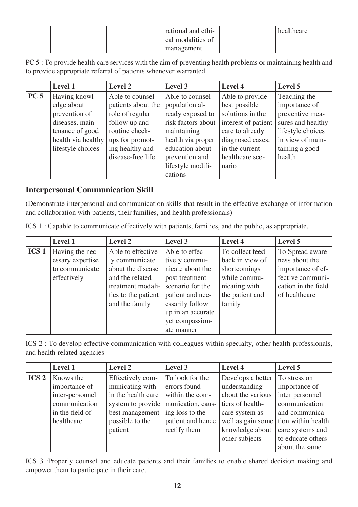|  | rational and ethi- | healthcare |
|--|--------------------|------------|
|  | cal modalities of  |            |
|  | management         |            |

PC 5 : To provide health care services with the aim of preventing health problems or maintaining health and to provide appropriate referral of patients whenever warranted.

|                 | <b>Level 1</b>     | Level 2            | Level 3            | Level 4             | Level 5           |
|-----------------|--------------------|--------------------|--------------------|---------------------|-------------------|
| PC <sub>5</sub> | Having knowl-      | Able to counsel    | Able to counsel    | Able to provide     | Teaching the      |
|                 | edge about         | patients about the | population al-     | best possible       | importance of     |
|                 | prevention of      | role of regular    | ready exposed to   | solutions in the    | preventive mea-   |
|                 | diseases, main-    | follow up and      | risk factors about | interest of patient | sures and healthy |
|                 | tenance of good    | routine check-     | maintaining        | care to already     | lifestyle choices |
|                 | health via healthy | ups for promot-    | health via proper  | diagnosed cases,    | in view of main-  |
|                 | lifestyle choices  | ing healthy and    | education about    | in the current      | taining a good    |
|                 |                    | disease-free life  | prevention and     | healthcare sce-     | health            |
|                 |                    |                    | lifestyle modifi-  | nario               |                   |
|                 |                    |                    | cations            |                     |                   |

## **Interpersonal Communication Skill**

(Demonstrate interpersonal and communication skills that result in the effective exchange of information and collaboration with patients, their families, and health professionals)

ICS 1 : Capable to communicate effectively with patients, families, and the public, as appropriate.

|                  | <b>Level 1</b>   | <b>Level 2</b>      | Level 3           | Level 4          | Level 5             |
|------------------|------------------|---------------------|-------------------|------------------|---------------------|
| ICS <sub>1</sub> | Having the nec-  | Able to effective-  | Able to effec-    | To collect feed- | To Spread aware-    |
|                  | essary expertise | ly communicate      | tively commu-     | back in view of  | ness about the      |
|                  | to communicate   | about the disease   | nicate about the  | shortcomings     | importance of ef-   |
|                  | effectively      | and the related     | post treatment    | while commu-     | fective communi-    |
|                  |                  | treatment modali-   | scenario for the  | nicating with    | cation in the field |
|                  |                  | ties to the patient | patient and nec-  | the patient and  | of healthcare       |
|                  |                  | and the family      | essarily follow   | family           |                     |
|                  |                  |                     | up in an accurate |                  |                     |
|                  |                  |                     | yet compassion-   |                  |                     |
|                  |                  |                     | ate manner        |                  |                     |

ICS 2 : To develop effective communication with colleagues within specialty, other health professionals, and health-related agencies

|                  | <b>Level 1</b>  | Level 2            | Level 3           | Level 4           | Level 5                              |
|------------------|-----------------|--------------------|-------------------|-------------------|--------------------------------------|
| ICS <sub>2</sub> | Knows the       | Effectively com-   | To look for the   | Develops a better | To stress on                         |
|                  | importance of   | municating with-   | errors found      | understanding     | importance of                        |
|                  | inter-personnel | in the health care | within the com-   | about the various | inter personnel                      |
|                  | communication   | system to provide  | munication, caus- | tiers of health-  | communication                        |
|                  | in the field of | best management    | ing loss to the   | care system as    | and communica-                       |
|                  | healthcare      | possible to the    | patient and hence |                   | well as gain some tion within health |
|                  |                 | patient            | rectify them      | knowledge about   | care systems and                     |
|                  |                 |                    |                   | other subjects    | to educate others                    |
|                  |                 |                    |                   |                   | about the same                       |

ICS 3 :Properly counsel and educate patients and their families to enable shared decision making and empower them to participate in their care.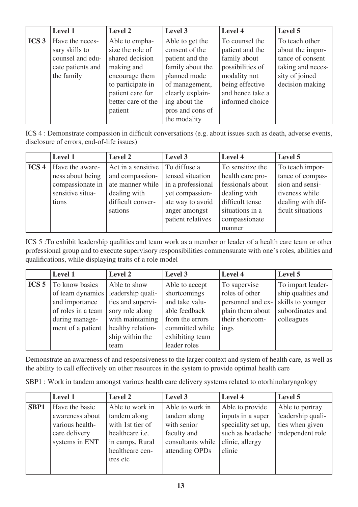|                  | <b>Level 1</b>    | Level 2            | Level 3          | Level 4          | Level 5           |
|------------------|-------------------|--------------------|------------------|------------------|-------------------|
| ICS <sub>3</sub> | Have the neces-   | Able to empha-     | Able to get the  | To counsel the   | To teach other    |
|                  | sary skills to    | size the role of   | consent of the   | patient and the  | about the impor-  |
|                  | counsel and edu-  | shared decision    | patient and the  | family about     | tance of consent  |
|                  | cate patients and | making and         | family about the | possibilities of | taking and neces- |
|                  | the family        | encourage them     | planned mode     | modality not     | sity of joined    |
|                  |                   | to participate in  | of management,   | being effective  | decision making   |
|                  |                   | patient care for   | clearly explain- | and hence take a |                   |
|                  |                   | better care of the | ing about the    | informed choice  |                   |
|                  |                   | patient            | pros and cons of |                  |                   |
|                  |                   |                    | the modality     |                  |                   |

ICS 4 : Demonstrate compassion in difficult conversations (e.g. about issues such as death, adverse events, disclosure of errors, end-of-life issues)

|                  | <b>Level 1</b>   | <b>Level 2</b>     | Level 3           | Level 4          | Level 5           |
|------------------|------------------|--------------------|-------------------|------------------|-------------------|
| ICS <sub>4</sub> | Have the aware-  | Act in a sensitive | To diffuse a      | To sensitize the | To teach impor-   |
|                  | ness about being | and compassion-    | tensed situation  | health care pro- | tance of compas-  |
|                  | compassionate in | ate manner while   | in a professional | fessionals about | sion and sensi-   |
|                  | sensitive situa- | dealing with       | yet compassion-   | dealing with     | tiveness while    |
|                  | tions            | difficult conver-  | ate way to avoid  | difficult tense  | dealing with dif- |
|                  |                  | sations            | anger amongst     | situations in a  | ficult situations |
|                  |                  |                    | patient relatives | compassionate    |                   |
|                  |                  |                    |                   | manner           |                   |

ICS 5 :To exhibit leadership qualities and team work as a member or leader of a health care team or other professional group and to execute supervisory responsibilities commensurate with one's roles, abilities and qualifications, while displaying traits of a role model

|                  | <b>Level 1</b>     | Level 2           | Level 3         | Level 4           | Level 5            |
|------------------|--------------------|-------------------|-----------------|-------------------|--------------------|
| ICS <sub>5</sub> | To know basics     | Able to show      | Able to accept  | To supervise      | To impart leader-  |
|                  | of team dynamics   | leadership quali- | shortcomings    | roles of other    | ship qualities and |
|                  | and importance     | ties and supervi- | and take valu-  | personnel and ex- | skills to younger  |
|                  | of roles in a team | sory role along   | able feedback   | plain them about  | subordinates and   |
|                  | during manage-     | with maintaining  | from the errors | their shortcom-   | colleagues         |
|                  | ment of a patient  | healthy relation- | committed while | ings              |                    |
|                  |                    | ship within the   | exhibiting team |                   |                    |
|                  |                    | team              | leader roles    |                   |                    |

Demonstrate an awareness of and responsiveness to the larger context and system of health care, as well as the ability to call effectively on other resources in the system to provide optimal health care

SBP1 : Work in tandem amongst various health care delivery systems related to otorhinolaryngology

|      | <b>Level 1</b>  | <b>Level 2</b>         | Level 3           | Level 4            | Level 5           |
|------|-----------------|------------------------|-------------------|--------------------|-------------------|
| SBP1 | Have the basic  | Able to work in        | Able to work in   | Able to provide    | Able to portray   |
|      | awareness about | tandem along           | tandem along      | inputs in a super  | leadership quali- |
|      | various health- | with 1st tier of       | with senior       | speciality set up, | ties when given   |
|      | care delivery   | healthcare <i>i.e.</i> | faculty and       | such as headache   | independent role  |
|      | systems in ENT  | in camps, Rural        | consultants while | clinic, allergy    |                   |
|      |                 | healthcare cen-        | attending OPDs    | clinic             |                   |
|      |                 | tres etc               |                   |                    |                   |
|      |                 |                        |                   |                    |                   |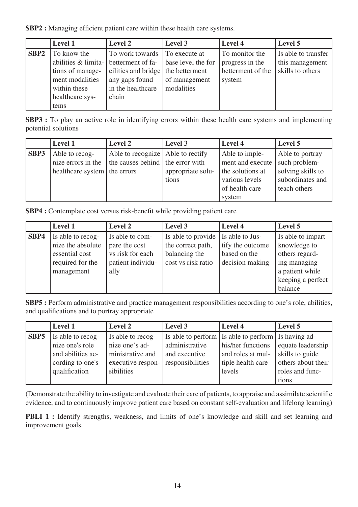**SBP2 :** Managing efficient patient care within these health care systems.

|                  | <b>Level 1</b>   | Level 2                                    | Level 3            | Level 4           | Level 5             |
|------------------|------------------|--------------------------------------------|--------------------|-------------------|---------------------|
| SBP <sub>2</sub> | To know the      | To work towards To execute at              |                    | To monitor the    | Is able to transfer |
|                  |                  | abilities & limita- betterment of fa-      | base level the for | progress in the   | this management     |
|                  | tions of manage- | cilities and bridge $\vert$ the betterment |                    | betterment of the | skills to others    |
|                  | ment modalities  | any gaps found                             | of management      | system            |                     |
|                  | within these     | in the healthcare                          | modalities         |                   |                     |
|                  | healthcare sys-  | chain                                      |                    |                   |                     |
|                  | tems             |                                            |                    |                   |                     |

**SBP3 :** To play an active role in identifying errors within these health care systems and implementing potential solutions

|      | <b>Level 1</b>               | Level 2                           | Level 3           | Level 4                          | Level 5           |
|------|------------------------------|-----------------------------------|-------------------|----------------------------------|-------------------|
| SBP3 | Able to recog-               | Able to recognize Able to rectify |                   | Able to imple-                   | Able to portray   |
|      | nize errors in the           | the causes behind the error with  |                   | ment and execute   such problem- |                   |
|      | healthcare system the errors |                                   | appropriate solu- | the solutions at                 | solving skills to |
|      |                              |                                   | tions             | various levels                   | subordinates and  |
|      |                              |                                   |                   | of health care                   | teach others      |
|      |                              |                                   |                   | system                           |                   |

**SBP4 :** Contemplate cost versus risk-benefit while providing patient care

|      | Level 1                                                                                    | Level 2                                                                           | Level 3                                                                                          | Level 4                                             | Level 5                                                                                                                |
|------|--------------------------------------------------------------------------------------------|-----------------------------------------------------------------------------------|--------------------------------------------------------------------------------------------------|-----------------------------------------------------|------------------------------------------------------------------------------------------------------------------------|
| SBP4 | Is able to recog-<br>nize the absolute<br>essential cost<br>required for the<br>management | Is able to com-<br>pare the cost<br>vs risk for each<br>patient individu-<br>ally | Is able to provide   Is able to Jus-<br>the correct path,<br>balancing the<br>cost vs risk ratio | tify the outcome<br>based on the<br>decision making | Is able to impart<br>knowledge to<br>others regard-<br>ing managing<br>a patient while<br>keeping a perfect<br>balance |

**SBP5** : Perform administrative and practice management responsibilities according to one's role, abilities, and qualifications and to portray appropriate

|      | <b>Level 1</b>    | Level 2           | Level 3          | Level 4                                             | Level 5            |
|------|-------------------|-------------------|------------------|-----------------------------------------------------|--------------------|
| SBP5 | Is able to recog- | Is able to recog- |                  | Is able to perform Is able to perform Is having ad- |                    |
|      | nize one's role   | nize one's ad-    | administrative   | his/her functions                                   | equate leadership  |
|      | and abilities ac- | ministrative and  | and executive    | and roles at mul-                                   | skills to guide    |
|      | cording to one's  | executive respon- | responsibilities | tiple health care                                   | others about their |
|      | qualification     | sibilities        |                  | levels                                              | roles and func-    |
|      |                   |                   |                  |                                                     | tions              |

(Demonstrate the ability to investigate and evaluate their care of patients, to appraise and assimilate scientific evidence, and to continuously improve patient care based on constant self-evaluation and lifelong learning)

**PBLI 1 :** Identify strengths, weakness, and limits of one's knowledge and skill and set learning and improvement goals.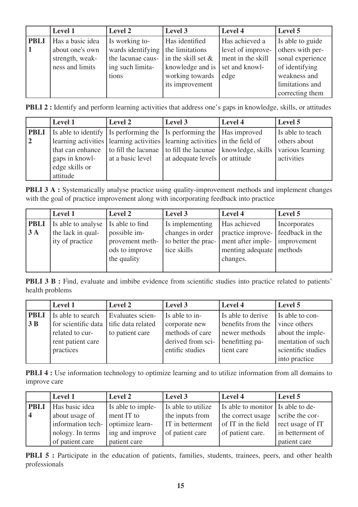|             | <b>Level 1</b>   | Level 2           | Level 3               | Level 4           | Level 5          |
|-------------|------------------|-------------------|-----------------------|-------------------|------------------|
| <b>PBLI</b> | Has a basic idea | Is working to-    | Has identified        | Has achieved a    | Is able to guide |
|             | about one's own  | wards identifying | the limitations       | level of improve- | others with per- |
|             | strength, weak-  | the lacunae caus- | in the skill set $\&$ | ment in the skill | sonal experience |
|             | ness and limits  | ing such limita-  | knowledge and is      | set and knowl-    | of identifying   |
|             |                  | tions             | working towards       | edge              | weakness and     |
|             |                  |                   | its improvement       |                   | limitations and  |
|             |                  |                   |                       |                   | correcting them  |

**PBLI 2 :** Identify and perform learning activities that address one's gaps in knowledge, skills, or attitudes

|             | <b>Level 1</b>                                                       | Level 2                                                                                            | Level 3                        | Level 4 | Level 5          |
|-------------|----------------------------------------------------------------------|----------------------------------------------------------------------------------------------------|--------------------------------|---------|------------------|
| <b>PBLI</b> | Is able to identify Is performing the Is performing the Has improved |                                                                                                    |                                |         | Is able to teach |
| $\sqrt{2}$  |                                                                      | learning activities   learning activities   learning activities   in the field of                  |                                |         | others about     |
|             |                                                                      | that can enhance $\vert$ to fill the lacunae $\vert$ to fill the lacunae $\vert$ knowledge, skills |                                |         | various learning |
|             | gaps in knowl-                                                       | at a basic level                                                                                   | at adequate levels or attitude |         | activities       |
|             | edge skills or                                                       |                                                                                                    |                                |         |                  |
|             | attitude                                                             |                                                                                                    |                                |         |                  |

**PBLI 3 A :** Systematically analyse practice using quality-improvement methods and implement changes with the goal of practice improvement along with incorporating feedback into practice

|             | <b>Level 1</b>                     | Level 2         | Level 3             | Level 4                         | Level 5         |
|-------------|------------------------------------|-----------------|---------------------|---------------------------------|-----------------|
| <b>PBLI</b> | Is able to analyse Is able to find |                 | Is implementing     | Has achieved                    | Incorporates    |
| 3A          | the lack in qual-                  | possible im-    | changes in order    | practice improve-               | feedback in the |
|             | ity of practice                    | provement meth- | to better the prac- | ment after imple-   improvement |                 |
|             |                                    | ods to improve  | tice skills         | menting adequate   methods      |                 |
|             |                                    | the quality     |                     | changes.                        |                 |
|             |                                    |                 |                     |                                 |                 |

**PBLI 3 B :** Find, evaluate and imbibe evidence from scientific studies into practice related to patients' health problems

|                  | <b>Level 1</b>                           | Level 2          | Level 3           | Level 4           | Level 5            |
|------------------|------------------------------------------|------------------|-------------------|-------------------|--------------------|
| <b>PBLI</b>      | Is able to search                        | Evaluates scien- | Is able to in-    | Is able to derive | Is able to con-    |
| $\vert 3B \vert$ | for scientific data l tific data related |                  | corporate new     | benefits from the | vince others       |
|                  | related to cur-                          | to patient care  | methods of care   | newer methods     | about the imple-   |
|                  | rent patient care                        |                  | derived from sci- | benefitting pa-   | mentation of such  |
|                  | practices                                |                  | entific studies   | tient care        | scientific studies |
|                  |                                          |                  |                   |                   | into practice      |

**PBLI 4 :** Use information technology to optimize learning and to utilize information from all domains to improve care

|             | <b>Level 1</b>    | Level 2           | Level 3            | Level 4                           | Level 5          |
|-------------|-------------------|-------------------|--------------------|-----------------------------------|------------------|
| <b>PBLI</b> | Has basic idea    | Is able to imple- | Is able to utilize | Is able to monitor Is able to de- |                  |
| 4           | about usage of    | ment IT to        | the inputs from    | the correct usage                 | scribe the cor-  |
|             | information tech- | optimize learn-   | IT in betterment   | of IT in the field                | rect usage of IT |
|             | nology. In terms  | ing and improve   | of patient care    | of patient care.                  | in betterment of |
|             | of patient care   | patient care      |                    |                                   | patient care     |

**PBLI 5 :** Participate in the education of patients, families, students, trainees, peers, and other health professionals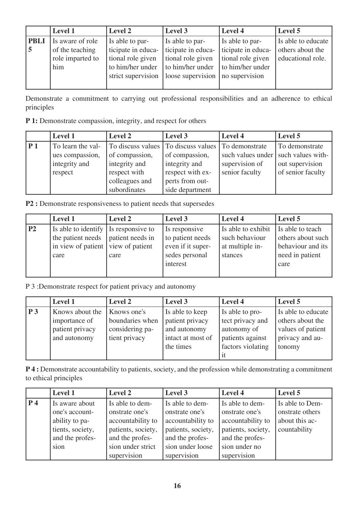|             | <b>Level 1</b>   | Level 2            | Level 3            | Level 4            | Level 5            |
|-------------|------------------|--------------------|--------------------|--------------------|--------------------|
| <b>PBLI</b> | Is aware of role | Is able to par-    | Is able to par-    | Is able to par-    | Is able to educate |
| 5           | of the teaching  | ticipate in educa- | ticipate in educa- | ticipate in educa- | others about the   |
|             | role imparted to | tional role given  | tional role given  | tional role given  | educational role.  |
|             | him              | to him/her under   | to him/her under   | to him/her under   |                    |
|             |                  | strict supervision | loose supervision  | no supervision     |                    |
|             |                  |                    |                    |                    |                    |

Demonstrate a commitment to carrying out professional responsibilities and an adherence to ethical principles

**P 1:** Demonstrate compassion, integrity, and respect for others

|    | <b>Level 1</b>    | Level 2        | Level 3                                                | Level 4                               | Level 5           |
|----|-------------------|----------------|--------------------------------------------------------|---------------------------------------|-------------------|
| P1 | To learn the val- |                | To discuss values   To discuss values   To demonstrate |                                       | To demonstrate    |
|    | ues compassion,   | of compassion, | of compassion,                                         | such values under   such values with- |                   |
|    | integrity and     | integrity and  | integrity and                                          | supervision of                        | out supervision   |
|    | respect           | respect with   | respect with ex-                                       | senior faculty                        | of senior faculty |
|    |                   | colleagues and | perts from out-                                        |                                       |                   |
|    |                   | subordinates   | side department                                        |                                       |                   |

**P2 :** Demonstrate responsiveness to patient needs that supersedes

|                | <b>Level 1</b>                       | <b>Level 2</b> | Level 3           | Level 4            | Level 5           |
|----------------|--------------------------------------|----------------|-------------------|--------------------|-------------------|
| P <sub>2</sub> | Is able to identify Is responsive to |                | Is responsive     | Is able to exhibit | Is able to teach  |
|                | the patient needs   patient needs in |                | to patient needs  | such behaviour     | others about such |
|                | in view of patient   view of patient |                | even if it super- | at multiple in-    | behaviour and its |
|                | care                                 | care           | sedes personal    | stances            | need in patient   |
|                |                                      |                | interest          |                    | care              |
|                |                                      |                |                   |                    |                   |

P 3 :Demonstrate respect for patient privacy and autonomy

|                | <b>Level 1</b>                                   | <b>Level 2</b>                                      | Level 3                                              | Level 4                                             | Level 5                                                  |
|----------------|--------------------------------------------------|-----------------------------------------------------|------------------------------------------------------|-----------------------------------------------------|----------------------------------------------------------|
| P <sub>3</sub> | Knows about the                                  | Knows one's                                         | Is able to keep                                      | Is able to pro-                                     | Is able to educate                                       |
|                | importance of<br>patient privacy<br>and autonomy | boundaries when<br>considering pa-<br>tient privacy | patient privacy<br>and autonomy<br>intact at most of | tect privacy and<br>autonomy of<br>patients against | others about the<br>values of patient<br>privacy and au- |
|                |                                                  |                                                     | the times                                            | factors violating<br>1t                             | tonomy                                                   |

**P 4 :** Demonstrate accountability to patients, society, and the profession while demonstrating a commitment to ethical principles

|                | <b>Level 1</b>   | Level 2            | Level 3            | Level 4            | Level 5         |
|----------------|------------------|--------------------|--------------------|--------------------|-----------------|
| P <sub>4</sub> | Is aware about   | Is able to dem-    | Is able to dem-    | Is able to dem-    | Is able to Dem- |
|                | one's account-   | onstrate one's     | onstrate one's     | onstrate one's     | onstrate others |
|                | ability to pa-   | accountability to  | accountability to  | accountability to  | about this ac-  |
|                | tients, society, | patients, society, | patients, society, | patients, society, | countability    |
|                | and the profes-  | and the profes-    | and the profes-    | and the profes-    |                 |
|                | sion             | sion under strict  | sion under loose   | sion under no      |                 |
|                |                  | supervision        | supervision        | supervision        |                 |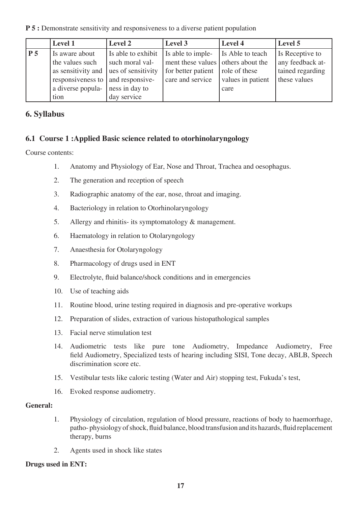**P 5 :** Demonstrate sensitivity and responsiveness to a diverse patient population

|                | Level 1                             | Level 2            | Level 3                            | Level 4           | Level 5          |
|----------------|-------------------------------------|--------------------|------------------------------------|-------------------|------------------|
| P <sub>5</sub> | Is aware about                      | Is able to exhibit | Is able to imple-                  | Is Able to teach  | Is Receptive to  |
|                | the values such                     | such moral val-    | ment these values others about the |                   | any feedback at- |
|                | as sensitivity and                  | ues of sensitivity | for better patient                 | role of these     | tained regarding |
|                | responsiveness to   and responsive- |                    | care and service                   | values in patient | these values     |
|                | a diverse popula-                   | ness in day to     |                                    | care              |                  |
|                | tion                                | day service        |                                    |                   |                  |

## **6. Syllabus**

## **6.1 Course 1 :Applied Basic science related to otorhinolaryngology**

Course contents:

- 1. Anatomy and Physiology of Ear, Nose and Throat, Trachea and oesophagus.
- 2. The generation and reception of speech
- 3. Radiographic anatomy of the ear, nose, throat and imaging.
- 4. Bacteriology in relation to Otorhinolaryngology
- 5. Allergy and rhinitis- its symptomatology & management.
- 6. Haematology in relation to Otolaryngology
- 7. Anaesthesia for Otolaryngology
- 8. Pharmacology of drugs used in ENT
- 9. Electrolyte, fluid balance/shock conditions and in emergencies
- 10. Use of teaching aids
- 11. Routine blood, urine testing required in diagnosis and pre-operative workups
- 12. Preparation of slides, extraction of various histopathological samples
- 13. Facial nerve stimulation test
- 14. Audiometric tests like pure tone Audiometry, Impedance Audiometry, Free field Audiometry, Specialized tests of hearing including SISI, Tone decay, ABLB, Speech discrimination score etc.
- 15. Vestibular tests like caloric testing (Water and Air) stopping test, Fukuda's test,
- 16. Evoked response audiometry.

## **General:**

- 1. Physiology of circulation, regulation of blood pressure, reactions of body to haemorrhage, patho- physiology of shock, fluid balance, blood transfusion and its hazards, fluid replacement therapy, burns
- 2. Agents used in shock like states

## **Drugs used in ENT:**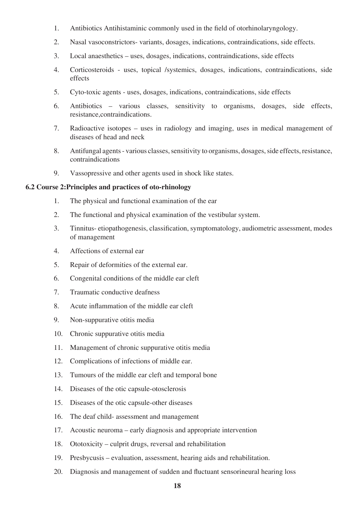- 1. Antibiotics Antihistaminic commonly used in the field of otorhinolaryngology.
- 2. Nasal vasoconstrictors- variants, dosages, indications, contraindications, side effects.
- 3. Local anaesthetics uses, dosages, indications, contraindications, side effects
- 4. Corticosteroids uses, topical /systemics, dosages, indications, contraindications, side effects
- 5. Cyto-toxic agents uses, dosages, indications, contraindications, side effects
- 6. Antibiotics various classes, sensitivity to organisms, dosages, side effects, resistance,contraindications.
- 7. Radioactive isotopes uses in radiology and imaging, uses in medical management of diseases of head and neck
- 8. Antifungal agents various classes, sensitivity to organisms, dosages, side effects, resistance, contraindications
- 9. Vassopressive and other agents used in shock like states.

#### **6.2 Course 2:Principles and practices of oto-rhinology**

- 1. The physical and functional examination of the ear
- 2. The functional and physical examination of the vestibular system.
- 3. Tinnitus- etiopathogenesis, classification, symptomatology, audiometric assessment, modes of management
- 4. Affections of external ear
- 5. Repair of deformities of the external ear.
- 6. Congenital conditions of the middle ear cleft
- 7. Traumatic conductive deafness
- 8. Acute inflammation of the middle ear cleft
- 9. Non-suppurative otitis media
- 10. Chronic suppurative otitis media
- 11. Management of chronic suppurative otitis media
- 12. Complications of infections of middle ear.
- 13. Tumours of the middle ear cleft and temporal bone
- 14. Diseases of the otic capsule-otosclerosis
- 15. Diseases of the otic capsule-other diseases
- 16. The deaf child- assessment and management
- 17. Acoustic neuroma early diagnosis and appropriate intervention
- 18. Ototoxicity culprit drugs, reversal and rehabilitation
- 19. Presbycusis evaluation, assessment, hearing aids and rehabilitation.
- 20. Diagnosis and management of sudden and fluctuant sensorineural hearing loss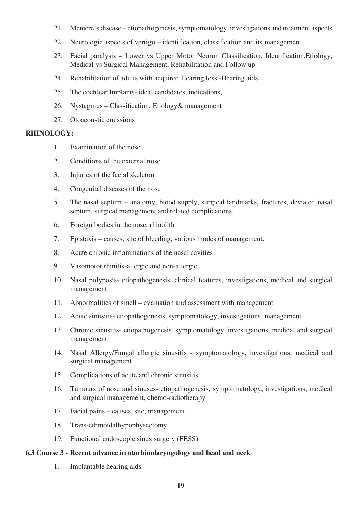- 21. Meniere's disease etiopathogenesis, symptomatology, investigations and treatment aspects
- 22. Neurologic aspects of vertigo identification, classification and its management
- 23. Facial paralysis Lower vs Upper Motor Neuron Classification, Identification,Etiology, Medical vs Surgical Management, Rehabilitation and Follow up
- 24. Rehabilitation of adults with acquired Hearing loss -Hearing aids
- 25. The cochlear Implants- ideal candidates, indications,
- 26. Nystagmus Classification, Etiology& management
- 27. Otoacoustic emissions

#### **RHINOLOGY:**

- 1. Examination of the nose
- 2. Conditions of the external nose
- 3. Injuries of the facial skeleton
- 4. Congenital diseases of the nose
- 5. The nasal septum anatomy, blood supply, surgical landmarks, fractures, deviated nasal septum, surgical management and related complications.
- 6. Foreign bodies in the nose, rhinolith
- 7. Epistaxis causes, site of bleeding, various modes of management.
- 8. Acute chronic inflammations of the nasal cavities
- 9. Vasomotor rhinitis-allergic and non-allergic
- 10. Nasal polyposis- etiopathogenesis, clinical features, investigations, medical and surgical management
- 11. Abnormalities of smell evaluation and assessment with management
- 12. Acute sinusitis- etiopathogenesis, symptomatology, investigations, management
- 13. Chronic sinusitis- etiopathogenesis, symptomatology, investigations, medical and surgical management
- 14. Nasal Allergy/Fungal allergic sinusitis symptomatology, investigations, medical and surgical management
- 15. Complications of acute and chronic sinusitis
- 16. Tumours of nose and sinuses- etiopathogenesis, symptomatology, investigations, medical and surgical management, chemo-radiotherapy
- 17. Facial pains causes, site, management
- 18. Trans-ethmoidalhypophysectomy
- 19. Functional endoscopic sinus surgery (FESS)

#### **6.3 Course 3 - Recent advance in otorhinolaryngology and head and neck**

1. Implantable hearing aids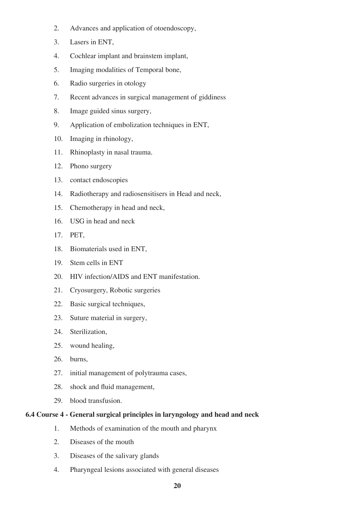- 2. Advances and application of otoendoscopy,
- 3. Lasers in ENT,
- 4. Cochlear implant and brainstem implant,
- 5. Imaging modalities of Temporal bone,
- 6. Radio surgeries in otology
- 7. Recent advances in surgical management of giddiness
- 8. Image guided sinus surgery,
- 9. Application of embolization techniques in ENT,
- 10. Imaging in rhinology,
- 11. Rhinoplasty in nasal trauma.
- 12. Phono surgery
- 13. contact endoscopies
- 14. Radiotherapy and radiosensitisers in Head and neck,
- 15. Chemotherapy in head and neck,
- 16. USG in head and neck
- 17. PET,
- 18. Biomaterials used in ENT,
- 19. Stem cells in ENT
- 20. HIV infection/AIDS and ENT manifestation.
- 21. Cryosurgery, Robotic surgeries
- 22. Basic surgical techniques,
- 23. Suture material in surgery,
- 24. Sterilization,
- 25. wound healing,
- 26. burns,
- 27. initial management of polytrauma cases,
- 28. shock and fluid management,
- 29. blood transfusion.

#### **6.4 Course 4 - General surgical principles in laryngology and head and neck**

- 1. Methods of examination of the mouth and pharynx
- 2. Diseases of the mouth
- 3. Diseases of the salivary glands
- 4. Pharyngeal lesions associated with general diseases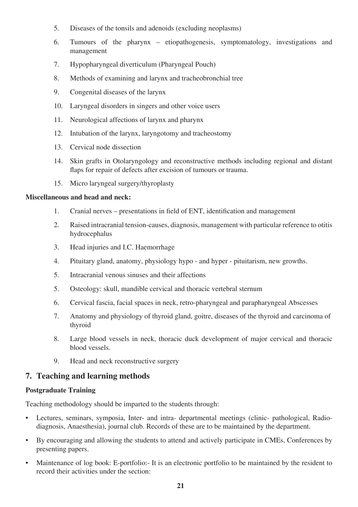- 5. Diseases of the tonsils and adenoids (excluding neoplasms)
- 6. Tumours of the pharynx etiopathogenesis, symptomatology, investigations and management
- 7. Hypopharyngeal diverticulum (Pharyngeal Pouch)
- 8. Methods of examining and larynx and tracheobronchial tree
- 9. Congenital diseases of the larynx
- 10. Laryngeal disorders in singers and other voice users
- 11. Neurological affections of larynx and pharynx
- 12. Intubation of the larynx, laryngotomy and tracheostomy
- 13. Cervical node dissection
- 14. Skin grafts in Otolaryngology and reconstructive methods including regional and distant flaps for repair of defects after excision of tumours or trauma.
- 15. Micro laryngeal surgery/thyroplasty

#### **Miscellaneous and head and neck:**

- 1. Cranial nerves presentations in field of ENT, identification and management
- 2. Raised intracranial tension-causes, diagnosis, management with particular reference to otitis hydrocephalus
- 3. Head injuries and I.C. Haemorrhage
- 4. Pituitary gland, anatomy, physiology hypo and hyper pituitarism, new growths.
- 5. Intracranial venous sinuses and their affections
- 5. Osteology: skull, mandible cervical and thoracic vertebral sternum
- 6. Cervical fascia, facial spaces in neck, retro-pharyngeal and parapharyngeal Abscesses
- 7. Anatomy and physiology of thyroid gland, goitre, diseases of the thyroid and carcinoma of thyroid
- 8. Large blood vessels in neck, thoracic duck development of major cervical and thoracic blood vessels.
- 9. Head and neck reconstructive surgery

## **7. Teaching and learning methods**

#### **Postgraduate Training**

Teaching methodology should be imparted to the students through:

- Lectures, seminars, symposia, Inter- and intra- departmental meetings (clinic- pathological, Radiodiagnosis, Anaesthesia), journal club. Records of these are to be maintained by the department.
- By encouraging and allowing the students to attend and actively participate in CMEs, Conferences by presenting papers.
- Maintenance of log book: E-portfolio:- It is an electronic portfolio to be maintained by the resident to record their activities under the section: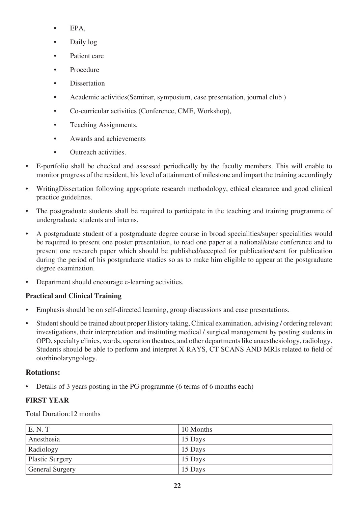- EPA,
- Daily log
- Patient care
- Procedure
- **Dissertation**
- Academic activities(Seminar, symposium, case presentation, journal club )
- Co-curricular activities (Conference, CME, Workshop),
- Teaching Assignments,
- Awards and achievements
- Outreach activities.
- E-portfolio shall be checked and assessed periodically by the faculty members. This will enable to monitor progress of the resident, his level of attainment of milestone and impart the training accordingly
- WritingDissertation following appropriate research methodology, ethical clearance and good clinical practice guidelines.
- The postgraduate students shall be required to participate in the teaching and training programme of undergraduate students and interns.
- A postgraduate student of a postgraduate degree course in broad specialities/super specialities would be required to present one poster presentation, to read one paper at a national/state conference and to present one research paper which should be published/accepted for publication/sent for publication during the period of his postgraduate studies so as to make him eligible to appear at the postgraduate degree examination.
- Department should encourage e-learning activities.

## **Practical and Clinical Training**

- Emphasis should be on self-directed learning, group discussions and case presentations.
- Student should be trained about proper History taking, Clinical examination, advising / ordering relevant investigations, their interpretation and instituting medical / surgical management by posting students in OPD, specialty clinics, wards, operation theatres, and other departments like anaesthesiology, radiology. Students should be able to perform and interpret X RAYS, CT SCANS AND MRIs related to field of otorhinolaryngology.

## **Rotations:**

• Details of 3 years posting in the PG programme (6 terms of 6 months each)

## **FIRST YEAR**

Total Duration:12 months

| E. N. T                | 10 Months |
|------------------------|-----------|
| Anesthesia             | 15 Days   |
| Radiology              | 15 Days   |
| Plastic Surgery        | 15 Days   |
| <b>General Surgery</b> | 15 Days   |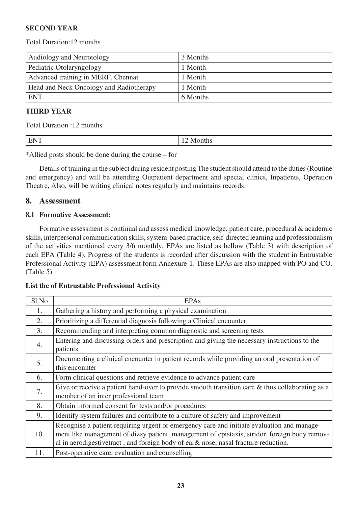### **SECOND YEAR**

#### Total Duration:12 months

| Audiology and Neurotology               | 3 Months |
|-----------------------------------------|----------|
| Pediatric Otolaryngology                | 1 Month  |
| Advanced training in MERF, Chennai      | 1 Month  |
| Head and Neck Oncology and Radiotherapy | 1 Month  |
| <b>ENT</b>                              | 6 Months |

#### **THIRD YEAR**

Total Duration :12 months

|  |  | . . |
|--|--|-----|
|--|--|-----|

\*Allied posts should be done during the course – for

Details of training in the subject during resident posting The student should attend to the duties (Routine and emergency) and will be attending Outpatient department and special clinics, Inpatients, Operation Theatre, Also, will be writing clinical notes regularly and maintains records.

#### **8. Assessment**

#### **8.1 Formative Assessment:**

Formative assessment is continual and assess medical knowledge, patient care, procedural & academic skills, interpersonal communication skills, system-based practice, self-directed learning and professionalism of the activities mentioned every 3/6 monthly. EPAs are listed as bellow (Table 3) with description of each EPA (Table 4). Progress of the students is recorded after discussion with the student in Entrustable Professional Activity (EPA) assessment form Annexure-1. These EPAs are also mapped with PO and CO. (Table 5)

#### **List the of Entrustable Professional Activity**

| Sl.No            | <b>EPAs</b>                                                                                                                                                                                                                                                                      |
|------------------|----------------------------------------------------------------------------------------------------------------------------------------------------------------------------------------------------------------------------------------------------------------------------------|
| 1.               | Gathering a history and performing a physical examination                                                                                                                                                                                                                        |
| 2.               | Prioritizing a differential diagnosis following a Clinical encounter                                                                                                                                                                                                             |
| 3.               | Recommending and interpreting common diagnostic and screening tests                                                                                                                                                                                                              |
| $\overline{4}$ . | Entering and discussing orders and prescription and giving the necessary instructions to the<br>patients                                                                                                                                                                         |
| 5.               | Documenting a clinical encounter in patient records while providing an oral presentation of<br>this encounter                                                                                                                                                                    |
| 6.               | Form clinical questions and retrieve evidence to advance patient care                                                                                                                                                                                                            |
| 7.               | Give or receive a patient hand-over to provide smooth transition care $\&$ thus collaborating as a<br>member of an inter professional team                                                                                                                                       |
| 8.               | Obtain informed consent for tests and/or procedures                                                                                                                                                                                                                              |
| 9.               | Identify system failures and contribute to a culture of safety and improvement                                                                                                                                                                                                   |
| 10.              | Recognise a patient requiring urgent or emergency care and initiate evaluation and manage-<br>ment like management of dizzy patient, management of epistaxis, stridor, foreign body remov-<br>al in aerodigestivetract, and foreign body of ear& nose, nasal fracture reduction. |
| 11.              | Post-operative care, evaluation and counselling                                                                                                                                                                                                                                  |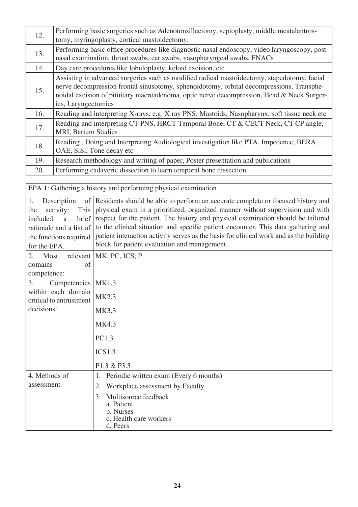| 12. | Performing basic surgeries such as Adenotonsillectomy, septoplasty, middle meatalantros-<br>tomy, myringoplasty, cortical mastoidectomy.                                                                                                                                                                    |
|-----|-------------------------------------------------------------------------------------------------------------------------------------------------------------------------------------------------------------------------------------------------------------------------------------------------------------|
| 13. | Performing basic office procedures like diagnostic nasal endoscopy, video laryngoscopy, post<br>nasal examination, throat swabs, ear swabs, nasopharyngeal swabs, FNACs                                                                                                                                     |
| 14. | Day care procedures like lobuloplasty, keloid excision, etc.                                                                                                                                                                                                                                                |
| 15. | Assisting in advanced surgeries such as modified radical mastoidectomy, stapedotomy, facial<br>nerve decompression frontal sinusotomy, sphenoidotomy, orbital decompressions, Transphe-<br>noidal excision of pituitary macroadenoma, optic nerve decompression, Head & Neck Surger-<br>ies, Laryngectomies |
| 16. | Reading and interpreting X-rays, e.g. X ray PNS, Mastoids, Nasopharynx, soft tissue neck etc                                                                                                                                                                                                                |
| 17. | Reading and interpreting CT PNS, HRCT Temporal Bone, CT & CECT Neck, CT CP angle,<br><b>MRI, Barium Studies</b>                                                                                                                                                                                             |
| 18. | Reading, Doing and Interpreting Audiological investigation like PTA, Impedence, BERA,<br>OAE, SiSi, Tone decay etc                                                                                                                                                                                          |
| 19. | Research methodology and writing of paper, Poster presentation and publications                                                                                                                                                                                                                             |
| 20. | Performing cadaveric dissection to learn temporal bone dissection                                                                                                                                                                                                                                           |

| EPA 1: Gathering a history and performing physical examination                                                              |                                                                                                                                                                                                                                                                                                                                                                                                                                                                                                   |  |
|-----------------------------------------------------------------------------------------------------------------------------|---------------------------------------------------------------------------------------------------------------------------------------------------------------------------------------------------------------------------------------------------------------------------------------------------------------------------------------------------------------------------------------------------------------------------------------------------------------------------------------------------|--|
| 1.<br>Description<br>activity:<br>the<br>included<br>a<br>rationale and a list of<br>the functions required<br>for the EPA. | of Residents should be able to perform an accurate complete or focused history and<br>This physical exam in a prioritized, organized manner without supervision and with<br>brief respect for the patient. The history and physical examination should be tailored<br>to the clinical situation and specific patient encounter. This data gathering and<br>patient interaction activity serves as the basis for clinical work and as the building<br>block for patient evaluation and management. |  |
| Most<br>2.<br>domains<br>of                                                                                                 | relevant   MK, PC, ICS, P                                                                                                                                                                                                                                                                                                                                                                                                                                                                         |  |
| competence:                                                                                                                 |                                                                                                                                                                                                                                                                                                                                                                                                                                                                                                   |  |
| Competencies<br>3.<br>within each domain<br>critical to entrustment<br>decisions:                                           | <b>MK1.3</b>                                                                                                                                                                                                                                                                                                                                                                                                                                                                                      |  |
|                                                                                                                             | MK2.3                                                                                                                                                                                                                                                                                                                                                                                                                                                                                             |  |
|                                                                                                                             | MK3.3                                                                                                                                                                                                                                                                                                                                                                                                                                                                                             |  |
|                                                                                                                             | <b>MK4.3</b>                                                                                                                                                                                                                                                                                                                                                                                                                                                                                      |  |
|                                                                                                                             | PC1.3                                                                                                                                                                                                                                                                                                                                                                                                                                                                                             |  |
|                                                                                                                             | ICS1.3                                                                                                                                                                                                                                                                                                                                                                                                                                                                                            |  |
|                                                                                                                             | P1.3 & P3.3                                                                                                                                                                                                                                                                                                                                                                                                                                                                                       |  |
| 4. Methods of                                                                                                               | Periodic written exam (Every 6 months)<br>1.                                                                                                                                                                                                                                                                                                                                                                                                                                                      |  |
| assessment                                                                                                                  | Workplace assessment by Faculty<br>2.                                                                                                                                                                                                                                                                                                                                                                                                                                                             |  |
|                                                                                                                             | Multisource feedback<br>3.<br>a. Patient<br>b. Nurses<br>c. Health care workers<br>d. Peers                                                                                                                                                                                                                                                                                                                                                                                                       |  |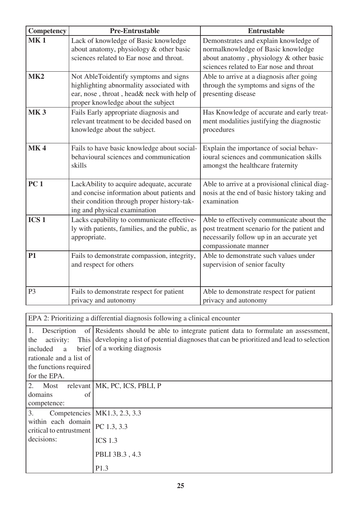| Competency       | <b>Pre-Entrustable</b>                                                                                                                                                 | <b>Entrustable</b>                                                                                                                                                |
|------------------|------------------------------------------------------------------------------------------------------------------------------------------------------------------------|-------------------------------------------------------------------------------------------------------------------------------------------------------------------|
| <b>MK1</b>       | Lack of knowledge of Basic knowledge<br>about anatomy, physiology & other basic<br>sciences related to Ear nose and throat.                                            | Demonstrates and explain knowledge of<br>normalknowledge of Basic knowledge<br>about anatomy, physiology & other basic<br>sciences related to Ear nose and throat |
| MK <sub>2</sub>  | Not AbleToidentify symptoms and signs<br>highlighting abnormality associated with<br>ear, nose, throat, head& neck with help of<br>proper knowledge about the subject  | Able to arrive at a diagnosis after going<br>through the symptoms and signs of the<br>presenting disease                                                          |
| <b>MK3</b>       | Fails Early appropriate diagnosis and<br>relevant treatment to be decided based on<br>knowledge about the subject.                                                     | Has Knowledge of accurate and early treat-<br>ment modalities justifying the diagnostic<br>procedures                                                             |
| <b>MK4</b>       | Fails to have basic knowledge about social-<br>behavioural sciences and communication<br>skills                                                                        | Explain the importance of social behav-<br>ioural sciences and communication skills<br>amongst the healthcare fraternity                                          |
| PC <sub>1</sub>  | LackAbility to acquire adequate, accurate<br>and concise information about patients and<br>their condition through proper history-tak-<br>ing and physical examination | Able to arrive at a provisional clinical diag-<br>nosis at the end of basic history taking and<br>examination                                                     |
| ICS <sub>1</sub> | Lacks capability to communicate effective-<br>ly with patients, families, and the public, as<br>appropriate.                                                           | Able to effectively communicate about the<br>post treatment scenario for the patient and<br>necessarily follow up in an accurate yet<br>compassionate manner      |
| <b>P1</b>        | Fails to demonstrate compassion, integrity,<br>and respect for others                                                                                                  | Able to demonstrate such values under<br>supervision of senior faculty                                                                                            |
| P <sub>3</sub>   | Fails to demonstrate respect for patient<br>privacy and autonomy                                                                                                       | Able to demonstrate respect for patient<br>privacy and autonomy                                                                                                   |

EPA 2: Prioritizing a differential diagnosis following a clinical encounter

| 1.<br>Description                             | of Residents should be able to integrate patient data to formulate an assessment,      |
|-----------------------------------------------|----------------------------------------------------------------------------------------|
| This  <br>the<br>activity:                    | developing a list of potential diagnoses that can be prioritized and lead to selection |
| brief  <br>included<br><sub>a</sub>           | of a working diagnosis                                                                 |
| rationale and a list of                       |                                                                                        |
| the functions required                        |                                                                                        |
| for the EPA.                                  |                                                                                        |
| 2.<br>Most                                    | relevant   MK, PC, ICS, PBLI, P                                                        |
| domains<br>of                                 |                                                                                        |
| competence:                                   |                                                                                        |
| 3.                                            | Competencies   MK1.3, 2.3, 3.3                                                         |
| within each domain<br>critical to entrustment | PC 1.3, 3.3                                                                            |
| decisions:                                    | $ICS$ 1.3                                                                              |
|                                               | PBLI 3B.3, 4.3                                                                         |
|                                               | P1.3                                                                                   |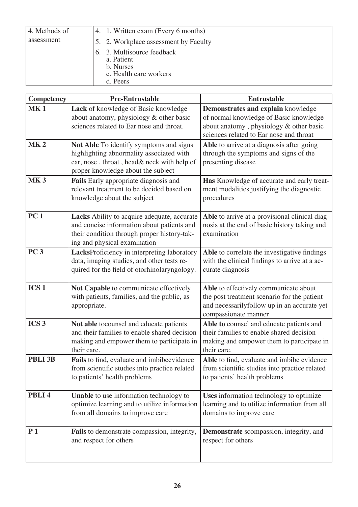| 4. Methods of | 4. 1. Written exam (Every 6 months)                                                         |
|---------------|---------------------------------------------------------------------------------------------|
| assessment    | 5. 2. Workplace assessment by Faculty                                                       |
|               | 6. 3. Multisource feedback<br>a. Patient<br>b. Nurses<br>c. Health care workers<br>d. Peers |

| Competency        | <b>Pre-Entrustable</b>                                                                                                                                                   | <b>Entrustable</b>                                                                                                                                                 |
|-------------------|--------------------------------------------------------------------------------------------------------------------------------------------------------------------------|--------------------------------------------------------------------------------------------------------------------------------------------------------------------|
| <b>MK1</b>        | Lack of knowledge of Basic knowledge<br>about anatomy, physiology & other basic<br>sciences related to Ear nose and throat.                                              | Demonstrates and explain knowledge<br>of normal knowledge of Basic knowledge<br>about anatomy, physiology & other basic<br>sciences related to Ear nose and throat |
| MK <sub>2</sub>   | Not Able To identify symptoms and signs<br>highlighting abnormality associated with<br>ear, nose, throat, head& neck with help of<br>proper knowledge about the subject  | Able to arrive at a diagnosis after going<br>through the symptoms and signs of the<br>presenting disease                                                           |
| <b>MK3</b>        | Fails Early appropriate diagnosis and<br>relevant treatment to be decided based on<br>knowledge about the subject                                                        | Has Knowledge of accurate and early treat-<br>ment modalities justifying the diagnostic<br>procedures                                                              |
| <b>PC1</b>        | Lacks Ability to acquire adequate, accurate<br>and concise information about patients and<br>their condition through proper history-tak-<br>ing and physical examination | Able to arrive at a provisional clinical diag-<br>nosis at the end of basic history taking and<br>examination                                                      |
| PC <sub>3</sub>   | LacksProficiency in interpreting laboratory<br>data, imaging studies, and other tests re-<br>quired for the field of otorhinolaryngology.                                | Able to correlate the investigative findings<br>with the clinical findings to arrive at a ac-<br>curate diagnosis                                                  |
| ICS <sub>1</sub>  | Not Capable to communicate effectively<br>with patients, families, and the public, as<br>appropriate.                                                                    | Able to effectively communicate about<br>the post treatment scenario for the patient<br>and necessarilyfollow up in an accurate yet<br>compassionate manner        |
| ICS <sub>3</sub>  | Not able tocounsel and educate patients<br>and their families to enable shared decision<br>making and empower them to participate in<br>their care.                      | Able to counsel and educate patients and<br>their families to enable shared decision<br>making and empower them to participate in<br>their care.                   |
| PBLI 3B           | Fails to find, evaluate and imbibeevidence<br>from scientific studies into practice related<br>to patients' health problems                                              | Able to find, evaluate and imbibe evidence<br>from scientific studies into practice related<br>to patients' health problems                                        |
| PBLI <sub>4</sub> | Unable to use information technology to<br>optimize learning and to utilize information<br>from all domains to improve care                                              | Uses information technology to optimize<br>learning and to utilize information from all<br>domains to improve care                                                 |
| P <sub>1</sub>    | Fails to demonstrate compassion, integrity,<br>and respect for others                                                                                                    | <b>Demonstrate</b> scompassion, integrity, and<br>respect for others                                                                                               |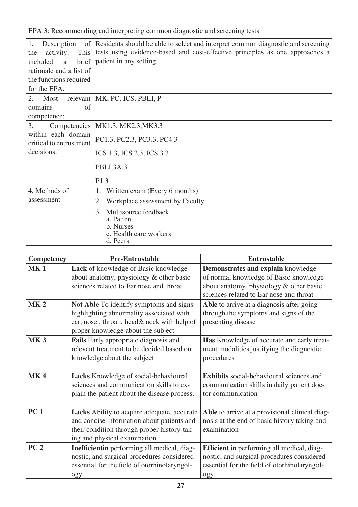| EPA 3: Recommending and interpreting common diagnostic and screening tests                                                             |                                                                                                                                                                                                             |  |
|----------------------------------------------------------------------------------------------------------------------------------------|-------------------------------------------------------------------------------------------------------------------------------------------------------------------------------------------------------------|--|
| 1.<br>Description<br>activity:<br>the<br>included<br>$\mathbf{a}$<br>rationale and a list of<br>the functions required<br>for the EPA. | of Residents should be able to select and interpret common diagnostic and screening<br>This tests using evidence-based and cost-effective principles as one approaches a<br>brief   patient in any setting. |  |
| 2.<br>Most<br>domains<br>of<br>competence:                                                                                             | relevant   MK, PC, ICS, PBLI, P                                                                                                                                                                             |  |
| 3.<br>within each domain<br>critical to entrustment<br>decisions:                                                                      | Competencies   MK1.3, MK2.3, MK3.3<br>PC1.3, PC2.3, PC3.3, PC4.3<br>ICS 1.3, ICS 2.3, ICS 3.3<br>PBLI 3A.3                                                                                                  |  |
|                                                                                                                                        | P1.3                                                                                                                                                                                                        |  |
| 4. Methods of<br>assessment                                                                                                            | Written exam (Every 6 months)<br>1.<br>Workplace assessment by Faculty<br>2.<br>Multisource feedback<br>3.<br>a. Patient<br>b. Nurses<br>c. Health care workers<br>d. Peers                                 |  |

| <b>Competency</b> | <b>Pre-Entrustable</b>                                                                                                                                                   | <b>Entrustable</b>                                                                                                                                                 |
|-------------------|--------------------------------------------------------------------------------------------------------------------------------------------------------------------------|--------------------------------------------------------------------------------------------------------------------------------------------------------------------|
| <b>MK1</b>        | Lack of knowledge of Basic knowledge<br>about anatomy, physiology & other basic<br>sciences related to Ear nose and throat.                                              | Demonstrates and explain knowledge<br>of normal knowledge of Basic knowledge<br>about anatomy, physiology & other basic<br>sciences related to Ear nose and throat |
| <b>MK2</b>        | Not Able To identify symptoms and signs<br>highlighting abnormality associated with<br>ear, nose, throat, head& neck with help of<br>proper knowledge about the subject  | Able to arrive at a diagnosis after going<br>through the symptoms and signs of the<br>presenting disease                                                           |
| <b>MK3</b>        | Fails Early appropriate diagnosis and<br>relevant treatment to be decided based on<br>knowledge about the subject                                                        | Has Knowledge of accurate and early treat-<br>ment modalities justifying the diagnostic<br>procedures                                                              |
| <b>MK4</b>        | Lacks Knowledge of social-behavioural<br>sciences and communication skills to ex-<br>plain the patient about the disease process.                                        | <b>Exhibits</b> social-behavioural sciences and<br>communication skills in daily patient doc-<br>tor communication                                                 |
| <b>PC1</b>        | Lacks Ability to acquire adequate, accurate<br>and concise information about patients and<br>their condition through proper history-tak-<br>ing and physical examination | Able to arrive at a provisional clinical diag-<br>nosis at the end of basic history taking and<br>examination                                                      |
| PC <sub>2</sub>   | Inefficientin performing all medical, diag-<br>nostic, and surgical procedures considered<br>essential for the field of otorhinolaryngol-<br>ogy.                        | <b>Efficient</b> in performing all medical, diag-<br>nostic, and surgical procedures considered<br>essential for the field of otorhinolaryngol-<br>ogy.            |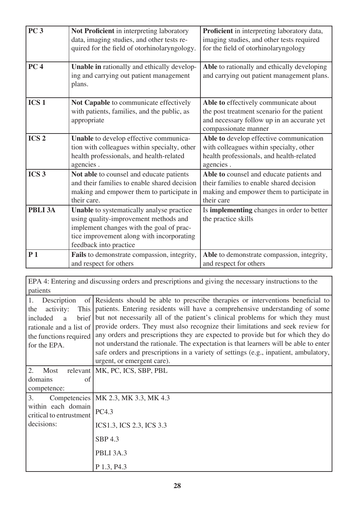| <b>PC 3</b><br>PC <sub>4</sub> | Not Proficient in interpreting laboratory<br>data, imaging studies, and other tests re-<br>quired for the field of otorhinolaryngology.                                                               | Proficient in interpreting laboratory data,<br>imaging studies, and other tests required<br>for the field of otorhinolaryngology                           |
|--------------------------------|-------------------------------------------------------------------------------------------------------------------------------------------------------------------------------------------------------|------------------------------------------------------------------------------------------------------------------------------------------------------------|
|                                | Unable in rationally and ethically develop-<br>ing and carrying out patient management<br>plans.                                                                                                      | Able to rationally and ethically developing<br>and carrying out patient management plans.                                                                  |
| ICS <sub>1</sub>               | Not Capable to communicate effectively<br>with patients, families, and the public, as<br>appropriate                                                                                                  | Able to effectively communicate about<br>the post treatment scenario for the patient<br>and necessary follow up in an accurate yet<br>compassionate manner |
| ICS <sub>2</sub>               | Unable to develop effective communica-<br>tion with colleagues within specialty, other<br>health professionals, and health-related<br>agencies.                                                       | Able to develop effective communication<br>with colleagues within specialty, other<br>health professionals, and health-related<br>agencies.                |
| ICS <sub>3</sub>               | Not able to counsel and educate patients<br>and their families to enable shared decision<br>making and empower them to participate in<br>their care.                                                  | Able to counsel and educate patients and<br>their families to enable shared decision<br>making and empower them to participate in<br>their care            |
| <b>PBLI 3A</b>                 | Unable to systematically analyse practice<br>using quality-improvement methods and<br>implement changes with the goal of prac-<br>tice improvement along with incorporating<br>feedback into practice | Is <b>implementing</b> changes in order to better<br>the practice skills                                                                                   |
| P <sub>1</sub>                 | Fails to demonstrate compassion, integrity,<br>and respect for others                                                                                                                                 | Able to demonstrate compassion, integrity,<br>and respect for others                                                                                       |

EPA 4: Entering and discussing orders and prescriptions and giving the necessary instructions to the patients

| 1.<br>Description<br>of                       | Residents should be able to prescribe therapies or interventions beneficial to       |
|-----------------------------------------------|--------------------------------------------------------------------------------------|
| This<br>the<br>activity:                      | patients. Entering residents will have a comprehensive understanding of some         |
| brief<br>included<br>a                        | but not necessarily all of the patient's clinical problems for which they must       |
| rationale and a list of                       | provide orders. They must also recognize their limitations and seek review for       |
| the functions required                        | any orders and prescriptions they are expected to provide but for which they do      |
| for the EPA.                                  | not understand the rationale. The expectation is that learners will be able to enter |
|                                               | safe orders and prescriptions in a variety of settings (e.g., inpatient, ambulatory, |
|                                               | urgent, or emergent care).                                                           |
| 2.<br>Most                                    | relevant   MK, PC, ICS, SBP, PBL                                                     |
| domains<br>of                                 |                                                                                      |
| competence:                                   |                                                                                      |
| 3.                                            | Competencies   MK 2.3, MK 3.3, MK 4.3                                                |
| within each domain<br>critical to entrustment | PC4.3                                                                                |
| decisions:                                    | ICS1.3, ICS 2.3, ICS 3.3                                                             |
|                                               | <b>SBP 4.3</b>                                                                       |
|                                               | PBLI 3A.3                                                                            |
|                                               | P 1.3, P4.3                                                                          |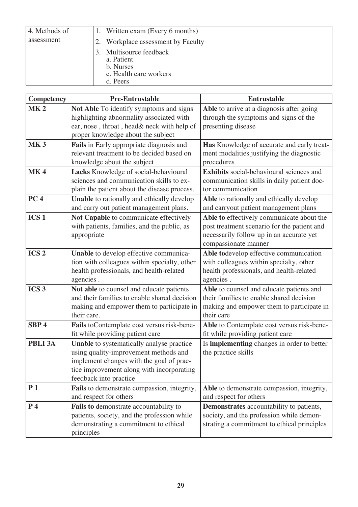| 4. Methods of |    | 1. Written exam (Every 6 months)                                                      |
|---------------|----|---------------------------------------------------------------------------------------|
| assessment    |    | Workplace assessment by Faculty                                                       |
|               | 3. | Multisource feedback<br>a. Patient<br>b. Nurses<br>c. Health care workers<br>d. Peers |

| Competency       | <b>Pre-Entrustable</b>                                                                                                                                                                                | <b>Entrustable</b>                                                                                                                                           |
|------------------|-------------------------------------------------------------------------------------------------------------------------------------------------------------------------------------------------------|--------------------------------------------------------------------------------------------------------------------------------------------------------------|
| MK <sub>2</sub>  | Not Able To identify symptoms and signs<br>highlighting abnormality associated with<br>ear, nose, throat, head& neck with help of<br>proper knowledge about the subject                               | Able to arrive at a diagnosis after going<br>through the symptoms and signs of the<br>presenting disease                                                     |
| <b>MK3</b>       | Fails in Early appropriate diagnosis and<br>relevant treatment to be decided based on<br>knowledge about the subject                                                                                  | Has Knowledge of accurate and early treat-<br>ment modalities justifying the diagnostic<br>procedures                                                        |
| <b>MK4</b>       | Lacks Knowledge of social-behavioural<br>sciences and communication skills to ex-<br>plain the patient about the disease process.                                                                     | <b>Exhibits</b> social-behavioural sciences and<br>communication skills in daily patient doc-<br>tor communication                                           |
| PC <sub>4</sub>  | <b>Unable</b> to rationally and ethically develop<br>and carry out patient management plans.                                                                                                          | Able to rationally and ethically develop<br>and carryout patient management plans                                                                            |
| ICS <sub>1</sub> | Not Capable to communicate effectively<br>with patients, families, and the public, as<br>appropriate                                                                                                  | Able to effectively communicate about the<br>post treatment scenario for the patient and<br>necessarily follow up in an accurate yet<br>compassionate manner |
| ICS <sub>2</sub> | Unable to develop effective communica-<br>tion with colleagues within specialty, other<br>health professionals, and health-related<br>agencies.                                                       | Able todevelop effective communication<br>with colleagues within specialty, other<br>health professionals, and health-related<br>agencies.                   |
| ICS <sub>3</sub> | Not able to counsel and educate patients<br>and their families to enable shared decision<br>making and empower them to participate in<br>their care.                                                  | Able to counsel and educate patients and<br>their families to enable shared decision<br>making and empower them to participate in<br>their care              |
| SBP <sub>4</sub> | Fails to Contemplate cost versus risk-bene-<br>fit while providing patient care                                                                                                                       | Able to Contemplate cost versus risk-bene-<br>fit while providing patient care                                                                               |
| <b>PBLI 3A</b>   | Unable to systematically analyse practice<br>using quality-improvement methods and<br>implement changes with the goal of prac-<br>tice improvement along with incorporating<br>feedback into practice | Is implementing changes in order to better<br>the practice skills                                                                                            |
| P <sub>1</sub>   | Fails to demonstrate compassion, integrity,<br>and respect for others                                                                                                                                 | Able to demonstrate compassion, integrity,<br>and respect for others                                                                                         |
| P <sub>4</sub>   | Fails to demonstrate accountability to<br>patients, society, and the profession while<br>demonstrating a commitment to ethical<br>principles                                                          | Demonstrates accountability to patients,<br>society, and the profession while demon-<br>strating a commitment to ethical principles                          |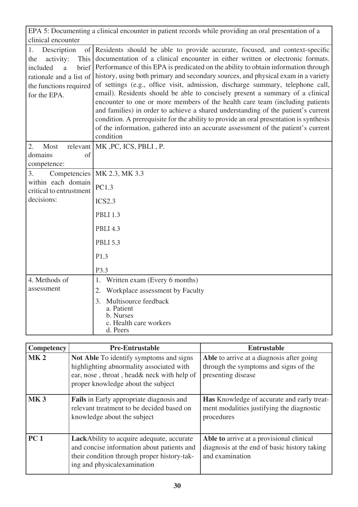|                                                                                                                                                                    | EPA 5: Documenting a clinical encounter in patient records while providing an oral presentation of a                                                                                                                                                                                                                                                                                                                                                                                                                                                                                                                                                                                                                                                                                                                                                            |
|--------------------------------------------------------------------------------------------------------------------------------------------------------------------|-----------------------------------------------------------------------------------------------------------------------------------------------------------------------------------------------------------------------------------------------------------------------------------------------------------------------------------------------------------------------------------------------------------------------------------------------------------------------------------------------------------------------------------------------------------------------------------------------------------------------------------------------------------------------------------------------------------------------------------------------------------------------------------------------------------------------------------------------------------------|
| clinical encounter                                                                                                                                                 |                                                                                                                                                                                                                                                                                                                                                                                                                                                                                                                                                                                                                                                                                                                                                                                                                                                                 |
| 1.<br>Description<br>$\vert$ of $\vert$<br>activity:<br>This<br>the<br>brief<br>included<br>a<br>rationale and a list of<br>the functions required<br>for the EPA. | Residents should be able to provide accurate, focused, and context-specific<br>documentation of a clinical encounter in either written or electronic formats.<br>Performance of this EPA is predicated on the ability to obtain information through<br>history, using both primary and secondary sources, and physical exam in a variety<br>of settings (e.g., office visit, admission, discharge summary, telephone call,<br>email). Residents should be able to concisely present a summary of a clinical<br>encounter to one or more members of the health care team (including patients<br>and families) in order to achieve a shared understanding of the patient's current<br>condition. A prerequisite for the ability to provide an oral presentation is synthesis<br>of the information, gathered into an accurate assessment of the patient's current |
|                                                                                                                                                                    | condition                                                                                                                                                                                                                                                                                                                                                                                                                                                                                                                                                                                                                                                                                                                                                                                                                                                       |
| 2.<br>Most<br>relevant<br>domains<br>of<br>competence:                                                                                                             | MK, PC, ICS, PBLI, P.                                                                                                                                                                                                                                                                                                                                                                                                                                                                                                                                                                                                                                                                                                                                                                                                                                           |
| 3.<br>Competencies                                                                                                                                                 | MK 2.3, MK 3.3                                                                                                                                                                                                                                                                                                                                                                                                                                                                                                                                                                                                                                                                                                                                                                                                                                                  |
| within each domain<br>critical to entrustment                                                                                                                      | PC1.3                                                                                                                                                                                                                                                                                                                                                                                                                                                                                                                                                                                                                                                                                                                                                                                                                                                           |
| decisions:                                                                                                                                                         | ICS2.3                                                                                                                                                                                                                                                                                                                                                                                                                                                                                                                                                                                                                                                                                                                                                                                                                                                          |
|                                                                                                                                                                    | <b>PBLI 1.3</b>                                                                                                                                                                                                                                                                                                                                                                                                                                                                                                                                                                                                                                                                                                                                                                                                                                                 |
|                                                                                                                                                                    | <b>PBLI 4.3</b>                                                                                                                                                                                                                                                                                                                                                                                                                                                                                                                                                                                                                                                                                                                                                                                                                                                 |
|                                                                                                                                                                    | <b>PBLI 5.3</b>                                                                                                                                                                                                                                                                                                                                                                                                                                                                                                                                                                                                                                                                                                                                                                                                                                                 |
|                                                                                                                                                                    | P1.3                                                                                                                                                                                                                                                                                                                                                                                                                                                                                                                                                                                                                                                                                                                                                                                                                                                            |
|                                                                                                                                                                    | P3.3                                                                                                                                                                                                                                                                                                                                                                                                                                                                                                                                                                                                                                                                                                                                                                                                                                                            |
| 4. Methods of                                                                                                                                                      | Written exam (Every 6 months)<br>1.                                                                                                                                                                                                                                                                                                                                                                                                                                                                                                                                                                                                                                                                                                                                                                                                                             |
| assessment                                                                                                                                                         | Workplace assessment by Faculty<br>2.                                                                                                                                                                                                                                                                                                                                                                                                                                                                                                                                                                                                                                                                                                                                                                                                                           |
|                                                                                                                                                                    | Multisource feedback<br>3.<br>a. Patient<br>b. Nurses<br>c. Health care workers<br>d. Peers                                                                                                                                                                                                                                                                                                                                                                                                                                                                                                                                                                                                                                                                                                                                                                     |

| <b>Competency</b> | <b>Pre-Entrustable</b>                                                                                                                                                         | <b>Entrustable</b>                                                                                           |
|-------------------|--------------------------------------------------------------------------------------------------------------------------------------------------------------------------------|--------------------------------------------------------------------------------------------------------------|
| MK <sub>2</sub>   | <b>Not Able To identify symptoms and signs</b><br>highlighting abnormality associated with<br>ear, nose, throat, head& neck with help of<br>proper knowledge about the subject | Able to arrive at a diagnosis after going<br>through the symptoms and signs of the<br>presenting disease     |
| MK <sub>3</sub>   | <b>Fails</b> in Early appropriate diagnosis and<br>relevant treatment to be decided based on<br>knowledge about the subject                                                    | <b>Has</b> Knowledge of accurate and early treat-<br>ment modalities justifying the diagnostic<br>procedures |
| PC <sub>1</sub>   | <b>LackAbility to acquire adequate, accurate</b><br>and concise information about patients and<br>their condition through proper history-tak-<br>ing and physical examination  | Able to arrive at a provisional clinical<br>diagnosis at the end of basic history taking<br>and examination  |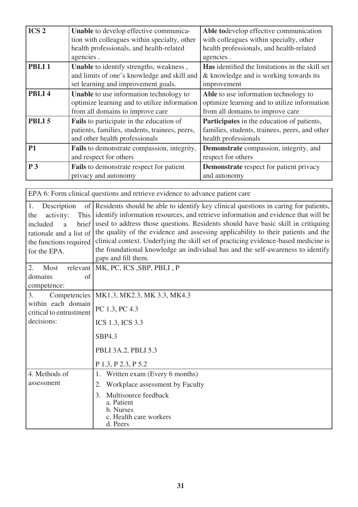| ICS <sub>2</sub>  | Unable to develop effective communica-<br>tion with colleagues within specialty, other<br>health professionals, and health-related<br>agencies. | Able todevelop effective communication<br>with colleagues within specialty, other<br>health professionals, and health-related<br>agencies. |
|-------------------|-------------------------------------------------------------------------------------------------------------------------------------------------|--------------------------------------------------------------------------------------------------------------------------------------------|
| PBLI <sub>1</sub> | Unable to identify strengths, weakness,<br>and limits of one's knowledge and skill and<br>set learning and improvement goals.                   | <b>Has</b> identified the limitations in the skill set<br>& knowledge and is working towards its<br>improvement                            |
| PBLI <sub>4</sub> | Unable to use information technology to<br>optimize learning and to utilize information<br>from all domains to improve care                     | Able to use information technology to<br>optimize learning and to utilize information<br>from all domains to improve care                  |
| PBLI <sub>5</sub> | Fails to participate in the education of<br>patients, families, students, trainees, peers,<br>and other health professionals                    | <b>Participates</b> in the education of patients,<br>families, students, trainees, peers, and other<br>health professionals                |
| <b>P1</b>         | Fails to demonstrate compassion, integrity,<br>and respect for others                                                                           | Demonstrate compassion, integrity, and<br>respect for others                                                                               |
| P <sub>3</sub>    | <b>Fails</b> to demonstrate respect for patient<br>privacy and autonomy                                                                         | <b>Demonstrate</b> respect for patient privacy<br>and autonomy                                                                             |

EPA 6: Form clinical questions and retrieve evidence to advance patient care 1. Description of the activity: included a brief rationale and a list of the functions required for the EPA. Residents should be able to identify key clinical questions in caring for patients, identify information resources, and retrieve information and evidence that will be used to address those questions. Residents should have basic skill in critiquing the quality of the evidence and assessing applicability to their patients and the clinical context. Underlying the skill set of practicing evidence-based medicine is the foundational knowledge an individual has and the self-awareness to identify gaps and fill them. 2. Most relevant domains of competence: MK, PC, ICS ,SBP, PBLI , P 3. Competencies within each domain critical to entrustment decisions: MK1.3, MK2.3, MK 3.3, MK4.3 PC 1.3, PC 4.3 ICS 1.3, ICS 3.3 SBP4.3 PBLI 3A.2, PBLI 5.3 P 1.3, P 2.3, P 5.2 4. Methods of assessment 1. Written exam (Every 6 months) 2. Workplace assessment by Faculty 3. Multisource feedback a. Patient b. Nurses c. Health care workers d. Peers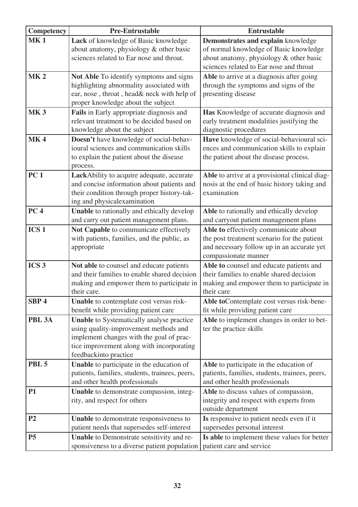| Competency        | <b>Pre-Entrustable</b>                                                              | <b>Entrustable</b>                                                                  |
|-------------------|-------------------------------------------------------------------------------------|-------------------------------------------------------------------------------------|
| <b>MK1</b>        | Lack of knowledge of Basic knowledge                                                | Demonstrates and explain knowledge                                                  |
|                   | about anatomy, physiology & other basic                                             | of normal knowledge of Basic knowledge                                              |
|                   | sciences related to Ear nose and throat.                                            | about anatomy, physiology & other basic                                             |
|                   |                                                                                     | sciences related to Ear nose and throat                                             |
| MK <sub>2</sub>   | Not Able To identify symptoms and signs                                             | Able to arrive at a diagnosis after going                                           |
|                   | highlighting abnormality associated with                                            | through the symptoms and signs of the                                               |
|                   | ear, nose, throat, head& neck with help of                                          | presenting disease                                                                  |
|                   | proper knowledge about the subject                                                  |                                                                                     |
| <b>MK3</b>        | Fails in Early appropriate diagnosis and                                            | Has Knowledge of accurate diagnosis and                                             |
|                   | relevant treatment to be decided based on                                           | early treatment modalities justifying the                                           |
|                   | knowledge about the subject                                                         | diagnostic procedures                                                               |
| <b>MK4</b>        | Doesn't have knowledge of social-behav-<br>ioural sciences and communication skills | Have knowledge of social-behavioural sci-                                           |
|                   | to explain the patient about the disease                                            | ences and communication skills to explain<br>the patient about the disease process. |
|                   | process.                                                                            |                                                                                     |
| <b>PC1</b>        | LackAbility to acquire adequate, accurate                                           | Able to arrive at a provisional clinical diag-                                      |
|                   | and concise information about patients and                                          | nosis at the end of basic history taking and                                        |
|                   | their condition through proper history-tak-                                         | examination                                                                         |
|                   | ing and physicalexamination                                                         |                                                                                     |
| PC <sub>4</sub>   | Unable to rationally and ethically develop                                          | Able to rationally and ethically develop                                            |
|                   | and carry out patient management plans.                                             | and carryout patient management plans                                               |
| ICS <sub>1</sub>  | Not Capable to communicate effectively                                              | Able to effectively communicate about                                               |
|                   | with patients, families, and the public, as                                         | the post treatment scenario for the patient                                         |
|                   | appropriate                                                                         | and necessary follow up in an accurate yet                                          |
|                   |                                                                                     | compassionate manner                                                                |
| ICS <sub>3</sub>  | Not able to counsel and educate patients                                            | Able to counsel and educate patients and                                            |
|                   | and their families to enable shared decision                                        | their families to enable shared decision                                            |
|                   | making and empower them to participate in<br>their care.                            | making and empower them to participate in<br>their care                             |
| SBP <sub>4</sub>  | Unable to contemplate cost versus risk-                                             | Able to Contemplate cost versus risk-bene-                                          |
|                   | benefit while providing patient care                                                | fit while providing patient care                                                    |
| PBL <sub>3A</sub> | Unable to Systematically analyse practice                                           | Able to implement changes in order to bet-                                          |
|                   | using quality-improvement methods and                                               | ter the practice skills                                                             |
|                   | implement changes with the goal of prac-                                            |                                                                                     |
|                   | tice improvement along with incorporating                                           |                                                                                     |
|                   | feedbackinto practice                                                               |                                                                                     |
| PBL <sub>5</sub>  | Unable to participate in the education of                                           | Able to participate in the education of                                             |
|                   | patients, families, students, trainees, peers,                                      | patients, families, students, trainees, peers,                                      |
|                   | and other health professionals                                                      | and other health professionals                                                      |
| <b>P1</b>         | Unable to demonstrate compassion, integ-                                            | Able to discuss values of compassion,                                               |
|                   | rity, and respect for others                                                        | integrity and respect with experts from                                             |
|                   |                                                                                     | outside department                                                                  |
| P <sub>2</sub>    | Unable to demonstrate responsiveness to                                             | Is responsive to patient needs even if it                                           |
|                   | patient needs that supersedes self-interest                                         | supersedes personal interest                                                        |
| P <sub>5</sub>    | Unable to Demonstrate sensitivity and re-                                           | Is able to implement these values for better                                        |
|                   | sponsiveness to a diverse patient population                                        | patient care and service                                                            |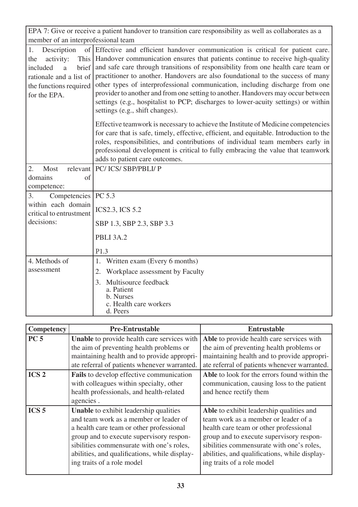| EPA 7: Give or receive a patient handover to transition care responsibility as well as collaborates as a                             |                                                                                                                                                                                                                                                                                                                                                                                                                                                                                                                                                                                                                                             |  |  |
|--------------------------------------------------------------------------------------------------------------------------------------|---------------------------------------------------------------------------------------------------------------------------------------------------------------------------------------------------------------------------------------------------------------------------------------------------------------------------------------------------------------------------------------------------------------------------------------------------------------------------------------------------------------------------------------------------------------------------------------------------------------------------------------------|--|--|
| member of an interprofessional team                                                                                                  |                                                                                                                                                                                                                                                                                                                                                                                                                                                                                                                                                                                                                                             |  |  |
| Description<br>1.<br>activity:<br>the<br>included<br>brief<br>a<br>rationale and a list of<br>the functions required<br>for the EPA. | of Effective and efficient handover communication is critical for patient care.<br>This   Handover communication ensures that patients continue to receive high-quality<br>and safe care through transitions of responsibility from one health care team or<br>practitioner to another. Handovers are also foundational to the success of many<br>other types of interprofessional communication, including discharge from one<br>provider to another and from one setting to another. Handovers may occur between<br>settings (e.g., hospitalist to PCP; discharges to lower-acuity settings) or within<br>settings (e.g., shift changes). |  |  |
|                                                                                                                                      | Effective teamwork is necessary to achieve the Institute of Medicine competencies<br>for care that is safe, timely, effective, efficient, and equitable. Introduction to the<br>roles, responsibilities, and contributions of individual team members early in<br>professional development is critical to fully embracing the value that teamwork<br>adds to patient care outcomes.                                                                                                                                                                                                                                                         |  |  |
| 2.<br>Most                                                                                                                           | relevant   PC/ ICS/ SBP/PBLI/ P                                                                                                                                                                                                                                                                                                                                                                                                                                                                                                                                                                                                             |  |  |
| domains<br>of<br>competence:                                                                                                         |                                                                                                                                                                                                                                                                                                                                                                                                                                                                                                                                                                                                                                             |  |  |
| 3.<br>Competencies   PC 5.3                                                                                                          |                                                                                                                                                                                                                                                                                                                                                                                                                                                                                                                                                                                                                                             |  |  |
| within each domain<br>critical to entrustment                                                                                        | <b>ICS2.3, ICS 5.2</b>                                                                                                                                                                                                                                                                                                                                                                                                                                                                                                                                                                                                                      |  |  |
| decisions:                                                                                                                           | SBP 1.3, SBP 2.3, SBP 3.3                                                                                                                                                                                                                                                                                                                                                                                                                                                                                                                                                                                                                   |  |  |
|                                                                                                                                      | PBLI 3A.2                                                                                                                                                                                                                                                                                                                                                                                                                                                                                                                                                                                                                                   |  |  |
|                                                                                                                                      | P1.3                                                                                                                                                                                                                                                                                                                                                                                                                                                                                                                                                                                                                                        |  |  |
| 4. Methods of                                                                                                                        | Written exam (Every 6 months)<br>1.                                                                                                                                                                                                                                                                                                                                                                                                                                                                                                                                                                                                         |  |  |
| assessment                                                                                                                           | Workplace assessment by Faculty<br>2.                                                                                                                                                                                                                                                                                                                                                                                                                                                                                                                                                                                                       |  |  |
|                                                                                                                                      | Multisource feedback<br>3.<br>a. Patient<br>b. Nurses<br>c. Health care workers<br>d. Peers                                                                                                                                                                                                                                                                                                                                                                                                                                                                                                                                                 |  |  |

٦

| <b>Competency</b> | <b>Pre-Entrustable</b>                        | <b>Entrustable</b>                            |
|-------------------|-----------------------------------------------|-----------------------------------------------|
| PC <sub>5</sub>   | Unable to provide health care services with   | Able to provide health care services with     |
|                   | the aim of preventing health problems or      | the aim of preventing health problems or      |
|                   | maintaining health and to provide appropri-   | maintaining health and to provide appropri-   |
|                   | ate referral of patients whenever warranted.  | ate referral of patients whenever warranted.  |
| ICS <sub>2</sub>  | Fails to develop effective communication      | Able to look for the errors found within the  |
|                   | with colleagues within specialty, other       | communication, causing loss to the patient    |
|                   | health professionals, and health-related      | and hence rectify them                        |
|                   | agencies.                                     |                                               |
| ICS <sub>5</sub>  | <b>Unable</b> to exhibit leadership qualities | Able to exhibit leadership qualities and      |
|                   | and team work as a member or leader of        | team work as a member or leader of a          |
|                   | a health care team or other professional      | health care team or other professional        |
|                   | group and to execute supervisory respon-      | group and to execute supervisory respon-      |
|                   | sibilities commensurate with one's roles,     | sibilities commensurate with one's roles,     |
|                   | abilities, and qualifications, while display- | abilities, and qualifications, while display- |
|                   | ing traits of a role model                    | ing traits of a role model                    |
|                   |                                               |                                               |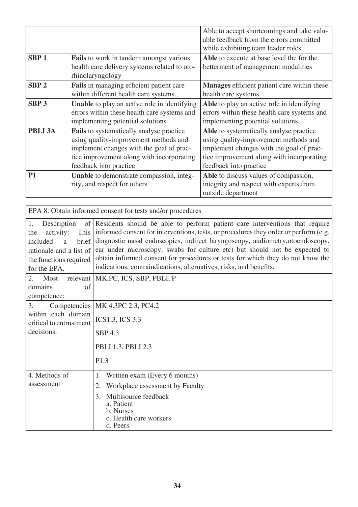|                  |                                                                                                                                                                                                      | Able to accept shortcomings and take valu-<br>able feedback from the errors committed<br>while exhibiting team leader roles                                                                         |
|------------------|------------------------------------------------------------------------------------------------------------------------------------------------------------------------------------------------------|-----------------------------------------------------------------------------------------------------------------------------------------------------------------------------------------------------|
| SBP <sub>1</sub> | <b>Fails</b> to work in tandem amongst various<br>health care delivery systems related to oto-<br>rhinolaryngology                                                                                   | Able to execute at base level the for the<br>betterment of management modalities                                                                                                                    |
| SBP <sub>2</sub> | Fails in managing efficient patient care<br>within different health care systems.                                                                                                                    | <b>Manages</b> efficient patient care within these<br>health care systems.                                                                                                                          |
| SBP <sub>3</sub> | <b>Unable</b> to play an active role in identifying<br>errors within these health care systems and<br>implementing potential solutions                                                               | Able to play an active role in identifying<br>errors within these health care systems and<br>implementing potential solutions                                                                       |
| PBLI 3A          | Fails to systematically analyse practice<br>using quality-improvement methods and<br>implement changes with the goal of prac-<br>tice improvement along with incorporating<br>feedback into practice | Able to systematically analyse practice<br>using quality-improvement methods and<br>implement changes with the goal of prac-<br>tice improvement along with incorporating<br>feedback into practice |
| <b>P1</b>        | Unable to demonstrate compassion, integ-<br>rity, and respect for others                                                                                                                             | Able to discuss values of compassion,<br>integrity and respect with experts from<br>outside department                                                                                              |

| EPA 8: Obtain informed consent for tests and/or procedures                                                                           |                                                                                                                                                                                                                                                                                                                                                                                                                                                                                                     |  |
|--------------------------------------------------------------------------------------------------------------------------------------|-----------------------------------------------------------------------------------------------------------------------------------------------------------------------------------------------------------------------------------------------------------------------------------------------------------------------------------------------------------------------------------------------------------------------------------------------------------------------------------------------------|--|
| 1.<br>Description<br>activity:<br>the<br>brief<br>included<br>a<br>rationale and a list of<br>the functions required<br>for the EPA. | of Residents should be able to perform patient care interventions that require<br>This informed consent for interventions, tests, or procedures they order or perform (e.g.<br>diagnostic nasal endoscopies, indirect laryngoscopy, audiometry, otoendoscopy,<br>ear under microscopy, swabs for culture etc) but should not be expected to<br>obtain informed consent for procedures or tests for which they do not know the<br>indications, contraindications, alternatives, risks, and benefits. |  |
| 2.<br>Most<br>of<br>domains                                                                                                          | relevant   MK, PC, ICS, SBP, PBLI, P                                                                                                                                                                                                                                                                                                                                                                                                                                                                |  |
| competence:                                                                                                                          |                                                                                                                                                                                                                                                                                                                                                                                                                                                                                                     |  |
| Competencies<br>3.                                                                                                                   | MK 4.3PC 2.3, PC4.2                                                                                                                                                                                                                                                                                                                                                                                                                                                                                 |  |
| within each domain<br>critical to entrustment                                                                                        | <b>ICS1.3, ICS 3.3</b>                                                                                                                                                                                                                                                                                                                                                                                                                                                                              |  |
| decisions:                                                                                                                           | <b>SBP 4.3</b>                                                                                                                                                                                                                                                                                                                                                                                                                                                                                      |  |
|                                                                                                                                      | PBLI 1.3, PBLI 2.3                                                                                                                                                                                                                                                                                                                                                                                                                                                                                  |  |
|                                                                                                                                      | P1.3                                                                                                                                                                                                                                                                                                                                                                                                                                                                                                |  |
| 4. Methods of                                                                                                                        | Written exam (Every 6 months)<br>1.                                                                                                                                                                                                                                                                                                                                                                                                                                                                 |  |
| assessment                                                                                                                           | Workplace assessment by Faculty<br>2.                                                                                                                                                                                                                                                                                                                                                                                                                                                               |  |
|                                                                                                                                      | Multisource feedback<br>3.<br>a. Patient<br>b. Nurses<br>c. Health care workers<br>d. Peers                                                                                                                                                                                                                                                                                                                                                                                                         |  |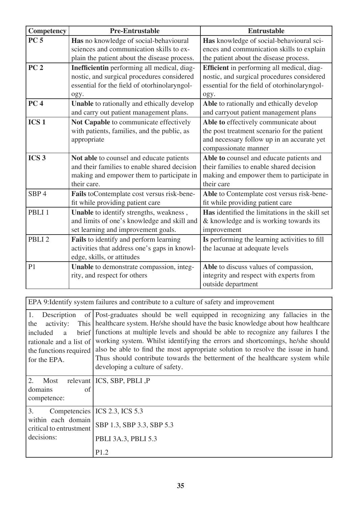| Competency        | <b>Pre-Entrustable</b>                       | <b>Entrustable</b>                              |
|-------------------|----------------------------------------------|-------------------------------------------------|
| PC <sub>5</sub>   | Has no knowledge of social-behavioural       | Has knowledge of social-behavioural sci-        |
|                   | sciences and communication skills to ex-     | ences and communication skills to explain       |
|                   | plain the patient about the disease process. | the patient about the disease process.          |
| PC <sub>2</sub>   | Inefficientin performing all medical, diag-  | Efficient in performing all medical, diag-      |
|                   | nostic, and surgical procedures considered   | nostic, and surgical procedures considered      |
|                   | essential for the field of otorhinolaryngol- | essential for the field of otorhinolaryngol-    |
|                   | ogy.                                         | ogy.                                            |
| PC <sub>4</sub>   | Unable to rationally and ethically develop   | Able to rationally and ethically develop        |
|                   | and carry out patient management plans.      | and carryout patient management plans           |
| ICS <sub>1</sub>  | Not Capable to communicate effectively       | Able to effectively communicate about           |
|                   | with patients, families, and the public, as  | the post treatment scenario for the patient     |
|                   | appropriate                                  | and necessary follow up in an accurate yet      |
|                   |                                              | compassionate manner                            |
| ICS <sub>3</sub>  | Not able to counsel and educate patients     | Able to counsel and educate patients and        |
|                   | and their families to enable shared decision | their families to enable shared decision        |
|                   | making and empower them to participate in    | making and empower them to participate in       |
|                   | their care.                                  | their care                                      |
| SBP <sub>4</sub>  | Fails to Contemplate cost versus risk-bene-  | Able to Contemplate cost versus risk-bene-      |
|                   | fit while providing patient care             | fit while providing patient care                |
| PBLI <sub>1</sub> | Unable to identify strengths, weakness,      | Has identified the limitations in the skill set |
|                   | and limits of one's knowledge and skill and  | & knowledge and is working towards its          |
|                   | set learning and improvement goals.          | improvement                                     |
| PBLI <sub>2</sub> | Fails to identify and perform learning       | Is performing the learning activities to fill   |
|                   | activities that address one's gaps in knowl- | the lacunae at adequate levels                  |
|                   | edge, skills, or attitudes                   |                                                 |
| P <sub>1</sub>    | Unable to demonstrate compassion, integ-     | Able to discuss values of compassion,           |
|                   | rity, and respect for others                 | integrity and respect with experts from         |
|                   |                                              | outside department                              |

EPA 9:Identify system failures and contribute to a culture of safety and improvement

| 1.<br>Description<br>activity:<br>This<br>the<br>brief<br>included<br>a<br>rationale and a list of<br>the functions required<br>for the EPA. | of Post-graduates should be well equipped in recognizing any fallacies in the<br>healthcare system. He/she should have the basic knowledge about how healthcare<br>functions at multiple levels and should be able to recognize any failures I the<br>working system. Whilst identifying the errors and shortcomings, he/she should<br>also be able to find the most appropriate solution to resolve the issue in hand.<br>Thus should contribute towards the betterment of the healthcare system while<br>developing a culture of safety. |
|----------------------------------------------------------------------------------------------------------------------------------------------|--------------------------------------------------------------------------------------------------------------------------------------------------------------------------------------------------------------------------------------------------------------------------------------------------------------------------------------------------------------------------------------------------------------------------------------------------------------------------------------------------------------------------------------------|
| 2.<br>Most<br>domains<br>of<br>competence:                                                                                                   | relevant ICS, SBP, PBLI, P                                                                                                                                                                                                                                                                                                                                                                                                                                                                                                                 |
| 3.<br>within each domain<br>critical to entrustment<br>decisions:                                                                            | Competencies   ICS 2.3, ICS 5.3<br>SBP 1.3, SBP 3.3, SBP 5.3<br>PBLI 3A.3, PBLI 5.3<br>P1.2                                                                                                                                                                                                                                                                                                                                                                                                                                                |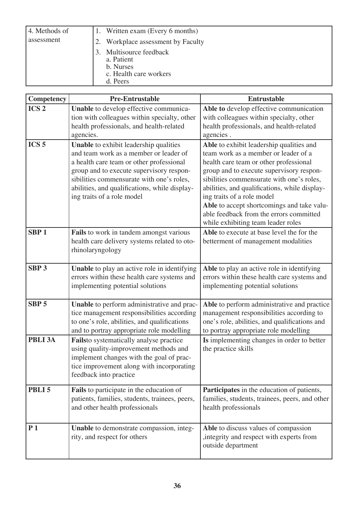| 4. Methods of |  | 1. Written exam (Every 6 months)                                                         |
|---------------|--|------------------------------------------------------------------------------------------|
| assessment    |  | Workplace assessment by Faculty                                                          |
|               |  | 3. Multisource feedback<br>a. Patient<br>b. Nurses<br>c. Health care workers<br>d. Peers |

| Competency       | <b>Pre-Entrustable</b>                                                                                                                                                                                                                                                                               | <b>Entrustable</b>                                                                                                                                                                                                                                                                                                                                                                                                                |  |
|------------------|------------------------------------------------------------------------------------------------------------------------------------------------------------------------------------------------------------------------------------------------------------------------------------------------------|-----------------------------------------------------------------------------------------------------------------------------------------------------------------------------------------------------------------------------------------------------------------------------------------------------------------------------------------------------------------------------------------------------------------------------------|--|
| ICS <sub>2</sub> | Unable to develop effective communica-<br>tion with colleagues within specialty, other<br>health professionals, and health-related<br>agencies.                                                                                                                                                      | Able to develop effective communication<br>with colleagues within specialty, other<br>health professionals, and health-related<br>agencies.                                                                                                                                                                                                                                                                                       |  |
| ICS <sub>5</sub> | Unable to exhibit leadership qualities<br>and team work as a member or leader of<br>a health care team or other professional<br>group and to execute supervisory respon-<br>sibilities commensurate with one's roles,<br>abilities, and qualifications, while display-<br>ing traits of a role model | Able to exhibit leadership qualities and<br>team work as a member or leader of a<br>health care team or other professional<br>group and to execute supervisory respon-<br>sibilities commensurate with one's roles,<br>abilities, and qualifications, while display-<br>ing traits of a role model<br>Able to accept shortcomings and take valu-<br>able feedback from the errors committed<br>while exhibiting team leader roles |  |
| SBP <sub>1</sub> | Fails to work in tandem amongst various<br>health care delivery systems related to oto-<br>rhinolaryngology                                                                                                                                                                                          | Able to execute at base level the for the<br>betterment of management modalities                                                                                                                                                                                                                                                                                                                                                  |  |
| SBP <sub>3</sub> | <b>Unable</b> to play an active role in identifying<br>errors within these health care systems and<br>implementing potential solutions                                                                                                                                                               | Able to play an active role in identifying<br>errors within these health care systems and<br>implementing potential solutions                                                                                                                                                                                                                                                                                                     |  |
| SBP <sub>5</sub> | Unable to perform administrative and prac-<br>tice management responsibilities according<br>to one's role, abilities, and qualifications<br>and to portray appropriate role modelling                                                                                                                | Able to perform administrative and practice<br>management responsibilities according to<br>one's role, abilities, and qualifications and<br>to portray appropriate role modelling                                                                                                                                                                                                                                                 |  |
| PBLI 3A          | Failsto systematically analyse practice<br>using quality-improvement methods and<br>implement changes with the goal of prac-<br>tice improvement along with incorporating<br>feedback into practice                                                                                                  | Is implementing changes in order to better<br>the practice skills                                                                                                                                                                                                                                                                                                                                                                 |  |
| PBLI 5           | <b>Fails</b> to participate in the education of<br>patients, families, students, trainees, peers,<br>and other health professionals                                                                                                                                                                  | Participates in the education of patients,<br>families, students, trainees, peers, and other<br>health professionals                                                                                                                                                                                                                                                                                                              |  |
| P <sub>1</sub>   | Unable to demonstrate compassion, integ-<br>rity, and respect for others                                                                                                                                                                                                                             | Able to discuss values of compassion<br>, integrity and respect with experts from<br>outside department                                                                                                                                                                                                                                                                                                                           |  |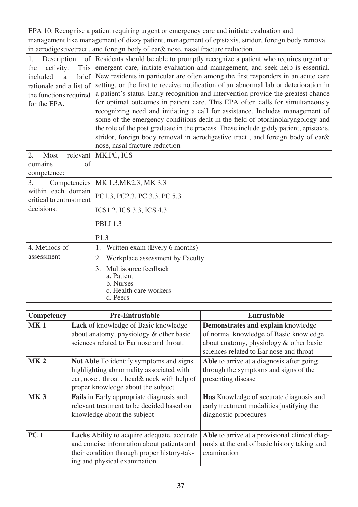EPA 10: Recognise a patient requiring urgent or emergency care and initiate evaluation and management like management of dizzy patient, management of epistaxis, stridor, foreign body removal in aerodigestivetract , and foreign body of ear& nose, nasal fracture reduction.

| of Residents should be able to promptly recognize a patient who requires urgent or         |
|--------------------------------------------------------------------------------------------|
| emergent care, initiate evaluation and management, and seek help is essential.             |
| New residents in particular are often among the first responders in an acute care<br>brief |
| setting, or the first to receive notification of an abnormal lab or deterioration in       |
| a patient's status. Early recognition and intervention provide the greatest chance         |
| for optimal outcomes in patient care. This EPA often calls for simultaneously              |
| recognizing need and initiating a call for assistance. Includes management of              |
| some of the emergency conditions dealt in the field of otorhinolaryngology and             |
| the role of the post graduate in the process. These include giddy patient, epistaxis,      |
| stridor, foreign body removal in aerodigestive tract, and foreign body of ear&             |
| nose, nasal fracture reduction                                                             |
| MK, PC, ICS                                                                                |
|                                                                                            |
|                                                                                            |
| MK 1.3, MK 2.3, MK 3.3                                                                     |
|                                                                                            |
| PC1.3, PC2.3, PC 3.3, PC 5.3                                                               |
| ICS1.2, ICS 3.3, ICS 4.3                                                                   |
| <b>PBLI 1.3</b>                                                                            |
| P1.3                                                                                       |
| Written exam (Every 6 months)<br>1.                                                        |
| Workplace assessment by Faculty<br>2.                                                      |
| Multisource feedback<br>3.                                                                 |
| a. Patient                                                                                 |
| b. Nurses<br>c. Health care workers                                                        |
| d. Peers                                                                                   |
|                                                                                            |

| <b>Competency</b> | <b>Pre-Entrustable</b>                                                                                                                                                          | <b>Entrustable</b>                                                                                                                                                 |
|-------------------|---------------------------------------------------------------------------------------------------------------------------------------------------------------------------------|--------------------------------------------------------------------------------------------------------------------------------------------------------------------|
| <b>MK1</b>        | Lack of knowledge of Basic knowledge<br>about anatomy, physiology & other basic<br>sciences related to Ear nose and throat.                                                     | Demonstrates and explain knowledge<br>of normal knowledge of Basic knowledge<br>about anatomy, physiology & other basic<br>sciences related to Ear nose and throat |
| MK <sub>2</sub>   | <b>Not Able To identify symptoms and signs</b><br>highlighting abnormality associated with<br>ear, nose, throat, head& neck with help of<br>proper knowledge about the subject  | Able to arrive at a diagnosis after going<br>through the symptoms and signs of the<br>presenting disease                                                           |
| <b>MK3</b>        | Fails in Early appropriate diagnosis and<br>relevant treatment to be decided based on<br>knowledge about the subject                                                            | <b>Has</b> Knowledge of accurate diagnosis and<br>early treatment modalities justifying the<br>diagnostic procedures                                               |
| PC <sub>1</sub>   | <b>Lacks</b> Ability to acquire adequate, accurate<br>and concise information about patients and<br>their condition through proper history-tak-<br>ing and physical examination | Able to arrive at a provisional clinical diag-<br>nosis at the end of basic history taking and<br>examination                                                      |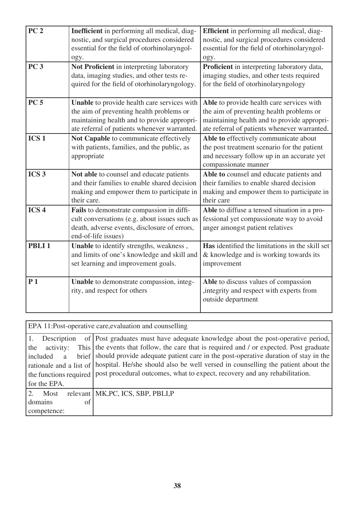| PC <sub>2</sub>   | Inefficient in performing all medical, diag-<br>nostic, and surgical procedures considered<br>essential for the field of otorhinolaryngol-<br>ogy.                                     | Efficient in performing all medical, diag-<br>nostic, and surgical procedures considered<br>essential for the field of otorhinolaryngol-<br>ogy.                                     |
|-------------------|----------------------------------------------------------------------------------------------------------------------------------------------------------------------------------------|--------------------------------------------------------------------------------------------------------------------------------------------------------------------------------------|
| <b>PC 3</b>       | Not Proficient in interpreting laboratory<br>data, imaging studies, and other tests re-<br>quired for the field of otorhinolaryngology.                                                | Proficient in interpreting laboratory data,<br>imaging studies, and other tests required<br>for the field of otorhinolaryngology                                                     |
| <b>PC 5</b>       | Unable to provide health care services with<br>the aim of preventing health problems or<br>maintaining health and to provide appropri-<br>ate referral of patients whenever warranted. | Able to provide health care services with<br>the aim of preventing health problems or<br>maintaining health and to provide appropri-<br>ate referral of patients whenever warranted. |
| ICS <sub>1</sub>  | Not Capable to communicate effectively<br>with patients, families, and the public, as<br>appropriate                                                                                   | Able to effectively communicate about<br>the post treatment scenario for the patient<br>and necessary follow up in an accurate yet<br>compassionate manner                           |
| ICS <sub>3</sub>  | Not able to counsel and educate patients<br>and their families to enable shared decision<br>making and empower them to participate in<br>their care.                                   | Able to counsel and educate patients and<br>their families to enable shared decision<br>making and empower them to participate in<br>their care                                      |
| ICS <sub>4</sub>  | Fails to demonstrate compassion in diffi-<br>cult conversations (e.g. about issues such as<br>death, adverse events, disclosure of errors,<br>end-of-life issues)                      | Able to diffuse a tensed situation in a pro-<br>fessional yet compassionate way to avoid<br>anger amongst patient relatives                                                          |
| PBLI <sub>1</sub> | Unable to identify strengths, weakness,<br>and limits of one's knowledge and skill and<br>set learning and improvement goals.                                                          | Has identified the limitations in the skill set<br>& knowledge and is working towards its<br>improvement                                                                             |
| P <sub>1</sub>    | Unable to demonstrate compassion, integ-<br>rity, and respect for others                                                                                                               | Able to discuss values of compassion<br>, integrity and respect with experts from<br>outside department                                                                              |

EPA 11:Post-operative care,evaluation and counselling

| Description      | of Post graduates must have adequate knowledge about the post-operative period,                            |
|------------------|------------------------------------------------------------------------------------------------------------|
| the<br>activity: | This the events that follow, the care that is required and / or expected. Post graduate                    |
| included<br>a    | brief should provide adequate patient care in the post-operative duration of stay in the                   |
|                  | rationale and a list of   hospital. He/she should also be well versed in counselling the patient about the |
|                  | the functions required   post procedural outcomes, what to expect, recovery and any rehabilitation.        |
| for the EPA.     |                                                                                                            |
| Most             | relevant   MK, PC, ICS, SBP, PBLI, P                                                                       |
| domains<br>of    |                                                                                                            |
| competence:      |                                                                                                            |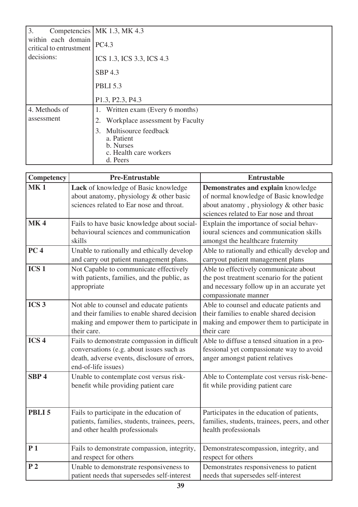| 3.                                            | Competencies   MK 1.3, MK 4.3                                                               |
|-----------------------------------------------|---------------------------------------------------------------------------------------------|
| within each domain<br>critical to entrustment | PC4.3                                                                                       |
| decisions:                                    | ICS 1.3, ICS 3.3, ICS 4.3                                                                   |
|                                               | SBP 4.3                                                                                     |
|                                               | <b>PBLI 5.3</b>                                                                             |
|                                               | P1.3, P2.3, P4.3                                                                            |
| 4. Methods of                                 | 1. Written exam (Every 6 months)                                                            |
| assessment                                    | Workplace assessment by Faculty<br>2.                                                       |
|                                               | Multisource feedback<br>3.<br>a. Patient<br>b. Nurses<br>c. Health care workers<br>d. Peers |

| Competency        | <b>Pre-Entrustable</b>                                                                                                                                          | <b>Entrustable</b>                                                                                                                                                 |
|-------------------|-----------------------------------------------------------------------------------------------------------------------------------------------------------------|--------------------------------------------------------------------------------------------------------------------------------------------------------------------|
| <b>MK1</b>        | Lack of knowledge of Basic knowledge<br>about anatomy, physiology & other basic<br>sciences related to Ear nose and throat.                                     | Demonstrates and explain knowledge<br>of normal knowledge of Basic knowledge<br>about anatomy, physiology & other basic<br>sciences related to Ear nose and throat |
| <b>MK4</b>        | Fails to have basic knowledge about social-<br>behavioural sciences and communication<br>skills                                                                 | Explain the importance of social behav-<br>ioural sciences and communication skills<br>amongst the healthcare fraternity                                           |
| PC <sub>4</sub>   | Unable to rationally and ethically develop<br>and carry out patient management plans.                                                                           | Able to rationally and ethically develop and<br>carryout patient management plans                                                                                  |
| ICS <sub>1</sub>  | Not Capable to communicate effectively<br>with patients, families, and the public, as<br>appropriate                                                            | Able to effectively communicate about<br>the post treatment scenario for the patient<br>and necessary follow up in an accurate yet<br>compassionate manner         |
| ICS <sub>3</sub>  | Not able to counsel and educate patients<br>and their families to enable shared decision<br>making and empower them to participate in<br>their care.            | Able to counsel and educate patients and<br>their families to enable shared decision<br>making and empower them to participate in<br>their care                    |
| ICS <sub>4</sub>  | Fails to demonstrate compassion in difficult<br>conversations (e.g. about issues such as<br>death, adverse events, disclosure of errors,<br>end-of-life issues) | Able to diffuse a tensed situation in a pro-<br>fessional yet compassionate way to avoid<br>anger amongst patient relatives                                        |
| SBP <sub>4</sub>  | Unable to contemplate cost versus risk-<br>benefit while providing patient care                                                                                 | Able to Contemplate cost versus risk-bene-<br>fit while providing patient care                                                                                     |
| PBLI <sub>5</sub> | Fails to participate in the education of<br>patients, families, students, trainees, peers,<br>and other health professionals                                    | Participates in the education of patients,<br>families, students, trainees, peers, and other<br>health professionals                                               |
| P <sub>1</sub>    | Fails to demonstrate compassion, integrity,<br>and respect for others                                                                                           | Demonstratescompassion, integrity, and<br>respect for others                                                                                                       |
| P <sub>2</sub>    | Unable to demonstrate responsiveness to<br>patient needs that supersedes self-interest                                                                          | Demonstrates responsiveness to patient<br>needs that supersedes self-interest                                                                                      |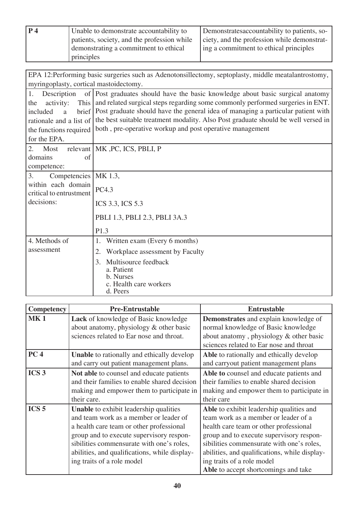| P 4 | Unable to demonstrate accountability to     | Demonstrates accountability to patients, so- |
|-----|---------------------------------------------|----------------------------------------------|
|     | patients, society, and the profession while | ciety, and the profession while demonstrat-  |
|     | demonstrating a commitment to ethical       | ing a commitment to ethical principles       |
|     | principles                                  |                                              |

| EPA 12:Performing basic surgeries such as Adenotonsillectomy, septoplasty, middle meatalantrostomy, |                                                                                        |  |  |  |
|-----------------------------------------------------------------------------------------------------|----------------------------------------------------------------------------------------|--|--|--|
| myringoplasty, cortical mastoidectomy.                                                              |                                                                                        |  |  |  |
| 1.<br>Description                                                                                   | of Post graduates should have the basic knowledge about basic surgical anatomy         |  |  |  |
| This<br>activity:<br>the                                                                            | and related surgical steps regarding some commonly performed surgeries in ENT.         |  |  |  |
| included<br>a                                                                                       | brief Post graduate should have the general idea of managing a particular patient with |  |  |  |
| rationale and a list of                                                                             | the best suitable treatment modality. Also Post graduate should be well versed in      |  |  |  |
| the functions required                                                                              | both, pre-operative workup and post operative management                               |  |  |  |
| for the EPA.                                                                                        |                                                                                        |  |  |  |
| $\overline{2}$ .<br>Most                                                                            | relevant   MK, PC, ICS, PBLI, P                                                        |  |  |  |
| domains<br>of                                                                                       |                                                                                        |  |  |  |
| competence:                                                                                         |                                                                                        |  |  |  |
| 3.<br>Competencies                                                                                  | MK 1.3,                                                                                |  |  |  |
| within each domain                                                                                  | PC4.3                                                                                  |  |  |  |
| critical to entrustment                                                                             |                                                                                        |  |  |  |
| decisions:                                                                                          | ICS 3.3, ICS 5.3                                                                       |  |  |  |
|                                                                                                     | PBLI 1.3, PBLI 2.3, PBLI 3A.3                                                          |  |  |  |
|                                                                                                     | P1.3                                                                                   |  |  |  |
| 4. Methods of                                                                                       | Written exam (Every 6 months)<br>1.                                                    |  |  |  |
| assessment                                                                                          | Workplace assessment by Faculty<br>2.                                                  |  |  |  |
|                                                                                                     | Multisource feedback<br>3.                                                             |  |  |  |
|                                                                                                     | a. Patient                                                                             |  |  |  |
|                                                                                                     | b. Nurses<br>c. Health care workers                                                    |  |  |  |
|                                                                                                     | d. Peers                                                                               |  |  |  |

| <b>Competency</b> | <b>Pre-Entrustable</b>                            | <b>Entrustable</b>                            |
|-------------------|---------------------------------------------------|-----------------------------------------------|
| <b>MK1</b>        | Lack of knowledge of Basic knowledge              | Demonstrates and explain knowledge of         |
|                   | about anatomy, physiology & other basic           | normal knowledge of Basic knowledge           |
|                   | sciences related to Ear nose and throat.          | about anatomy, physiology & other basic       |
|                   |                                                   | sciences related to Ear nose and throat       |
| PC <sub>4</sub>   | <b>Unable</b> to rationally and ethically develop | Able to rationally and ethically develop      |
|                   | and carry out patient management plans.           | and carryout patient management plans         |
| ICS <sub>3</sub>  | Not able to counsel and educate patients          | Able to counsel and educate patients and      |
|                   | and their families to enable shared decision      | their families to enable shared decision      |
|                   | making and empower them to participate in         | making and empower them to participate in     |
|                   | their care.                                       | their care                                    |
| ICS <sub>5</sub>  | <b>Unable</b> to exhibit leadership qualities     | Able to exhibit leadership qualities and      |
|                   | and team work as a member or leader of            | team work as a member or leader of a          |
|                   | a health care team or other professional          | health care team or other professional        |
|                   | group and to execute supervisory respon-          | group and to execute supervisory respon-      |
|                   | sibilities commensurate with one's roles,         | sibilities commensurate with one's roles,     |
|                   | abilities, and qualifications, while display-     | abilities, and qualifications, while display- |
|                   | ing traits of a role model                        | ing traits of a role model                    |
|                   |                                                   | Able to accept shortcomings and take          |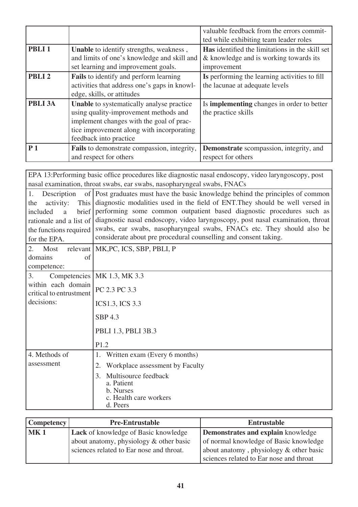|                   |                                                                                                                                                                                                              | valuable feedback from the errors commit-<br>ted while exhibiting team leader roles                             |
|-------------------|--------------------------------------------------------------------------------------------------------------------------------------------------------------------------------------------------------------|-----------------------------------------------------------------------------------------------------------------|
| PBLI <sub>1</sub> | Unable to identify strengths, weakness,<br>and limits of one's knowledge and skill and<br>set learning and improvement goals.                                                                                | <b>Has</b> identified the limitations in the skill set<br>& knowledge and is working towards its<br>improvement |
| PBLI <sub>2</sub> | <b>Fails</b> to identify and perform learning<br>activities that address one's gaps in knowl-<br>edge, skills, or attitudes                                                                                  | Is performing the learning activities to fill<br>the lacunae at adequate levels                                 |
| PBLI 3A           | <b>Unable</b> to systematically analyse practice<br>using quality-improvement methods and<br>implement changes with the goal of prac-<br>tice improvement along with incorporating<br>feedback into practice | Is <b>implementing</b> changes in order to better<br>the practice skills                                        |
| P <sub>1</sub>    | <b>Fails</b> to demonstrate compassion, integrity,<br>and respect for others                                                                                                                                 | <b>Demonstrate</b> scompassion, integrity, and<br>respect for others                                            |

| EPA 13:Performing basic office procedures like diagnostic nasal endoscopy, video laryngoscopy, post<br>nasal examination, throat swabs, ear swabs, nasopharyngeal swabs, FNACs |                                                                                                                                                                                                                                                                                                                                                                                                                                                                           |  |  |
|--------------------------------------------------------------------------------------------------------------------------------------------------------------------------------|---------------------------------------------------------------------------------------------------------------------------------------------------------------------------------------------------------------------------------------------------------------------------------------------------------------------------------------------------------------------------------------------------------------------------------------------------------------------------|--|--|
| 1.<br>Description<br>activity:<br>This<br>the<br>brief<br>included<br>a<br>rationale and a list of<br>the functions required<br>for the EPA.                                   | of Post graduates must have the basic knowledge behind the principles of common<br>diagnostic modalities used in the field of ENT. They should be well versed in<br>performing some common outpatient based diagnostic procedures such as<br>diagnostic nasal endoscopy, video laryngoscopy, post nasal examination, throat<br>swabs, ear swabs, nasopharyngeal swabs, FNACs etc. They should also be<br>considerate about pre procedural counselling and consent taking. |  |  |
| $\overline{2}$ .<br>Most<br>domains<br>of<br>competence:                                                                                                                       | relevant   MK, PC, ICS, SBP, PBLI, P                                                                                                                                                                                                                                                                                                                                                                                                                                      |  |  |
| 3.<br>Competencies<br>within each domain<br>critical to entrustment<br>decisions:                                                                                              | MK 1.3, MK 3.3<br>PC 2.3 PC 3.3<br><b>ICS1.3, ICS 3.3</b><br><b>SBP 4.3</b><br>PBLI 1.3, PBLI 3B.3<br>P1.2                                                                                                                                                                                                                                                                                                                                                                |  |  |
| 4. Methods of<br>assessment                                                                                                                                                    | Written exam (Every 6 months)<br>1.<br>Workplace assessment by Faculty<br>2.<br>Multisource feedback<br>3.<br>a. Patient<br>b. Nurses<br>c. Health care workers<br>d. Peers                                                                                                                                                                                                                                                                                               |  |  |

| <b>Competency</b> | <b>Pre-Entrustable</b>                      | Entrustable                                |
|-------------------|---------------------------------------------|--------------------------------------------|
| MK1               | <b>Lack</b> of knowledge of Basic knowledge | Demonstrates and explain knowledge         |
|                   | about anatomy, physiology & other basic     | of normal knowledge of Basic knowledge     |
|                   | sciences related to Ear nose and throat.    | about anatomy, physiology $\&$ other basic |
|                   |                                             | sciences related to Ear nose and throat    |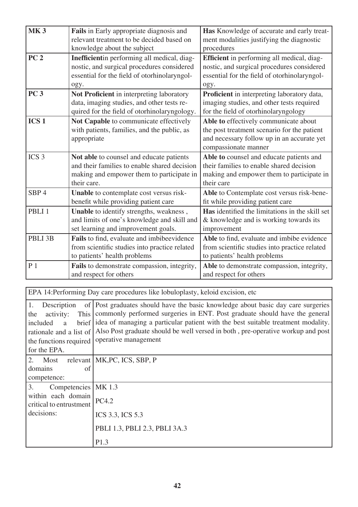| <b>MK3</b>                                                                                            | Fails in Early appropriate diagnosis and      | Has Knowledge of accurate and early treat-                                        |
|-------------------------------------------------------------------------------------------------------|-----------------------------------------------|-----------------------------------------------------------------------------------|
|                                                                                                       | relevant treatment to be decided based on     | ment modalities justifying the diagnostic                                         |
|                                                                                                       | knowledge about the subject                   | procedures                                                                        |
| PC <sub>2</sub>                                                                                       | Inefficientin performing all medical, diag-   | Efficient in performing all medical, diag-                                        |
|                                                                                                       | nostic, and surgical procedures considered    | nostic, and surgical procedures considered                                        |
|                                                                                                       | essential for the field of otorhinolaryngol-  | essential for the field of otorhinolaryngol-                                      |
|                                                                                                       | ogy.                                          | ogy.                                                                              |
| <b>PC 3</b>                                                                                           | Not Proficient in interpreting laboratory     | Proficient in interpreting laboratory data,                                       |
|                                                                                                       | data, imaging studies, and other tests re-    | imaging studies, and other tests required                                         |
|                                                                                                       | quired for the field of otorhinolaryngology.  | for the field of otorhinolaryngology                                              |
| ICS <sub>1</sub>                                                                                      | Not Capable to communicate effectively        | Able to effectively communicate about                                             |
|                                                                                                       | with patients, families, and the public, as   | the post treatment scenario for the patient                                       |
|                                                                                                       | appropriate                                   | and necessary follow up in an accurate yet                                        |
|                                                                                                       |                                               | compassionate manner                                                              |
| ICS <sub>3</sub>                                                                                      | Not able to counsel and educate patients      | Able to counsel and educate patients and                                          |
|                                                                                                       | and their families to enable shared decision  | their families to enable shared decision                                          |
|                                                                                                       | making and empower them to participate in     | making and empower them to participate in                                         |
|                                                                                                       | their care.                                   | their care                                                                        |
| SBP <sub>4</sub>                                                                                      | Unable to contemplate cost versus risk-       | Able to Contemplate cost versus risk-bene-                                        |
|                                                                                                       | benefit while providing patient care          | fit while providing patient care                                                  |
| PBLI <sub>1</sub>                                                                                     | Unable to identify strengths, weakness,       | Has identified the limitations in the skill set                                   |
|                                                                                                       | and limits of one's knowledge and skill and   | & knowledge and is working towards its                                            |
|                                                                                                       | set learning and improvement goals.           | improvement                                                                       |
| PBLI 3B                                                                                               | Fails to find, evaluate and imbibeevidence    | Able to find, evaluate and imbibe evidence                                        |
|                                                                                                       | from scientific studies into practice related | from scientific studies into practice related                                     |
|                                                                                                       | to patients' health problems                  | to patients' health problems                                                      |
| P <sub>1</sub>                                                                                        | Fails to demonstrate compassion, integrity,   | Able to demonstrate compassion, integrity,                                        |
|                                                                                                       | and respect for others                        | and respect for others                                                            |
|                                                                                                       |                                               |                                                                                   |
| EPA 14:Performing Day care procedures like lobuloplasty, keloid excision, etc                         |                                               |                                                                                   |
| of Post graduates should have the basic knowledge about basic day care surgeries<br>1.<br>Description |                                               |                                                                                   |
| activity:<br>the                                                                                      |                                               | This commonly performed surgeries in ENT. Post graduate should have the general   |
|                                                                                                       |                                               | 1. Clides of monoging a nominate potion with the best quitable treatment modelity |

| included<br><sup>2</sup>                      | brief idea of managing a particular patient with the best suitable treatment modality.                  |
|-----------------------------------------------|---------------------------------------------------------------------------------------------------------|
|                                               | rationale and a list of Also Post graduate should be well versed in both, pre-operative workup and post |
| the functions required                        | operative management                                                                                    |
| for the EPA.                                  |                                                                                                         |
| $2^{1}$<br>Most                               | relevant   MK, PC, ICS, SBP, P                                                                          |
| domains<br>of                                 |                                                                                                         |
| competence:                                   |                                                                                                         |
| Competencies   MK 1.3<br>3.                   |                                                                                                         |
| within each domain<br>critical to entrustment | PC4.2                                                                                                   |
| decisions:                                    | ICS 3.3, ICS 5.3                                                                                        |
|                                               | PBLI 1.3, PBLI 2.3, PBLI 3A.3                                                                           |
|                                               | P1.3                                                                                                    |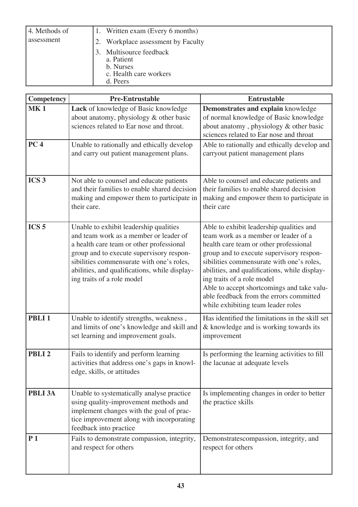| 4. Methods of | 1. Written exam (Every 6 months)                                                         |
|---------------|------------------------------------------------------------------------------------------|
| assessment    | 2. Workplace assessment by Faculty                                                       |
|               | 3. Multisource feedback<br>a. Patient<br>b. Nurses<br>c. Health care workers<br>d. Peers |

| Competency        | <b>Pre-Entrustable</b>                                                                                                                                                                                                                                                                               | <b>Entrustable</b>                                                                                                                                                                                                                                                                                                                                                                                                                |
|-------------------|------------------------------------------------------------------------------------------------------------------------------------------------------------------------------------------------------------------------------------------------------------------------------------------------------|-----------------------------------------------------------------------------------------------------------------------------------------------------------------------------------------------------------------------------------------------------------------------------------------------------------------------------------------------------------------------------------------------------------------------------------|
| <b>MK1</b>        | Lack of knowledge of Basic knowledge<br>about anatomy, physiology & other basic<br>sciences related to Ear nose and throat.                                                                                                                                                                          | Demonstrates and explain knowledge<br>of normal knowledge of Basic knowledge<br>about anatomy, physiology & other basic<br>sciences related to Ear nose and throat                                                                                                                                                                                                                                                                |
| PC <sub>4</sub>   | Unable to rationally and ethically develop<br>and carry out patient management plans.                                                                                                                                                                                                                | Able to rationally and ethically develop and<br>carryout patient management plans                                                                                                                                                                                                                                                                                                                                                 |
| ICS <sub>3</sub>  | Not able to counsel and educate patients<br>and their families to enable shared decision<br>making and empower them to participate in<br>their care.                                                                                                                                                 | Able to counsel and educate patients and<br>their families to enable shared decision<br>making and empower them to participate in<br>their care                                                                                                                                                                                                                                                                                   |
| ICS <sub>5</sub>  | Unable to exhibit leadership qualities<br>and team work as a member or leader of<br>a health care team or other professional<br>group and to execute supervisory respon-<br>sibilities commensurate with one's roles,<br>abilities, and qualifications, while display-<br>ing traits of a role model | Able to exhibit leadership qualities and<br>team work as a member or leader of a<br>health care team or other professional<br>group and to execute supervisory respon-<br>sibilities commensurate with one's roles,<br>abilities, and qualifications, while display-<br>ing traits of a role model<br>Able to accept shortcomings and take valu-<br>able feedback from the errors committed<br>while exhibiting team leader roles |
| PBLI <sub>1</sub> | Unable to identify strengths, weakness,<br>and limits of one's knowledge and skill and<br>set learning and improvement goals.                                                                                                                                                                        | Has identified the limitations in the skill set<br>& knowledge and is working towards its<br>improvement                                                                                                                                                                                                                                                                                                                          |
| PBLI <sub>2</sub> | Fails to identify and perform learning<br>activities that address one's gaps in knowl-<br>edge, skills, or attitudes                                                                                                                                                                                 | Is performing the learning activities to fill<br>the lacunae at adequate levels                                                                                                                                                                                                                                                                                                                                                   |
| PBLI 3A           | Unable to systematically analyse practice<br>using quality-improvement methods and<br>implement changes with the goal of prac-<br>tice improvement along with incorporating<br>feedback into practice                                                                                                | Is implementing changes in order to better<br>the practice skills                                                                                                                                                                                                                                                                                                                                                                 |
| P <sub>1</sub>    | Fails to demonstrate compassion, integrity,<br>and respect for others                                                                                                                                                                                                                                | Demonstratescompassion, integrity, and<br>respect for others                                                                                                                                                                                                                                                                                                                                                                      |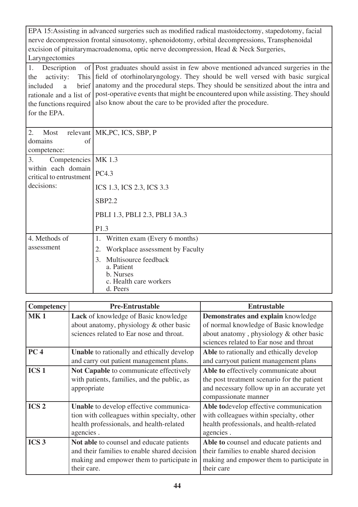EPA 15:Assisting in advanced surgeries such as modified radical mastoidectomy, stapedotomy, facial nerve decompression frontal sinusotomy, sphenoidotomy, orbital decompressions, Transphenoidal excision of pituitarymacroadenoma, optic nerve decompression, Head & Neck Surgeries, Laryngectomies

1. Description the activity: included a brief rationale and a list of the functions required for the EPA. Post graduates should assist in few above mentioned advanced surgeries in the field of otorhinolaryngology. They should be well versed with basic surgical anatomy and the procedural steps. They should be sensitized about the intra and post-operative events that might be encountered upon while assisting. They should also know about the care to be provided after the procedure.

| 2.<br>Most                                    | relevant   MK, PC, ICS, SBP, P                                                              |
|-----------------------------------------------|---------------------------------------------------------------------------------------------|
| domains<br>of                                 |                                                                                             |
| competence:                                   |                                                                                             |
| Competencies  <br>3.                          | MK 1.3                                                                                      |
| within each domain<br>critical to entrustment | PC4.3                                                                                       |
| decisions:                                    | ICS 1.3, ICS 2.3, ICS 3.3                                                                   |
|                                               | <b>SBP2.2</b>                                                                               |
|                                               | PBLI 1.3, PBLI 2.3, PBLI 3A.3                                                               |
|                                               | P1.3                                                                                        |
| 4. Methods of                                 | Written exam (Every 6 months)<br>1.                                                         |
| assessment                                    | 2.<br>Workplace assessment by Faculty                                                       |
|                                               | Multisource feedback<br>3.<br>a. Patient<br>b. Nurses<br>c. Health care workers<br>d. Peers |

| Competency       | <b>Pre-Entrustable</b>                                                                                                                               | <b>Entrustable</b>                                                                                                                                                 |
|------------------|------------------------------------------------------------------------------------------------------------------------------------------------------|--------------------------------------------------------------------------------------------------------------------------------------------------------------------|
| <b>MK1</b>       | <b>Lack</b> of knowledge of Basic knowledge<br>about anatomy, physiology & other basic<br>sciences related to Ear nose and throat.                   | Demonstrates and explain knowledge<br>of normal knowledge of Basic knowledge<br>about anatomy, physiology & other basic<br>sciences related to Ear nose and throat |
| PC <sub>4</sub>  | <b>Unable</b> to rationally and ethically develop<br>and carry out patient management plans.                                                         | Able to rationally and ethically develop<br>and carryout patient management plans                                                                                  |
| ICS <sub>1</sub> | Not Capable to communicate effectively<br>with patients, families, and the public, as<br>appropriate                                                 | Able to effectively communicate about<br>the post treatment scenario for the patient<br>and necessary follow up in an accurate yet<br>compassionate manner         |
| ICS <sub>2</sub> | Unable to develop effective communica-<br>tion with colleagues within specialty, other<br>health professionals, and health-related<br>agencies.      | Able todevelop effective communication<br>with colleagues within specialty, other<br>health professionals, and health-related<br>agencies.                         |
| ICS <sub>3</sub> | Not able to counsel and educate patients<br>and their families to enable shared decision<br>making and empower them to participate in<br>their care. | Able to counsel and educate patients and<br>their families to enable shared decision<br>making and empower them to participate in<br>their care                    |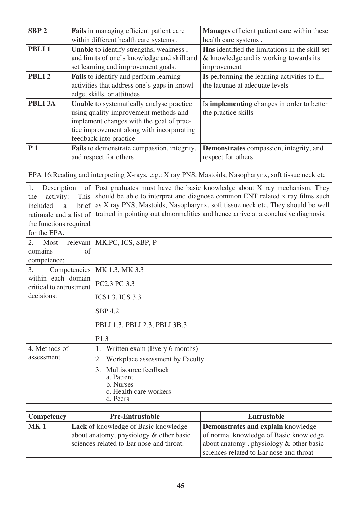| SBP <sub>2</sub>  | <b>Fails</b> in managing efficient patient care                                                                                                                                                              | <b>Manages</b> efficient patient care within these                                                              |
|-------------------|--------------------------------------------------------------------------------------------------------------------------------------------------------------------------------------------------------------|-----------------------------------------------------------------------------------------------------------------|
|                   | within different health care systems.                                                                                                                                                                        | health care systems.                                                                                            |
| PBLI <sub>1</sub> | Unable to identify strengths, weakness,<br>and limits of one's knowledge and skill and<br>set learning and improvement goals.                                                                                | <b>Has</b> identified the limitations in the skill set<br>& knowledge and is working towards its<br>improvement |
| PBLI <sub>2</sub> | <b>Fails</b> to identify and perform learning<br>activities that address one's gaps in knowl-<br>edge, skills, or attitudes                                                                                  | Is performing the learning activities to fill<br>the lacunae at adequate levels                                 |
| <b>PBLI 3A</b>    | <b>Unable</b> to systematically analyse practice<br>using quality-improvement methods and<br>implement changes with the goal of prac-<br>tice improvement along with incorporating<br>feedback into practice | Is <b>implementing</b> changes in order to better<br>the practice skills                                        |
| P <sub>1</sub>    | Fails to demonstrate compassion, integrity,<br>and respect for others                                                                                                                                        | Demonstrates compassion, integrity, and<br>respect for others                                                   |

| EPA 16: Reading and interpreting X-rays, e.g.: X ray PNS, Mastoids, Nasopharynx, soft tissue neck etc                                        |                                                                                                                                                                                                                                                                                                                                    |  |  |
|----------------------------------------------------------------------------------------------------------------------------------------------|------------------------------------------------------------------------------------------------------------------------------------------------------------------------------------------------------------------------------------------------------------------------------------------------------------------------------------|--|--|
| 1.<br>Description<br>activity:<br>This<br>the<br>brief<br>included<br>a<br>rationale and a list of<br>the functions required<br>for the EPA. | of Post graduates must have the basic knowledge about X ray mechanism. They<br>should be able to interpret and diagnose common ENT related x ray films such<br>as X ray PNS, Mastoids, Nasopharynx, soft tissue neck etc. They should be well<br>trained in pointing out abnormalities and hence arrive at a conclusive diagnosis. |  |  |
| $\overline{2}$ .<br>Most                                                                                                                     | relevant   MK, PC, ICS, SBP, P                                                                                                                                                                                                                                                                                                     |  |  |
| domains<br>of<br>competence:                                                                                                                 |                                                                                                                                                                                                                                                                                                                                    |  |  |
| 3.                                                                                                                                           | Competencies   MK 1.3, MK 3.3                                                                                                                                                                                                                                                                                                      |  |  |
| within each domain<br>critical to entrustment                                                                                                | PC2.3 PC 3.3                                                                                                                                                                                                                                                                                                                       |  |  |
| decisions:                                                                                                                                   | <b>ICS1.3, ICS 3.3</b>                                                                                                                                                                                                                                                                                                             |  |  |
|                                                                                                                                              | <b>SBP 4.2</b>                                                                                                                                                                                                                                                                                                                     |  |  |
|                                                                                                                                              | PBLI 1.3, PBLI 2.3, PBLI 3B.3                                                                                                                                                                                                                                                                                                      |  |  |
|                                                                                                                                              | P1.3                                                                                                                                                                                                                                                                                                                               |  |  |
| 4. Methods of                                                                                                                                | Written exam (Every 6 months)<br>1.                                                                                                                                                                                                                                                                                                |  |  |
| assessment                                                                                                                                   | Workplace assessment by Faculty<br>2.                                                                                                                                                                                                                                                                                              |  |  |
|                                                                                                                                              | Multisource feedback<br>3.<br>a. Patient<br>b. Nurses<br>c. Health care workers<br>d. Peers                                                                                                                                                                                                                                        |  |  |

| <b>Competency</b> | <b>Pre-Entrustable</b>                      | Entrustable                               |
|-------------------|---------------------------------------------|-------------------------------------------|
| MK <sub>1</sub>   | <b>Lack</b> of knowledge of Basic knowledge | Demonstrates and explain knowledge        |
|                   | about anatomy, physiology & other basic     | of normal knowledge of Basic knowledge    |
|                   | sciences related to Ear nose and throat.    | about anatomy, physiology $&$ other basic |
|                   |                                             | sciences related to Ear nose and throat   |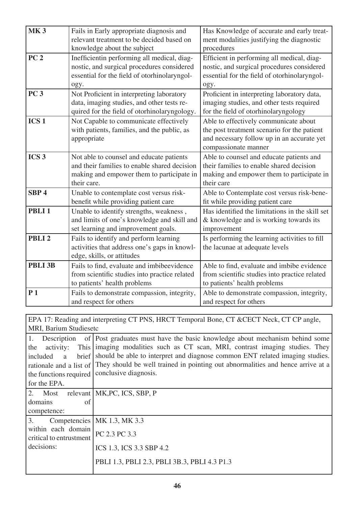| relevant treatment to be decided based on<br>ment modalities justifying the diagnostic<br>knowledge about the subject<br>procedures<br>PC <sub>2</sub><br>Inefficientin performing all medical, diag-<br>Efficient in performing all medical, diag-<br>nostic, and surgical procedures considered<br>nostic, and surgical procedures considered<br>essential for the field of otorhinolaryngol-<br>essential for the field of otorhinolaryngol-<br>ogy.<br>ogy.<br>PC <sub>3</sub><br>Not Proficient in interpreting laboratory<br>Proficient in interpreting laboratory data,<br>data, imaging studies, and other tests re-<br>imaging studies, and other tests required<br>quired for the field of otorhinolaryngology.<br>for the field of otorhinolaryngology<br>ICS <sub>1</sub><br>Not Capable to communicate effectively<br>Able to effectively communicate about<br>with patients, families, and the public, as<br>the post treatment scenario for the patient<br>and necessary follow up in an accurate yet<br>appropriate<br>compassionate manner<br>ICS <sub>3</sub><br>Not able to counsel and educate patients<br>Able to counsel and educate patients and<br>and their families to enable shared decision<br>their families to enable shared decision<br>making and empower them to participate in<br>making and empower them to participate in<br>their care.<br>their care<br>SBP <sub>4</sub><br>Unable to contemplate cost versus risk-<br>Able to Contemplate cost versus risk-bene-<br>benefit while providing patient care<br>fit while providing patient care<br>PBLI <sub>1</sub><br>Has identified the limitations in the skill set<br>Unable to identify strengths, weakness,<br>and limits of one's knowledge and skill and<br>& knowledge and is working towards its<br>set learning and improvement goals.<br>improvement<br>Fails to identify and perform learning<br>PBLI <sub>2</sub><br>Is performing the learning activities to fill<br>activities that address one's gaps in knowl-<br>the lacunae at adequate levels<br>edge, skills, or attitudes<br>PBLI 3B<br>Fails to find, evaluate and imbibeevidence<br>Able to find, evaluate and imbibe evidence<br>from scientific studies into practice related<br>from scientific studies into practice related<br>to patients' health problems<br>to patients' health problems<br>P <sub>1</sub><br>Fails to demonstrate compassion, integrity,<br>Able to demonstrate compassion, integrity, | <b>MK3</b> |                                          |                                            |
|-------------------------------------------------------------------------------------------------------------------------------------------------------------------------------------------------------------------------------------------------------------------------------------------------------------------------------------------------------------------------------------------------------------------------------------------------------------------------------------------------------------------------------------------------------------------------------------------------------------------------------------------------------------------------------------------------------------------------------------------------------------------------------------------------------------------------------------------------------------------------------------------------------------------------------------------------------------------------------------------------------------------------------------------------------------------------------------------------------------------------------------------------------------------------------------------------------------------------------------------------------------------------------------------------------------------------------------------------------------------------------------------------------------------------------------------------------------------------------------------------------------------------------------------------------------------------------------------------------------------------------------------------------------------------------------------------------------------------------------------------------------------------------------------------------------------------------------------------------------------------------------------------------------------------------------------------------------------------------------------------------------------------------------------------------------------------------------------------------------------------------------------------------------------------------------------------------------------------------------------------------------------------------------------------------------------------------------------------------------------------------------------------------------------------------------------------------------------------------|------------|------------------------------------------|--------------------------------------------|
|                                                                                                                                                                                                                                                                                                                                                                                                                                                                                                                                                                                                                                                                                                                                                                                                                                                                                                                                                                                                                                                                                                                                                                                                                                                                                                                                                                                                                                                                                                                                                                                                                                                                                                                                                                                                                                                                                                                                                                                                                                                                                                                                                                                                                                                                                                                                                                                                                                                                               |            | Fails in Early appropriate diagnosis and | Has Knowledge of accurate and early treat- |
|                                                                                                                                                                                                                                                                                                                                                                                                                                                                                                                                                                                                                                                                                                                                                                                                                                                                                                                                                                                                                                                                                                                                                                                                                                                                                                                                                                                                                                                                                                                                                                                                                                                                                                                                                                                                                                                                                                                                                                                                                                                                                                                                                                                                                                                                                                                                                                                                                                                                               |            |                                          |                                            |
|                                                                                                                                                                                                                                                                                                                                                                                                                                                                                                                                                                                                                                                                                                                                                                                                                                                                                                                                                                                                                                                                                                                                                                                                                                                                                                                                                                                                                                                                                                                                                                                                                                                                                                                                                                                                                                                                                                                                                                                                                                                                                                                                                                                                                                                                                                                                                                                                                                                                               |            |                                          |                                            |
|                                                                                                                                                                                                                                                                                                                                                                                                                                                                                                                                                                                                                                                                                                                                                                                                                                                                                                                                                                                                                                                                                                                                                                                                                                                                                                                                                                                                                                                                                                                                                                                                                                                                                                                                                                                                                                                                                                                                                                                                                                                                                                                                                                                                                                                                                                                                                                                                                                                                               |            |                                          |                                            |
|                                                                                                                                                                                                                                                                                                                                                                                                                                                                                                                                                                                                                                                                                                                                                                                                                                                                                                                                                                                                                                                                                                                                                                                                                                                                                                                                                                                                                                                                                                                                                                                                                                                                                                                                                                                                                                                                                                                                                                                                                                                                                                                                                                                                                                                                                                                                                                                                                                                                               |            |                                          |                                            |
|                                                                                                                                                                                                                                                                                                                                                                                                                                                                                                                                                                                                                                                                                                                                                                                                                                                                                                                                                                                                                                                                                                                                                                                                                                                                                                                                                                                                                                                                                                                                                                                                                                                                                                                                                                                                                                                                                                                                                                                                                                                                                                                                                                                                                                                                                                                                                                                                                                                                               |            |                                          |                                            |
|                                                                                                                                                                                                                                                                                                                                                                                                                                                                                                                                                                                                                                                                                                                                                                                                                                                                                                                                                                                                                                                                                                                                                                                                                                                                                                                                                                                                                                                                                                                                                                                                                                                                                                                                                                                                                                                                                                                                                                                                                                                                                                                                                                                                                                                                                                                                                                                                                                                                               |            |                                          |                                            |
|                                                                                                                                                                                                                                                                                                                                                                                                                                                                                                                                                                                                                                                                                                                                                                                                                                                                                                                                                                                                                                                                                                                                                                                                                                                                                                                                                                                                                                                                                                                                                                                                                                                                                                                                                                                                                                                                                                                                                                                                                                                                                                                                                                                                                                                                                                                                                                                                                                                                               |            |                                          |                                            |
|                                                                                                                                                                                                                                                                                                                                                                                                                                                                                                                                                                                                                                                                                                                                                                                                                                                                                                                                                                                                                                                                                                                                                                                                                                                                                                                                                                                                                                                                                                                                                                                                                                                                                                                                                                                                                                                                                                                                                                                                                                                                                                                                                                                                                                                                                                                                                                                                                                                                               |            |                                          |                                            |
|                                                                                                                                                                                                                                                                                                                                                                                                                                                                                                                                                                                                                                                                                                                                                                                                                                                                                                                                                                                                                                                                                                                                                                                                                                                                                                                                                                                                                                                                                                                                                                                                                                                                                                                                                                                                                                                                                                                                                                                                                                                                                                                                                                                                                                                                                                                                                                                                                                                                               |            |                                          |                                            |
|                                                                                                                                                                                                                                                                                                                                                                                                                                                                                                                                                                                                                                                                                                                                                                                                                                                                                                                                                                                                                                                                                                                                                                                                                                                                                                                                                                                                                                                                                                                                                                                                                                                                                                                                                                                                                                                                                                                                                                                                                                                                                                                                                                                                                                                                                                                                                                                                                                                                               |            |                                          |                                            |
|                                                                                                                                                                                                                                                                                                                                                                                                                                                                                                                                                                                                                                                                                                                                                                                                                                                                                                                                                                                                                                                                                                                                                                                                                                                                                                                                                                                                                                                                                                                                                                                                                                                                                                                                                                                                                                                                                                                                                                                                                                                                                                                                                                                                                                                                                                                                                                                                                                                                               |            |                                          |                                            |
|                                                                                                                                                                                                                                                                                                                                                                                                                                                                                                                                                                                                                                                                                                                                                                                                                                                                                                                                                                                                                                                                                                                                                                                                                                                                                                                                                                                                                                                                                                                                                                                                                                                                                                                                                                                                                                                                                                                                                                                                                                                                                                                                                                                                                                                                                                                                                                                                                                                                               |            |                                          |                                            |
|                                                                                                                                                                                                                                                                                                                                                                                                                                                                                                                                                                                                                                                                                                                                                                                                                                                                                                                                                                                                                                                                                                                                                                                                                                                                                                                                                                                                                                                                                                                                                                                                                                                                                                                                                                                                                                                                                                                                                                                                                                                                                                                                                                                                                                                                                                                                                                                                                                                                               |            |                                          |                                            |
|                                                                                                                                                                                                                                                                                                                                                                                                                                                                                                                                                                                                                                                                                                                                                                                                                                                                                                                                                                                                                                                                                                                                                                                                                                                                                                                                                                                                                                                                                                                                                                                                                                                                                                                                                                                                                                                                                                                                                                                                                                                                                                                                                                                                                                                                                                                                                                                                                                                                               |            |                                          |                                            |
|                                                                                                                                                                                                                                                                                                                                                                                                                                                                                                                                                                                                                                                                                                                                                                                                                                                                                                                                                                                                                                                                                                                                                                                                                                                                                                                                                                                                                                                                                                                                                                                                                                                                                                                                                                                                                                                                                                                                                                                                                                                                                                                                                                                                                                                                                                                                                                                                                                                                               |            |                                          |                                            |
|                                                                                                                                                                                                                                                                                                                                                                                                                                                                                                                                                                                                                                                                                                                                                                                                                                                                                                                                                                                                                                                                                                                                                                                                                                                                                                                                                                                                                                                                                                                                                                                                                                                                                                                                                                                                                                                                                                                                                                                                                                                                                                                                                                                                                                                                                                                                                                                                                                                                               |            |                                          |                                            |
|                                                                                                                                                                                                                                                                                                                                                                                                                                                                                                                                                                                                                                                                                                                                                                                                                                                                                                                                                                                                                                                                                                                                                                                                                                                                                                                                                                                                                                                                                                                                                                                                                                                                                                                                                                                                                                                                                                                                                                                                                                                                                                                                                                                                                                                                                                                                                                                                                                                                               |            |                                          |                                            |
|                                                                                                                                                                                                                                                                                                                                                                                                                                                                                                                                                                                                                                                                                                                                                                                                                                                                                                                                                                                                                                                                                                                                                                                                                                                                                                                                                                                                                                                                                                                                                                                                                                                                                                                                                                                                                                                                                                                                                                                                                                                                                                                                                                                                                                                                                                                                                                                                                                                                               |            |                                          |                                            |
|                                                                                                                                                                                                                                                                                                                                                                                                                                                                                                                                                                                                                                                                                                                                                                                                                                                                                                                                                                                                                                                                                                                                                                                                                                                                                                                                                                                                                                                                                                                                                                                                                                                                                                                                                                                                                                                                                                                                                                                                                                                                                                                                                                                                                                                                                                                                                                                                                                                                               |            |                                          |                                            |
|                                                                                                                                                                                                                                                                                                                                                                                                                                                                                                                                                                                                                                                                                                                                                                                                                                                                                                                                                                                                                                                                                                                                                                                                                                                                                                                                                                                                                                                                                                                                                                                                                                                                                                                                                                                                                                                                                                                                                                                                                                                                                                                                                                                                                                                                                                                                                                                                                                                                               |            |                                          |                                            |
|                                                                                                                                                                                                                                                                                                                                                                                                                                                                                                                                                                                                                                                                                                                                                                                                                                                                                                                                                                                                                                                                                                                                                                                                                                                                                                                                                                                                                                                                                                                                                                                                                                                                                                                                                                                                                                                                                                                                                                                                                                                                                                                                                                                                                                                                                                                                                                                                                                                                               |            |                                          |                                            |
|                                                                                                                                                                                                                                                                                                                                                                                                                                                                                                                                                                                                                                                                                                                                                                                                                                                                                                                                                                                                                                                                                                                                                                                                                                                                                                                                                                                                                                                                                                                                                                                                                                                                                                                                                                                                                                                                                                                                                                                                                                                                                                                                                                                                                                                                                                                                                                                                                                                                               |            |                                          |                                            |
|                                                                                                                                                                                                                                                                                                                                                                                                                                                                                                                                                                                                                                                                                                                                                                                                                                                                                                                                                                                                                                                                                                                                                                                                                                                                                                                                                                                                                                                                                                                                                                                                                                                                                                                                                                                                                                                                                                                                                                                                                                                                                                                                                                                                                                                                                                                                                                                                                                                                               |            |                                          |                                            |
|                                                                                                                                                                                                                                                                                                                                                                                                                                                                                                                                                                                                                                                                                                                                                                                                                                                                                                                                                                                                                                                                                                                                                                                                                                                                                                                                                                                                                                                                                                                                                                                                                                                                                                                                                                                                                                                                                                                                                                                                                                                                                                                                                                                                                                                                                                                                                                                                                                                                               |            |                                          |                                            |
|                                                                                                                                                                                                                                                                                                                                                                                                                                                                                                                                                                                                                                                                                                                                                                                                                                                                                                                                                                                                                                                                                                                                                                                                                                                                                                                                                                                                                                                                                                                                                                                                                                                                                                                                                                                                                                                                                                                                                                                                                                                                                                                                                                                                                                                                                                                                                                                                                                                                               |            |                                          |                                            |
|                                                                                                                                                                                                                                                                                                                                                                                                                                                                                                                                                                                                                                                                                                                                                                                                                                                                                                                                                                                                                                                                                                                                                                                                                                                                                                                                                                                                                                                                                                                                                                                                                                                                                                                                                                                                                                                                                                                                                                                                                                                                                                                                                                                                                                                                                                                                                                                                                                                                               |            |                                          |                                            |
|                                                                                                                                                                                                                                                                                                                                                                                                                                                                                                                                                                                                                                                                                                                                                                                                                                                                                                                                                                                                                                                                                                                                                                                                                                                                                                                                                                                                                                                                                                                                                                                                                                                                                                                                                                                                                                                                                                                                                                                                                                                                                                                                                                                                                                                                                                                                                                                                                                                                               |            |                                          |                                            |
|                                                                                                                                                                                                                                                                                                                                                                                                                                                                                                                                                                                                                                                                                                                                                                                                                                                                                                                                                                                                                                                                                                                                                                                                                                                                                                                                                                                                                                                                                                                                                                                                                                                                                                                                                                                                                                                                                                                                                                                                                                                                                                                                                                                                                                                                                                                                                                                                                                                                               |            |                                          |                                            |
|                                                                                                                                                                                                                                                                                                                                                                                                                                                                                                                                                                                                                                                                                                                                                                                                                                                                                                                                                                                                                                                                                                                                                                                                                                                                                                                                                                                                                                                                                                                                                                                                                                                                                                                                                                                                                                                                                                                                                                                                                                                                                                                                                                                                                                                                                                                                                                                                                                                                               |            |                                          |                                            |
|                                                                                                                                                                                                                                                                                                                                                                                                                                                                                                                                                                                                                                                                                                                                                                                                                                                                                                                                                                                                                                                                                                                                                                                                                                                                                                                                                                                                                                                                                                                                                                                                                                                                                                                                                                                                                                                                                                                                                                                                                                                                                                                                                                                                                                                                                                                                                                                                                                                                               |            |                                          |                                            |
|                                                                                                                                                                                                                                                                                                                                                                                                                                                                                                                                                                                                                                                                                                                                                                                                                                                                                                                                                                                                                                                                                                                                                                                                                                                                                                                                                                                                                                                                                                                                                                                                                                                                                                                                                                                                                                                                                                                                                                                                                                                                                                                                                                                                                                                                                                                                                                                                                                                                               |            | and respect for others                   | and respect for others                     |

EPA 17: Reading and interpreting CT PNS, HRCT Temporal Bone, CT &CECT Neck, CT CP angle, MRI, Barium Studiesetc

| 1.<br>Description<br>the<br>activity:             | of Post graduates must have the basic knowledge about mechanism behind some<br>This imaging modalities such as CT scan, MRI, contrast imaging studies. They     |
|---------------------------------------------------|-----------------------------------------------------------------------------------------------------------------------------------------------------------------|
| brief l<br>included<br>a                          | should be able to interpret and diagnose common ENT related imaging studies.<br>They should be well trained in pointing out abnormalities and hence arrive at a |
| rationale and a list of<br>the functions required | conclusive diagnosis.                                                                                                                                           |
| for the EPA.                                      |                                                                                                                                                                 |
| 2. Most                                           | relevant MK, PC, ICS, SBP, P                                                                                                                                    |
| domains<br>of                                     |                                                                                                                                                                 |
| competence:                                       |                                                                                                                                                                 |
| 3.                                                | Competencies   MK 1.3, MK 3.3                                                                                                                                   |
| within each domain<br>critical to entrustment     | PC 2.3 PC 3.3                                                                                                                                                   |
| decisions:                                        | ICS 1.3, ICS 3.3 SBP 4.2                                                                                                                                        |
|                                                   | PBLI 1.3, PBLI 2.3, PBLI 3B.3, PBLI 4.3 P1.3                                                                                                                    |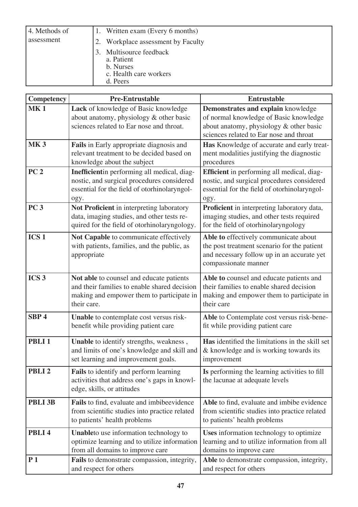| 4. Methods of |    | 1. Written exam (Every 6 months)                                                         |
|---------------|----|------------------------------------------------------------------------------------------|
| assessment    | 2. | Workplace assessment by Faculty                                                          |
|               |    | 3. Multisource feedback<br>a. Patient<br>b. Nurses<br>c. Health care workers<br>d. Peers |

| Competency        | <b>Pre-Entrustable</b>                                                                                                                               | <b>Entrustable</b>                                                                                                                                                 |
|-------------------|------------------------------------------------------------------------------------------------------------------------------------------------------|--------------------------------------------------------------------------------------------------------------------------------------------------------------------|
| <b>MK1</b>        | Lack of knowledge of Basic knowledge<br>about anatomy, physiology & other basic<br>sciences related to Ear nose and throat.                          | Demonstrates and explain knowledge<br>of normal knowledge of Basic knowledge<br>about anatomy, physiology & other basic<br>sciences related to Ear nose and throat |
| <b>MK3</b>        | Fails in Early appropriate diagnosis and<br>relevant treatment to be decided based on<br>knowledge about the subject                                 | Has Knowledge of accurate and early treat-<br>ment modalities justifying the diagnostic<br>procedures                                                              |
| PC <sub>2</sub>   | Inefficientin performing all medical, diag-<br>nostic, and surgical procedures considered<br>essential for the field of otorhinolaryngol-<br>ogy.    | Efficient in performing all medical, diag-<br>nostic, and surgical procedures considered<br>essential for the field of otorhinolaryngol-<br>ogy.                   |
| PC <sub>3</sub>   | Not Proficient in interpreting laboratory<br>data, imaging studies, and other tests re-<br>quired for the field of otorhinolaryngology.              | Proficient in interpreting laboratory data,<br>imaging studies, and other tests required<br>for the field of otorhinolaryngology                                   |
| ICS <sub>1</sub>  | Not Capable to communicate effectively<br>with patients, families, and the public, as<br>appropriate                                                 | Able to effectively communicate about<br>the post treatment scenario for the patient<br>and necessary follow up in an accurate yet<br>compassionate manner         |
| ICS <sub>3</sub>  | Not able to counsel and educate patients<br>and their families to enable shared decision<br>making and empower them to participate in<br>their care. | Able to counsel and educate patients and<br>their families to enable shared decision<br>making and empower them to participate in<br>their care                    |
| SBP <sub>4</sub>  | Unable to contemplate cost versus risk-<br>benefit while providing patient care                                                                      | Able to Contemplate cost versus risk-bene-<br>fit while providing patient care                                                                                     |
| PBLI <sub>1</sub> | Unable to identify strengths, weakness,<br>and limits of one's knowledge and skill and<br>set learning and improvement goals.                        | Has identified the limitations in the skill set<br>& knowledge and is working towards its<br>improvement                                                           |
| PBLI <sub>2</sub> | <b>Fails</b> to identify and perform learning<br>activities that address one's gaps in knowl-<br>edge, skills, or attitudes                          | Is performing the learning activities to fill<br>the lacunae at adequate levels                                                                                    |
| PBLI 3B           | Fails to find, evaluate and imbibeevidence<br>from scientific studies into practice related<br>to patients' health problems                          | Able to find, evaluate and imbibe evidence<br>from scientific studies into practice related<br>to patients' health problems                                        |
| PBLI <sub>4</sub> | Unableto use information technology to<br>optimize learning and to utilize information<br>from all domains to improve care                           | Uses information technology to optimize<br>learning and to utilize information from all<br>domains to improve care                                                 |
| P <sub>1</sub>    | Fails to demonstrate compassion, integrity,<br>and respect for others                                                                                | Able to demonstrate compassion, integrity,<br>and respect for others                                                                                               |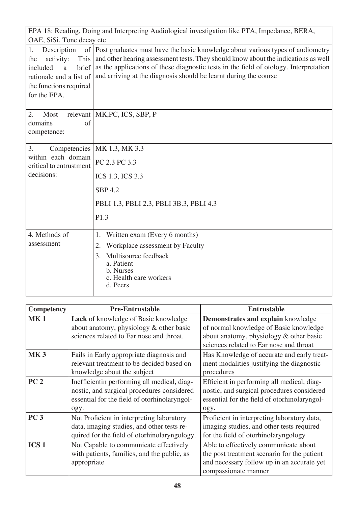| EPA 18: Reading, Doing and Interpreting Audiological investigation like PTA, Impedance, BERA,<br>OAE, SiSi, Tone decay etc                   |                                                                                                                                                                                                                                                                                                                                      |  |  |  |  |  |  |  |  |
|----------------------------------------------------------------------------------------------------------------------------------------------|--------------------------------------------------------------------------------------------------------------------------------------------------------------------------------------------------------------------------------------------------------------------------------------------------------------------------------------|--|--|--|--|--|--|--|--|
|                                                                                                                                              |                                                                                                                                                                                                                                                                                                                                      |  |  |  |  |  |  |  |  |
| Description<br>1.<br>activity:<br>This<br>the<br>brief<br>included<br>a<br>rationale and a list of<br>the functions required<br>for the EPA. | of Post graduates must have the basic knowledge about various types of audiometry<br>and other hearing assessment tests. They should know about the indications as well<br>as the applications of these diagnostic tests in the field of otology. Interpretation<br>and arriving at the diagnosis should be learnt during the course |  |  |  |  |  |  |  |  |
| 2.<br>Most<br>domains<br>of<br>competence:                                                                                                   | relevant   MK, PC, ICS, SBP, P                                                                                                                                                                                                                                                                                                       |  |  |  |  |  |  |  |  |
| 3.                                                                                                                                           | Competencies   MK 1.3, MK 3.3                                                                                                                                                                                                                                                                                                        |  |  |  |  |  |  |  |  |
| within each domain<br>critical to entrustment                                                                                                | PC 2.3 PC 3.3                                                                                                                                                                                                                                                                                                                        |  |  |  |  |  |  |  |  |
| decisions:                                                                                                                                   | ICS 1.3, ICS 3.3                                                                                                                                                                                                                                                                                                                     |  |  |  |  |  |  |  |  |
|                                                                                                                                              | <b>SBP 4.2</b>                                                                                                                                                                                                                                                                                                                       |  |  |  |  |  |  |  |  |
|                                                                                                                                              | PBLI 1.3, PBLI 2.3, PBLI 3B.3, PBLI 4.3                                                                                                                                                                                                                                                                                              |  |  |  |  |  |  |  |  |
|                                                                                                                                              | P1.3                                                                                                                                                                                                                                                                                                                                 |  |  |  |  |  |  |  |  |
| 4. Methods of                                                                                                                                | Written exam (Every 6 months)<br>1.                                                                                                                                                                                                                                                                                                  |  |  |  |  |  |  |  |  |
| assessment                                                                                                                                   | Workplace assessment by Faculty<br>2.                                                                                                                                                                                                                                                                                                |  |  |  |  |  |  |  |  |
|                                                                                                                                              | Multisource feedback<br>3.<br>a. Patient<br>b. Nurses<br>c. Health care workers<br>d. Peers                                                                                                                                                                                                                                          |  |  |  |  |  |  |  |  |

| Competency       | <b>Pre-Entrustable</b>                                                                                                                            | <b>Entrustable</b>                                                                                                                                         |
|------------------|---------------------------------------------------------------------------------------------------------------------------------------------------|------------------------------------------------------------------------------------------------------------------------------------------------------------|
| <b>MK1</b>       | Lack of knowledge of Basic knowledge<br>about anatomy, physiology & other basic                                                                   | Demonstrates and explain knowledge<br>of normal knowledge of Basic knowledge                                                                               |
|                  | sciences related to Ear nose and throat.                                                                                                          | about anatomy, physiology & other basic<br>sciences related to Ear nose and throat                                                                         |
| <b>MK3</b>       | Fails in Early appropriate diagnosis and<br>relevant treatment to be decided based on<br>knowledge about the subject                              | Has Knowledge of accurate and early treat-<br>ment modalities justifying the diagnostic<br>procedures                                                      |
| PC <sub>2</sub>  | Inefficientin performing all medical, diag-<br>nostic, and surgical procedures considered<br>essential for the field of otorhinolaryngol-<br>ogy. | Efficient in performing all medical, diag-<br>nostic, and surgical procedures considered<br>essential for the field of otorhinolaryngol-<br>ogy.           |
| PC <sub>3</sub>  | Not Proficient in interpreting laboratory<br>data, imaging studies, and other tests re-<br>quired for the field of otorhinolaryngology.           | Proficient in interpreting laboratory data,<br>imaging studies, and other tests required<br>for the field of otorhinolaryngology                           |
| ICS <sub>1</sub> | Not Capable to communicate effectively<br>with patients, families, and the public, as<br>appropriate                                              | Able to effectively communicate about<br>the post treatment scenario for the patient<br>and necessary follow up in an accurate yet<br>compassionate manner |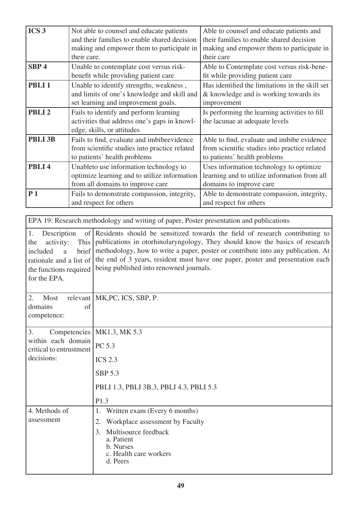| ICS <sub>3</sub>                                                                                                                          |                     | Not able to counsel and educate patients<br>and their families to enable shared decision    | Able to counsel and educate patients and<br>their families to enable shared decision                                                                                                                                                                                                                                               |  |  |  |  |  |
|-------------------------------------------------------------------------------------------------------------------------------------------|---------------------|---------------------------------------------------------------------------------------------|------------------------------------------------------------------------------------------------------------------------------------------------------------------------------------------------------------------------------------------------------------------------------------------------------------------------------------|--|--|--|--|--|
|                                                                                                                                           |                     | making and empower them to participate in                                                   | making and empower them to participate in<br>their care                                                                                                                                                                                                                                                                            |  |  |  |  |  |
|                                                                                                                                           | their care.         |                                                                                             |                                                                                                                                                                                                                                                                                                                                    |  |  |  |  |  |
| SBP <sub>4</sub>                                                                                                                          |                     | Unable to contemplate cost versus risk-<br>benefit while providing patient care             | Able to Contemplate cost versus risk-bene-<br>fit while providing patient care                                                                                                                                                                                                                                                     |  |  |  |  |  |
| PBLI <sub>1</sub>                                                                                                                         |                     | Unable to identify strengths, weakness,                                                     | Has identified the limitations in the skill set                                                                                                                                                                                                                                                                                    |  |  |  |  |  |
|                                                                                                                                           |                     | and limits of one's knowledge and skill and                                                 | & knowledge and is working towards its                                                                                                                                                                                                                                                                                             |  |  |  |  |  |
|                                                                                                                                           |                     | set learning and improvement goals.                                                         | improvement                                                                                                                                                                                                                                                                                                                        |  |  |  |  |  |
| PBLI <sub>2</sub>                                                                                                                         |                     | Fails to identify and perform learning                                                      | Is performing the learning activities to fill                                                                                                                                                                                                                                                                                      |  |  |  |  |  |
|                                                                                                                                           |                     | activities that address one's gaps in knowl-                                                | the lacunae at adequate levels                                                                                                                                                                                                                                                                                                     |  |  |  |  |  |
|                                                                                                                                           |                     | edge, skills, or attitudes                                                                  |                                                                                                                                                                                                                                                                                                                                    |  |  |  |  |  |
| PBLI 3B                                                                                                                                   |                     | Fails to find, evaluate and imbibeevidence                                                  | Able to find, evaluate and imbibe evidence                                                                                                                                                                                                                                                                                         |  |  |  |  |  |
|                                                                                                                                           |                     | from scientific studies into practice related<br>to patients' health problems               | from scientific studies into practice related<br>to patients' health problems                                                                                                                                                                                                                                                      |  |  |  |  |  |
| PBLI <sub>4</sub>                                                                                                                         |                     | Unableto use information technology to                                                      | Uses information technology to optimize                                                                                                                                                                                                                                                                                            |  |  |  |  |  |
|                                                                                                                                           |                     | optimize learning and to utilize information                                                | learning and to utilize information from all                                                                                                                                                                                                                                                                                       |  |  |  |  |  |
|                                                                                                                                           |                     | from all domains to improve care                                                            | domains to improve care                                                                                                                                                                                                                                                                                                            |  |  |  |  |  |
| P <sub>1</sub>                                                                                                                            |                     | Fails to demonstrate compassion, integrity,                                                 | Able to demonstrate compassion, integrity,                                                                                                                                                                                                                                                                                         |  |  |  |  |  |
|                                                                                                                                           |                     | and respect for others                                                                      | and respect for others                                                                                                                                                                                                                                                                                                             |  |  |  |  |  |
|                                                                                                                                           |                     | EPA 19: Research methodology and writing of paper, Poster presentation and publications     |                                                                                                                                                                                                                                                                                                                                    |  |  |  |  |  |
| Description<br>1.<br>activity:<br>the<br>included<br>a<br>rationale and a list of<br>the functions required<br>for the EPA.<br>2.<br>Most | of<br>This<br>brief | being published into renowned journals.<br>relevant   MK, PC, ICS, SBP, P.                  | Residents should be sensitized towards the field of research contributing to<br>publications in otorhinolaryngology, They should know the basics of research<br>methodology, how to write a paper, poster or contribute into any publication. At<br>the end of 3 years, resident must have one paper, poster and presentation each |  |  |  |  |  |
| domains<br>competence:                                                                                                                    | of                  |                                                                                             |                                                                                                                                                                                                                                                                                                                                    |  |  |  |  |  |
| 3.                                                                                                                                        | Competencies        | MK1.3, MK 5.3                                                                               |                                                                                                                                                                                                                                                                                                                                    |  |  |  |  |  |
| within each domain<br>critical to entrustment                                                                                             |                     | PC 5.3                                                                                      |                                                                                                                                                                                                                                                                                                                                    |  |  |  |  |  |
| decisions:                                                                                                                                |                     | <b>ICS 2.3</b>                                                                              |                                                                                                                                                                                                                                                                                                                                    |  |  |  |  |  |
|                                                                                                                                           |                     | <b>SBP 5.3</b>                                                                              |                                                                                                                                                                                                                                                                                                                                    |  |  |  |  |  |
|                                                                                                                                           |                     | PBLI 1.3, PBLI 3B.3, PBLI 4.3, PBLI 5.3                                                     |                                                                                                                                                                                                                                                                                                                                    |  |  |  |  |  |
|                                                                                                                                           | P1.3                |                                                                                             |                                                                                                                                                                                                                                                                                                                                    |  |  |  |  |  |
| 4. Methods of                                                                                                                             |                     | Written exam (Every 6 months)<br>1.                                                         |                                                                                                                                                                                                                                                                                                                                    |  |  |  |  |  |
| assessment                                                                                                                                |                     | Workplace assessment by Faculty<br>2.                                                       |                                                                                                                                                                                                                                                                                                                                    |  |  |  |  |  |
|                                                                                                                                           |                     | Multisource feedback<br>3.<br>a. Patient<br>b. Nurses<br>c. Health care workers<br>d. Peers |                                                                                                                                                                                                                                                                                                                                    |  |  |  |  |  |
|                                                                                                                                           |                     |                                                                                             |                                                                                                                                                                                                                                                                                                                                    |  |  |  |  |  |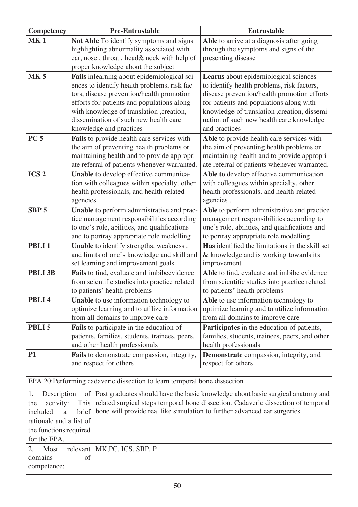| Competency        | <b>Pre-Entrustable</b>                                                                 | <b>Entrustable</b>                                                                    |  |  |  |
|-------------------|----------------------------------------------------------------------------------------|---------------------------------------------------------------------------------------|--|--|--|
| <b>MK1</b>        | Not Able To identify symptoms and signs                                                | Able to arrive at a diagnosis after going                                             |  |  |  |
|                   | highlighting abnormality associated with                                               | through the symptoms and signs of the                                                 |  |  |  |
|                   | ear, nose, throat, head& neck with help of                                             | presenting disease                                                                    |  |  |  |
|                   | proper knowledge about the subject                                                     |                                                                                       |  |  |  |
| <b>MK5</b>        | Fails inlearning about epidemiological sci-                                            | Learns about epidemiological sciences                                                 |  |  |  |
|                   | ences to identify health problems, risk fac-                                           | to identify health problems, risk factors,                                            |  |  |  |
|                   | tors, disease prevention/health promotion                                              | disease prevention/health promotion efforts                                           |  |  |  |
|                   | efforts for patients and populations along                                             | for patients and populations along with                                               |  |  |  |
|                   | with knowledge of translation, creation,                                               | knowledge of translation, creation, dissemi-                                          |  |  |  |
|                   | dissemination of such new health care                                                  | nation of such new health care knowledge<br>and practices                             |  |  |  |
| <b>PC 5</b>       | knowledge and practices                                                                |                                                                                       |  |  |  |
|                   | Fails to provide health care services with<br>the aim of preventing health problems or | Able to provide health care services with<br>the aim of preventing health problems or |  |  |  |
|                   | maintaining health and to provide appropri-                                            | maintaining health and to provide appropri-                                           |  |  |  |
|                   | ate referral of patients whenever warranted.                                           | ate referral of patients whenever warranted.                                          |  |  |  |
| ICS <sub>2</sub>  | Unable to develop effective communica-                                                 | Able to develop effective communication                                               |  |  |  |
|                   | tion with colleagues within specialty, other                                           | with colleagues within specialty, other                                               |  |  |  |
|                   | health professionals, and health-related                                               | health professionals, and health-related                                              |  |  |  |
|                   | agencies.                                                                              | agencies.                                                                             |  |  |  |
| SBP <sub>5</sub>  | Unable to perform administrative and prac-                                             | Able to perform administrative and practice                                           |  |  |  |
|                   | tice management responsibilities according                                             | management responsibilities according to                                              |  |  |  |
|                   | to one's role, abilities, and qualifications                                           | one's role, abilities, and qualifications and                                         |  |  |  |
|                   | and to portray appropriate role modelling                                              | to portray appropriate role modelling                                                 |  |  |  |
| PBLI <sub>1</sub> | Unable to identify strengths, weakness,                                                | Has identified the limitations in the skill set                                       |  |  |  |
|                   | and limits of one's knowledge and skill and                                            | & knowledge and is working towards its                                                |  |  |  |
|                   | set learning and improvement goals.                                                    | improvement                                                                           |  |  |  |
| PBLI 3B           | Fails to find, evaluate and imbibeevidence                                             | Able to find, evaluate and imbibe evidence                                            |  |  |  |
|                   | from scientific studies into practice related                                          | from scientific studies into practice related                                         |  |  |  |
|                   | to patients' health problems                                                           | to patients' health problems                                                          |  |  |  |
| PBLI <sub>4</sub> | <b>Unable</b> to use information technology to                                         | Able to use information technology to                                                 |  |  |  |
|                   | optimize learning and to utilize information                                           | optimize learning and to utilize information                                          |  |  |  |
|                   | from all domains to improve care                                                       | from all domains to improve care                                                      |  |  |  |
| PBLI <sub>5</sub> | Fails to participate in the education of                                               | Participates in the education of patients,                                            |  |  |  |
|                   | patients, families, students, trainees, peers,                                         | families, students, trainees, peers, and other                                        |  |  |  |
|                   | and other health professionals                                                         | health professionals                                                                  |  |  |  |
| <b>P1</b>         | Fails to demonstrate compassion, integrity,                                            | Demonstrate compassion, integrity, and                                                |  |  |  |
|                   | and respect for others                                                                 | respect for others                                                                    |  |  |  |

| EPA 20: Performing cadaveric dissection to learn temporal bone dissection |                                                                                        |  |  |  |  |  |  |  |  |
|---------------------------------------------------------------------------|----------------------------------------------------------------------------------------|--|--|--|--|--|--|--|--|
| Description                                                               | of   Post graduates should have the basic knowledge about basic surgical anatomy and   |  |  |  |  |  |  |  |  |
| the<br>activity:                                                          | This related surgical steps temporal bone dissection. Cadaveric dissection of temporal |  |  |  |  |  |  |  |  |
| brief  <br>included a                                                     | bone will provide real like simulation to further advanced ear surgeries               |  |  |  |  |  |  |  |  |
| rationale and a list of                                                   |                                                                                        |  |  |  |  |  |  |  |  |
| the functions required                                                    |                                                                                        |  |  |  |  |  |  |  |  |
| for the EPA.                                                              |                                                                                        |  |  |  |  |  |  |  |  |
| 2. Most                                                                   | relevant   MK, PC, ICS, SBP, P                                                         |  |  |  |  |  |  |  |  |
| domains<br>of                                                             |                                                                                        |  |  |  |  |  |  |  |  |
| competence:                                                               |                                                                                        |  |  |  |  |  |  |  |  |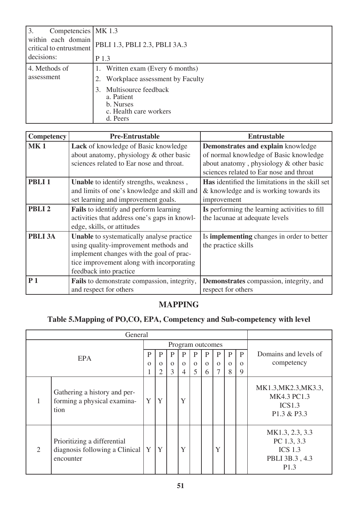| 3.<br>Competencies   MK 1.3<br>within each domain<br>critical to entrustment | PBLI 1.3, PBLI 2.3, PBLI 3A.3                                                               |  |  |  |  |  |  |  |
|------------------------------------------------------------------------------|---------------------------------------------------------------------------------------------|--|--|--|--|--|--|--|
| decisions:<br>P 1.3                                                          |                                                                                             |  |  |  |  |  |  |  |
| 4. Methods of                                                                | 1. Written exam (Every 6 months)                                                            |  |  |  |  |  |  |  |
| assessment                                                                   | Workplace assessment by Faculty                                                             |  |  |  |  |  |  |  |
|                                                                              | Multisource feedback<br>3.<br>a. Patient<br>b. Nurses<br>c. Health care workers<br>d. Peers |  |  |  |  |  |  |  |

| Competency        | <b>Pre-Entrustable</b>                       | <b>Entrustable</b>                                     |
|-------------------|----------------------------------------------|--------------------------------------------------------|
| <b>MK1</b>        | Lack of knowledge of Basic knowledge         | Demonstrates and explain knowledge                     |
|                   | about anatomy, physiology & other basic      | of normal knowledge of Basic knowledge                 |
|                   | sciences related to Ear nose and throat.     | about anatomy, physiology & other basic                |
|                   |                                              | sciences related to Ear nose and throat                |
| PBLI <sub>1</sub> | Unable to identify strengths, weakness,      | <b>Has</b> identified the limitations in the skill set |
|                   | and limits of one's knowledge and skill and  | & knowledge and is working towards its                 |
|                   | set learning and improvement goals.          | improvement                                            |
| PBLI <sub>2</sub> | Fails to identify and perform learning       | Is performing the learning activities to fill          |
|                   | activities that address one's gaps in knowl- | the lacunae at adequate levels                         |
|                   | edge, skills, or attitudes                   |                                                        |
| PBLI 3A           | Unable to systematically analyse practice    | Is <b>implementing</b> changes in order to better      |
|                   | using quality-improvement methods and        | the practice skills                                    |
|                   | implement changes with the goal of prac-     |                                                        |
|                   | tice improvement along with incorporating    |                                                        |
|                   | feedback into practice                       |                                                        |
| P <sub>1</sub>    | Fails to demonstrate compassion, integrity,  | Demonstrates compassion, integrity, and                |
|                   | and respect for others                       | respect for others                                     |

# **MAPPING**

# **Table 5.Mapping of PO,CO, EPA, Competency and Sub-competency with level**

| General          |                                                                            |          |          |          |          |          |          |          |              |          |                                                                                        |
|------------------|----------------------------------------------------------------------------|----------|----------|----------|----------|----------|----------|----------|--------------|----------|----------------------------------------------------------------------------------------|
| Program outcomes |                                                                            |          |          |          |          |          |          |          |              |          |                                                                                        |
|                  | <b>EPA</b>                                                                 | P        | P        | P        | P        | P        | P        | P        | $\mathbf{P}$ | P        | Domains and levels of                                                                  |
|                  |                                                                            | $\Omega$ | $\Omega$ | $\Omega$ | $\Omega$ | $\Omega$ | $\Omega$ | $\Omega$ | $\Omega$     | $\Omega$ | competency                                                                             |
|                  |                                                                            | ı.       | 2        | 3        | 4        | 5        | 6        |          | 8            | 9        |                                                                                        |
|                  | Gathering a history and per-<br>forming a physical examina-<br>tion        | Y        | Y        |          | Y        |          |          |          |              |          | MK1.3, MK2.3, MK3.3,<br>MK4.3 PC1.3<br>ICS1.3<br>P1.3 & P3.3                           |
| 2                | Prioritizing a differential<br>diagnosis following a Clinical<br>encounter | Y        | Y        |          | Y        |          |          | Y        |              |          | MK1.3, 2.3, 3.3<br>PC 1.3, 3.3<br><b>ICS 1.3</b><br>PBLI 3B.3, 4.3<br>P <sub>1.3</sub> |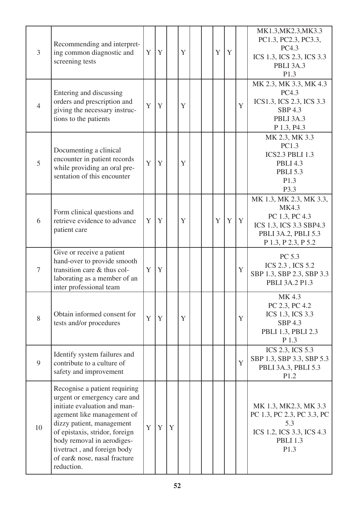| $\overline{3}$ | Recommending and interpret-<br>ing common diagnostic and<br>screening tests                                                                                                                                                                                                                           | Y | Y |   | Y |  | Y | Y |   | MK1.3, MK2.3, MK3.3<br>PC1.3, PC2.3, PC3.3,<br>PC4.3<br>ICS 1.3, ICS 2.3, ICS 3.3<br><b>PBLI 3A.3</b><br>P1.3               |
|----------------|-------------------------------------------------------------------------------------------------------------------------------------------------------------------------------------------------------------------------------------------------------------------------------------------------------|---|---|---|---|--|---|---|---|-----------------------------------------------------------------------------------------------------------------------------|
| $\overline{4}$ | Entering and discussing<br>orders and prescription and<br>giving the necessary instruc-<br>tions to the patients                                                                                                                                                                                      | Y | Y |   | Y |  |   |   | Y | MK 2.3, MK 3.3, MK 4.3<br>PC4.3<br>ICS1.3, ICS 2.3, ICS 3.3<br><b>SBP 4.3</b><br>PBLI 3A.3<br>P 1.3, P4.3                   |
| 5              | Documenting a clinical<br>encounter in patient records<br>while providing an oral pre-<br>sentation of this encounter                                                                                                                                                                                 | Y | Y |   | Y |  |   |   |   | MK 2.3, MK 3.3<br>PC1.3<br><b>ICS2.3 PBLI 1.3</b><br><b>PBLI 4.3</b><br><b>PBLI 5.3</b><br>P1.3<br>P3.3                     |
| 6              | Form clinical questions and<br>retrieve evidence to advance<br>patient care                                                                                                                                                                                                                           | Y | Y |   | Y |  | Y | Y | Y | MK 1.3, MK 2.3, MK 3.3,<br>MK4.3<br>PC 1.3, PC 4.3<br>ICS 1.3, ICS 3.3 SBP4.3<br>PBLI 3A.2, PBLI 5.3<br>P 1.3, P 2.3, P 5.2 |
| $\overline{7}$ | Give or receive a patient<br>hand-over to provide smooth<br>transition care & thus col-<br>laborating as a member of an<br>inter professional team                                                                                                                                                    | Y | Y |   |   |  |   |   | Y | PC 5.3<br>ICS 2.3, ICS 5.2<br>SBP 1.3, SBP 2.3, SBP 3.3<br>PBLI 3A.2 P1.3                                                   |
| 8              | Obtain informed consent for<br>tests and/or procedures                                                                                                                                                                                                                                                | Y | Y |   | Y |  |   |   | Y | MK 4.3<br>PC 2.3, PC 4.2<br>ICS 1.3, ICS 3.3<br><b>SBP 4.3</b><br>PBLI 1.3, PBLI 2.3<br>P 1.3                               |
| 9              | Identify system failures and<br>contribute to a culture of<br>safety and improvement                                                                                                                                                                                                                  |   |   |   |   |  |   |   | Y | ICS 2.3, ICS 5.3<br>SBP 1.3, SBP 3.3, SBP 5.3<br>PBLI 3A.3, PBLI 5.3<br>P1.2                                                |
| 10             | Recognise a patient requiring<br>urgent or emergency care and<br>initiate evaluation and man-<br>agement like management of<br>dizzy patient, management<br>of epistaxis, stridor, foreign<br>body removal in aerodiges-<br>tivetract, and foreign body<br>of ear& nose, nasal fracture<br>reduction. | Y | Y | Y |   |  |   |   |   | MK 1.3, MK2.3, MK 3.3<br>PC 1.3, PC 2.3, PC 3.3, PC<br>5.3<br>ICS 1.2, ICS 3.3, ICS 4.3<br><b>PBLI 1.3</b><br>P1.3          |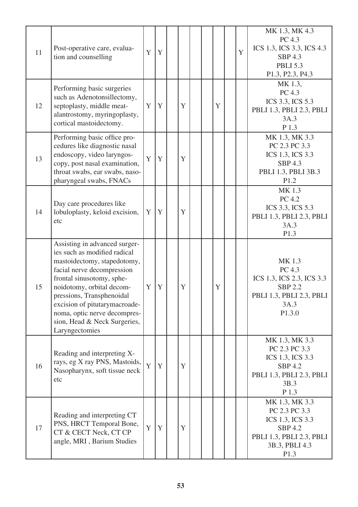| 11 | Post-operative care, evalua-<br>tion and counselling                                                                                                                                                                                                                                                                                 | Y | Y |   |  |   | Y | MK 1.3, MK 4.3<br>PC 4.3<br>ICS 1.3, ICS 3.3, ICS 4.3<br><b>SBP 4.3</b><br><b>PBLI 5.3</b><br>P1.3, P2.3, P4.3              |
|----|--------------------------------------------------------------------------------------------------------------------------------------------------------------------------------------------------------------------------------------------------------------------------------------------------------------------------------------|---|---|---|--|---|---|-----------------------------------------------------------------------------------------------------------------------------|
| 12 | Performing basic surgeries<br>such as Adenotonsillectomy,<br>septoplasty, middle meat-<br>alantrostomy, myringoplasty,<br>cortical mastoidectomy.                                                                                                                                                                                    | Y | Y | Y |  | Y |   | MK 1.3,<br>PC 4.3<br>ICS 3.3, ICS 5.3<br>PBLI 1.3, PBLI 2.3, PBLI<br>3A.3<br>P 1.3                                          |
| 13 | Performing basic office pro-<br>cedures like diagnostic nasal<br>endoscopy, video laryngos-<br>copy, post nasal examination,<br>throat swabs, ear swabs, naso-<br>pharyngeal swabs, FNACs                                                                                                                                            | Y | Y | Y |  |   |   | MK 1.3, MK 3.3<br>PC 2.3 PC 3.3<br>ICS 1.3, ICS 3.3<br><b>SBP 4.3</b><br>PBLI 1.3, PBLI 3B.3<br>P1.2                        |
| 14 | Day care procedures like<br>lobuloplasty, keloid excision,<br>etc                                                                                                                                                                                                                                                                    | Y | Y | Y |  |   |   | MK 1.3<br>PC 4.2<br>ICS 3.3, ICS 5.3<br>PBLI 1.3, PBLI 2.3, PBLI<br>3A.3<br>P1.3                                            |
| 15 | Assisting in advanced surger-<br>ies such as modified radical<br>mastoidectomy, stapedotomy,<br>facial nerve decompression<br>frontal sinusotomy, sphe-<br>noidotomy, orbital decom-<br>pressions, Transphenoidal<br>excision of pitutarymacroade-<br>noma, optic nerve decompres-<br>sion, Head & Neck Surgeries,<br>Laryngectomies | Y | Y | Y |  | Y |   | MK 1.3<br>PC 4.3<br>ICS 1.3, ICS 2.3, ICS 3.3<br><b>SBP 2.2</b><br>PBLI 1.3, PBLI 2.3, PBLI<br>3A.3<br>P1.3.0               |
| 16 | Reading and interpreting X-<br>rays, eg X ray PNS, Mastoids,<br>Nasopharynx, soft tissue neck<br>etc                                                                                                                                                                                                                                 | Y | Y | Y |  |   |   | MK 1.3, MK 3.3<br>PC 2.3 PC 3.3<br>ICS 1.3, ICS 3.3<br><b>SBP 4.2</b><br>PBLI 1.3, PBLI 2.3, PBLI<br>3B.3<br>P 1.3          |
| 17 | Reading and interpreting CT<br>PNS, HRCT Temporal Bone,<br>CT & CECT Neck, CT CP<br>angle, MRI, Barium Studies                                                                                                                                                                                                                       | Y | Y | Y |  |   |   | MK 1.3, MK 3.3<br>PC 2.3 PC 3.3<br>ICS 1.3, ICS 3.3<br><b>SBP 4.2</b><br>PBLI 1.3, PBLI 2.3, PBLI<br>3B.3, PBLI 4.3<br>P1.3 |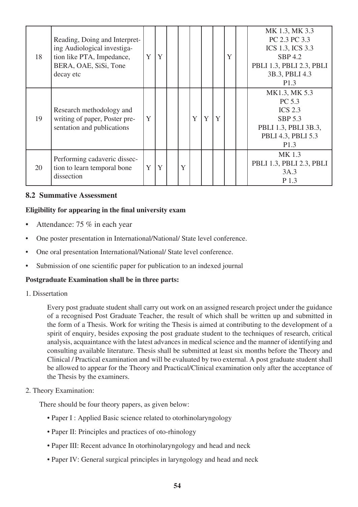| 18 | Reading, Doing and Interpret-<br>ing Audiological investiga-<br>tion like PTA, Impedance,<br>BERA, OAE, SiSi, Tone<br>decay etc | Y | Y |   |   |   |   | Y | MK 1.3, MK 3.3<br>PC 2.3 PC 3.3<br>ICS 1.3, ICS 3.3<br><b>SBP 4.2</b><br>PBLI 1.3, PBLI 2.3, PBLI<br>3B.3, PBLI 4.3<br>P1.3   |
|----|---------------------------------------------------------------------------------------------------------------------------------|---|---|---|---|---|---|---|-------------------------------------------------------------------------------------------------------------------------------|
| 19 | Research methodology and<br>writing of paper, Poster pre-<br>sentation and publications                                         | Y |   |   | Y | Y | Y |   | MK1.3, MK 5.3<br>PC 5.3<br><b>ICS 2.3</b><br><b>SBP 5.3</b><br>PBLI 1.3, PBLI 3B.3,<br>PBLI 4.3, PBLI 5.3<br>P <sub>1.3</sub> |
| 20 | Performing cadaveric dissec-<br>tion to learn temporal bone<br>dissection                                                       | Y | Y | Y |   |   |   |   | MK 1.3<br>PBLI 1.3, PBLI 2.3, PBLI<br>3A.3<br>P 1.3                                                                           |

#### **8.2 Summative Assessment**

#### **Eligibility for appearing in the final university exam**

- Attendance: 75 % in each year
- One poster presentation in International/National/ State level conference.
- One oral presentation International/National/ State level conference.
- Submission of one scientific paper for publication to an indexed journal

#### **Postgraduate Examination shall be in three parts:**

1. Dissertation

 Every post graduate student shall carry out work on an assigned research project under the guidance of a recognised Post Graduate Teacher, the result of which shall be written up and submitted in the form of a Thesis. Work for writing the Thesis is aimed at contributing to the development of a spirit of enquiry, besides exposing the post graduate student to the techniques of research, critical analysis, acquaintance with the latest advances in medical science and the manner of identifying and consulting available literature. Thesis shall be submitted at least six months before the Theory and Clinical / Practical examination and will be evaluated by two external. A post graduate student shall be allowed to appear for the Theory and Practical/Clinical examination only after the acceptance of the Thesis by the examiners.

2. Theory Examination:

There should be four theory papers, as given below:

- Paper I : Applied Basic science related to otorhinolaryngology
- Paper II: Principles and practices of oto-rhinology
- Paper III: Recent advance In otorhinolaryngology and head and neck
- Paper IV: General surgical principles in laryngology and head and neck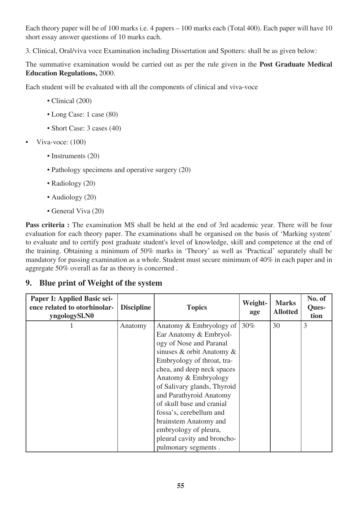Each theory paper will be of 100 marks i.e. 4 papers – 100 marks each (Total 400). Each paper will have 10 short essay answer questions of 10 marks each.

3. Clinical, Oral/viva voce Examination including Dissertation and Spotters: shall be as given below:

The summative examination would be carried out as per the rule given in the **Post Graduate Medical Education Regulations,** 2000.

Each student will be evaluated with all the components of clinical and viva-voce

- Clinical (200)
- Long Case: 1 case (80)
- Short Case: 3 cases (40)
- Viva-voce: (100)
	- Instruments (20)
	- Pathology specimens and operative surgery (20)
	- Radiology (20)
	- Audiology (20)
	- General Viva (20)

**Pass criteria :** The examination MS shall be held at the end of 3rd academic year. There will be four evaluation for each theory paper. The examinations shall be organised on the basis of 'Marking system' to evaluate and to certify post graduate student's level of knowledge, skill and competence at the end of the training. Obtaining a minimum of 50% marks in 'Theory' as well as 'Practical' separately shall be mandatory for passing examination as a whole. Student must secure minimum of 40% in each paper and in aggregate 50% overall as far as theory is concerned .

# **9. Blue print of Weight of the system**

| Paper I: Applied Basic sci-<br>ence related to otorhinolar-<br>yngologySl.N0 | <b>Discipline</b> | <b>Topics</b>                    | Weight-<br>age | <b>Marks</b><br><b>Allotted</b> | No. of<br>Ques-<br>tion |
|------------------------------------------------------------------------------|-------------------|----------------------------------|----------------|---------------------------------|-------------------------|
|                                                                              | Anatomy           | Anatomy & Embryology of $ 30\% $ |                | 30                              | 3                       |
|                                                                              |                   | Ear Anatomy & Embryol-           |                |                                 |                         |
|                                                                              |                   | ogy of Nose and Paranal          |                |                                 |                         |
|                                                                              |                   | sinuses & orbit Anatomy $\&$     |                |                                 |                         |
|                                                                              |                   | Embryology of throat, tra-       |                |                                 |                         |
|                                                                              |                   | chea, and deep neck spaces       |                |                                 |                         |
|                                                                              |                   | Anatomy & Embryology             |                |                                 |                         |
|                                                                              |                   | of Salivary glands, Thyroid      |                |                                 |                         |
|                                                                              |                   | and Parathyroid Anatomy          |                |                                 |                         |
|                                                                              |                   | of skull base and cranial        |                |                                 |                         |
|                                                                              |                   | fossa's, cerebellum and          |                |                                 |                         |
|                                                                              |                   | brainstem Anatomy and            |                |                                 |                         |
|                                                                              |                   | embryology of pleura,            |                |                                 |                         |
|                                                                              |                   | pleural cavity and broncho-      |                |                                 |                         |
|                                                                              |                   | pulmonary segments.              |                |                                 |                         |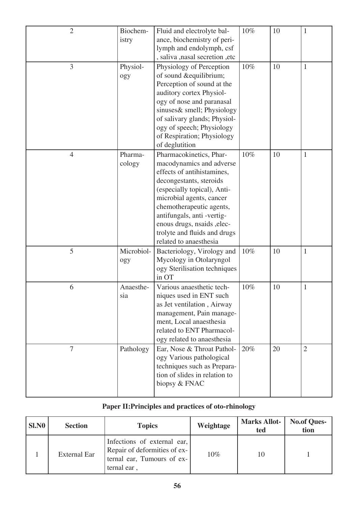| $\overline{2}$ | Biochem-<br>istry | Fluid and electrolyte bal-<br>ance, biochemistry of peri-<br>lymph and endolymph, csf<br>, saliva , nasal secretion , etc                                                                                                                                                                                                 | 10% | 10 | 1            |
|----------------|-------------------|---------------------------------------------------------------------------------------------------------------------------------------------------------------------------------------------------------------------------------------------------------------------------------------------------------------------------|-----|----|--------------|
| 3              | Physiol-<br>ogy   | Physiology of Perception<br>of sound &equilibrium<br>Perception of sound at the<br>auditory cortex Physiol-<br>ogy of nose and paranasal<br>sinuses& smell; Physiology<br>of salivary glands; Physiol-<br>ogy of speech; Physiology<br>of Respiration; Physiology<br>of deglutition                                       | 10% | 10 | $\mathbf{1}$ |
| $\overline{4}$ | Pharma-<br>cology | Pharmacokinetics, Phar-<br>macodynamics and adverse<br>effects of antihistamines,<br>decongestants, steroids<br>(especially topical), Anti-<br>microbial agents, cancer<br>chemotherapeutic agents,<br>antifungals, anti-vertig-<br>enous drugs, nsaids , elec-<br>trolyte and fluids and drugs<br>related to anaesthesia | 10% | 10 | $\mathbf{1}$ |
| 5              | Microbiol-<br>ogy | Bacteriology, Virology and<br>Mycology in Otolaryngol<br>ogy Sterilisation techniques<br>in OT                                                                                                                                                                                                                            | 10% | 10 | $\mathbf{1}$ |
| 6              | Anaesthe-<br>sia  | Various anaesthetic tech-<br>niques used in ENT such<br>as Jet ventilation, Airway<br>management, Pain manage-<br>ment, Local anaesthesia<br>related to ENT Pharmacol-<br>ogy related to anaesthesia                                                                                                                      | 10% | 10 | 1            |
| $\overline{7}$ | Pathology         | Ear, Nose & Throat Pathol-<br>ogy Various pathological<br>techniques such as Prepara-<br>tion of slides in relation to<br>biopsy & FNAC                                                                                                                                                                                   | 20% | 20 | $\sqrt{2}$   |

# **Paper II:Principles and practices of oto-rhinology**

| <b>SI.NO</b> | <b>Section</b>      | <b>Topics</b>                                                                                            | Weightage | <b>Marks Allot-</b><br>ted | <b>No.of Ques-</b><br>tion |
|--------------|---------------------|----------------------------------------------------------------------------------------------------------|-----------|----------------------------|----------------------------|
|              | <b>External Ear</b> | Infections of external ear,<br>Repair of deformities of ex-<br>ternal ear, Tumours of ex-<br>ternal ear, | $10\%$    | 10                         |                            |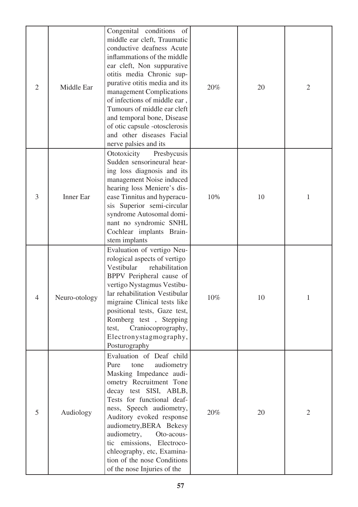| $\overline{2}$ | Middle Ear    | Congenital conditions of<br>middle ear cleft, Traumatic<br>conductive deafness Acute<br>inflammations of the middle<br>ear cleft, Non suppurative<br>otitis media Chronic sup-<br>purative otitis media and its<br>management Complications<br>of infections of middle ear,<br>Tumours of middle ear cleft<br>and temporal bone, Disease<br>of otic capsule -otosclerosis<br>and other diseases Facial<br>nerve palsies and its | 20% | 20 | $\overline{2}$ |
|----------------|---------------|---------------------------------------------------------------------------------------------------------------------------------------------------------------------------------------------------------------------------------------------------------------------------------------------------------------------------------------------------------------------------------------------------------------------------------|-----|----|----------------|
| 3              | Inner Ear     | Ototoxicity<br>Presbycusis<br>Sudden sensorineural hear-<br>ing loss diagnosis and its<br>management Noise induced<br>hearing loss Meniere's dis-<br>ease Tinnitus and hyperacu-<br>sis Superior semi-circular<br>syndrome Autosomal domi-<br>nant no syndromic SNHL<br>Cochlear implants Brain-<br>stem implants                                                                                                               | 10% | 10 | $\mathbf{1}$   |
| $\overline{4}$ | Neuro-otology | Evaluation of vertigo Neu-<br>rological aspects of vertigo<br>Vestibular<br>rehabilitation<br>BPPV Peripheral cause of<br>vertigo Nystagmus Vestibu-<br>lar rehabilitation Vestibular<br>migraine Clinical tests like<br>positional tests, Gaze test,<br>Romberg test, Stepping<br>Craniocoprography,<br>test,<br>Electronystagmography,<br>Posturography                                                                       | 10% | 10 |                |
| 5              | Audiology     | Evaluation of Deaf child<br>Pure<br>audiometry<br>tone<br>Masking Impedance audi-<br>ometry Recruitment Tone<br>decay test SISI, ABLB,<br>Tests for functional deaf-<br>ness, Speech audiometry,<br>Auditory evoked response<br>audiometry, BERA Bekesy<br>audiometry,<br>Oto-acous-<br>tic emissions, Electroco-<br>chleography, etc, Examina-<br>tion of the nose Conditions<br>of the nose Injuries of the                   | 20% | 20 | $\overline{2}$ |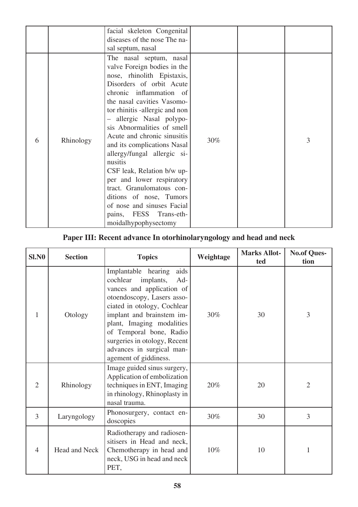|   |           | facial skeleton Congenital<br>diseases of the nose The na-<br>sal septum, nasal                                                                                                                                                                                                                                                                                                                                                                                                                                                                                                |     |   |
|---|-----------|--------------------------------------------------------------------------------------------------------------------------------------------------------------------------------------------------------------------------------------------------------------------------------------------------------------------------------------------------------------------------------------------------------------------------------------------------------------------------------------------------------------------------------------------------------------------------------|-----|---|
| 6 | Rhinology | The nasal septum, nasal<br>valve Foreign bodies in the<br>nose, rhinolith Epistaxis,<br>Disorders of orbit Acute<br>chronic inflammation of<br>the nasal cavities Vasomo-<br>tor rhinitis -allergic and non<br>allergic Nasal polypo-<br>sis Abnormalities of smell<br>Acute and chronic sinusitis<br>and its complications Nasal<br>allergy/fungal allergic si-<br>nusitis<br>CSF leak, Relation b/w up-<br>per and lower respiratory<br>tract. Granulomatous con-<br>ditions of nose, Tumors<br>of nose and sinuses Facial<br>pains, FESS Trans-eth-<br>moidalhypophysectomy | 30% | 3 |

# **Paper III: Recent advance In otorhinolaryngology and head and neck**

| <b>SI.NO</b>   | <b>Section</b>                                                                                                                                         | <b>Topics</b>                                                                                                                                                                                                                                                                                                                    | Weightage | <b>Marks Allot-</b><br>ted | <b>No.of Ques-</b><br>tion |
|----------------|--------------------------------------------------------------------------------------------------------------------------------------------------------|----------------------------------------------------------------------------------------------------------------------------------------------------------------------------------------------------------------------------------------------------------------------------------------------------------------------------------|-----------|----------------------------|----------------------------|
| 1              | Otology                                                                                                                                                | Implantable hearing<br>aids<br>cochlear<br>implants,<br>Ad-<br>vances and application of<br>otoendoscopy, Lasers asso-<br>ciated in otology, Cochlear<br>implant and brainstem im-<br>plant, Imaging modalities<br>of Temporal bone, Radio<br>surgeries in otology, Recent<br>advances in surgical man-<br>agement of giddiness. | 30%       | 30                         | 3                          |
| $\overline{2}$ | Image guided sinus surgery,<br>Application of embolization<br>techniques in ENT, Imaging<br>Rhinology<br>in rhinology, Rhinoplasty in<br>nasal trauma. |                                                                                                                                                                                                                                                                                                                                  | 20%       | 20                         | $\overline{2}$             |
| 3              | Laryngology                                                                                                                                            | Phonosurgery, contact en-<br>doscopies                                                                                                                                                                                                                                                                                           | 30%       | 30                         | 3                          |
| 4              | Head and Neck                                                                                                                                          | Radiotherapy and radiosen-<br>sitisers in Head and neck,<br>Chemotherapy in head and<br>neck, USG in head and neck<br>PET,                                                                                                                                                                                                       | 10%       | 10                         |                            |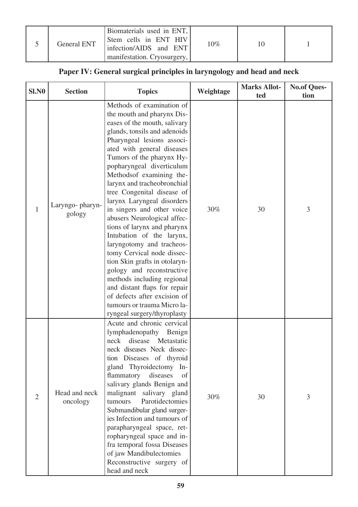|  | <b>General ENT</b> | Biomaterials used in ENT,<br>Stem cells in ENT HIV<br>infection/AIDS and ENT<br>manifestation. Cryosurgery, I | $10\%$ |  |  |
|--|--------------------|---------------------------------------------------------------------------------------------------------------|--------|--|--|
|--|--------------------|---------------------------------------------------------------------------------------------------------------|--------|--|--|

# **Paper IV: General surgical principles in laryngology and head and neck**

| <b>SI.NO</b> | <b>Section</b>            | <b>Topics</b>                                                                                                                                                                                                                                                                                                                                                                                                                                                                                                                                                                                                                                                                                                                                                                      | Weightage | <b>Marks Allot-</b><br>ted | <b>No.of Ques-</b><br>tion |
|--------------|---------------------------|------------------------------------------------------------------------------------------------------------------------------------------------------------------------------------------------------------------------------------------------------------------------------------------------------------------------------------------------------------------------------------------------------------------------------------------------------------------------------------------------------------------------------------------------------------------------------------------------------------------------------------------------------------------------------------------------------------------------------------------------------------------------------------|-----------|----------------------------|----------------------------|
| 1            | Laryngo-pharyn-<br>gology | Methods of examination of<br>the mouth and pharynx Dis-<br>eases of the mouth, salivary<br>glands, tonsils and adenoids<br>Pharyngeal lesions associ-<br>ated with general diseases<br>Tumors of the pharynx Hy-<br>popharyngeal diverticulum<br>Methodsof examining the-<br>larynx and tracheobronchial<br>tree Congenital disease of<br>larynx Laryngeal disorders<br>in singers and other voice<br>abusers Neurological affec-<br>tions of larynx and pharynx<br>Intubation of the larynx,<br>laryngotomy and tracheos-<br>tomy Cervical node dissec-<br>tion Skin grafts in otolaryn-<br>gology and reconstructive<br>methods including regional<br>and distant flaps for repair<br>of defects after excision of<br>tumours or trauma Micro la-<br>ryngeal surgery/thyroplasty | 30%       | 30                         | 3                          |
| 2            | Head and neck<br>oncology | Acute and chronic cervical<br>lymphadenopathy<br>Benign<br>disease Metastatic<br>neck<br>neck diseases Neck dissec-<br>tion Diseases of thyroid<br>gland Thyroidectomy In-<br>flammatory<br>diseases<br>of<br>salivary glands Benign and<br>malignant salivary gland<br>Parotidectomies<br>tumours<br>Submandibular gland surger-<br>ies Infection and tumours of<br>parapharyngeal space, ret-<br>ropharyngeal space and in-<br>fra temporal fossa Diseases<br>of jaw Mandibulectomies<br>Reconstructive surgery of<br>head and neck                                                                                                                                                                                                                                              | 30%       | 30                         | 3                          |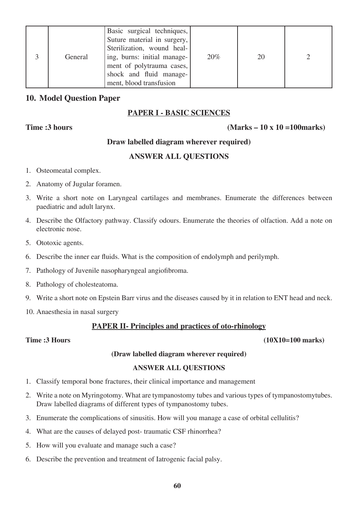|  | General | Basic surgical techniques,<br>Suture material in surgery,<br>Sterilization, wound heal-<br>ing, burns: initial manage-<br>ment of polytrauma cases,<br>shock and fluid manage-<br>ment, blood transfusion | 20% | 20 |  |
|--|---------|-----------------------------------------------------------------------------------------------------------------------------------------------------------------------------------------------------------|-----|----|--|
|--|---------|-----------------------------------------------------------------------------------------------------------------------------------------------------------------------------------------------------------|-----|----|--|

### **10. Model Question Paper**

#### **PAPER I - BASIC SCIENCES**

#### **Time :3 hours (Marks – 10 x 10 =100marks)**

### **Draw labelled diagram wherever required)**

### **ANSWER ALL QUESTIONS**

- 1. Osteomeatal complex.
- 2. Anatomy of Jugular foramen.
- 3. Write a short note on Laryngeal cartilages and membranes. Enumerate the differences between paediatric and adult larynx.
- 4. Describe the Olfactory pathway. Classify odours. Enumerate the theories of olfaction. Add a note on electronic nose.
- 5. Ototoxic agents.
- 6. Describe the inner ear fluids. What is the composition of endolymph and perilymph.
- 7. Pathology of Juvenile nasopharyngeal angiofibroma.
- 8. Pathology of cholesteatoma.
- 9. Write a short note on Epstein Barr virus and the diseases caused by it in relation to ENT head and neck.
- 10. Anaesthesia in nasal surgery

## **PAPER II- Principles and practices of oto-rhinology**

#### **Time :3 Hours** (10X10=100 marks)

#### **(Draw labelled diagram wherever required)**

#### **ANSWER ALL QUESTIONS**

- 1. Classify temporal bone fractures, their clinical importance and management
- 2. Write a note on Myringotomy. What are tympanostomy tubes and various types of tympanostomytubes. Draw labelled diagrams of different types of tympanostomy tubes.
- 3. Enumerate the complications of sinusitis. How will you manage a case of orbital cellulitis?
- 4. What are the causes of delayed post- traumatic CSF rhinorrhea?
- 5. How will you evaluate and manage such a case?
- 6. Describe the prevention and treatment of Iatrogenic facial palsy.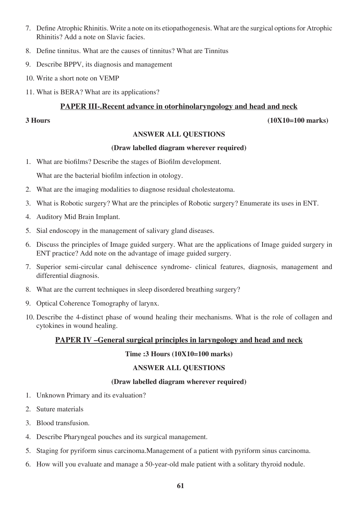- 7. Define Atrophic Rhinitis. Write a note on its etiopathogenesis. What are the surgical options for Atrophic Rhinitis? Add a note on Slavic facies.
- 8. Define tinnitus. What are the causes of tinnitus? What are Tinnitus
- 9. Describe BPPV, its diagnosis and management
- 10. Write a short note on VEMP
- 11. What is BERA? What are its applications?

#### **PAPER III-.Recent advance in otorhinolaryngology and head and neck**

**3 Hours (10X10=100 marks)**

#### **ANSWER ALL QUESTIONS**

#### **(Draw labelled diagram wherever required)**

1. What are biofilms? Describe the stages of Biofilm development.

What are the bacterial biofilm infection in otology.

- 2. What are the imaging modalities to diagnose residual cholesteatoma.
- 3. What is Robotic surgery? What are the principles of Robotic surgery? Enumerate its uses in ENT.
- 4. Auditory Mid Brain Implant.
- 5. Sial endoscopy in the management of salivary gland diseases.
- 6. Discuss the principles of Image guided surgery. What are the applications of Image guided surgery in ENT practice? Add note on the advantage of image guided surgery.
- 7. Superior semi-circular canal dehiscence syndrome- clinical features, diagnosis, management and differential diagnosis.
- 8. What are the current techniques in sleep disordered breathing surgery?
- 9. Optical Coherence Tomography of larynx.
- 10. Describe the 4-distinct phase of wound healing their mechanisms. What is the role of collagen and cytokines in wound healing.

#### **PAPER IV –General surgical principles in laryngology and head and neck**

#### **Time :3 Hours (10X10=100 marks)**

#### **ANSWER ALL QUESTIONS**

#### **(Draw labelled diagram wherever required)**

- 1. Unknown Primary and its evaluation?
- 2. Suture materials
- 3. Blood transfusion.
- 4. Describe Pharyngeal pouches and its surgical management.
- 5. Staging for pyriform sinus carcinoma.Management of a patient with pyriform sinus carcinoma.
- 6. How will you evaluate and manage a 50-year-old male patient with a solitary thyroid nodule.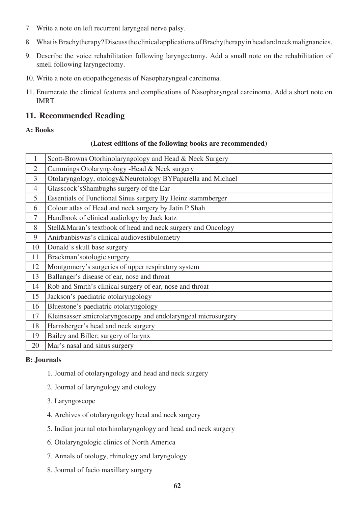- 7. Write a note on left recurrent laryngeal nerve palsy.
- 8. What is Brachytherapy? Discuss the clinical applications of Brachytherapy in head and neck malignancies.
- 9. Describe the voice rehabilitation following laryngectomy. Add a small note on the rehabilitation of smell following laryngectomy.
- 10. Write a note on etiopathogenesis of Nasopharyngeal carcinoma.
- 11. Enumerate the clinical features and complications of Nasopharyngeal carcinoma. Add a short note on IMRT

## **11. Recommended Reading**

#### **A: Books**

#### **(Latest editions of the following books are recommended)**

| $\mathbf{1}$   | Scott-Browns Otorhinolaryngology and Head & Neck Surgery      |
|----------------|---------------------------------------------------------------|
| $\overline{2}$ | Cummings Otolaryngology - Head & Neck surgery                 |
| $\overline{3}$ | Otolaryngology, otology&Neurotology BYPaparella and Michael   |
| $\overline{4}$ | Glasscock's Shambughs surgery of the Ear                      |
| 5              | Essentials of Functional Sinus surgery By Heinz stammberger   |
| 6              | Colour atlas of Head and neck surgery by Jatin P Shah         |
| $\tau$         | Handbook of clinical audiology by Jack katz                   |
| 8              | Stell&Maran's textbook of head and neck surgery and Oncology  |
| 9              | Anirbanbiswas's clinical audiovestibulometry                  |
| 10             | Donald's skull base surgery                                   |
| 11             | Brackman'sotologic surgery                                    |
| 12             | Montgomery's surgeries of upper respiratory system            |
| 13             | Ballanger's disease of ear, nose and throat                   |
| 14             | Rob and Smith's clinical surgery of ear, nose and throat      |
| 15             | Jackson's paediatric otolaryngology                           |
| 16             | Bluestone's paediatric otolaryngology                         |
| 17             | Kleinsasser'smicrolaryngoscopy and endolaryngeal microsurgery |
| 18             | Harnsberger's head and neck surgery                           |
| 19             | Bailey and Biller; surgery of larynx                          |
| 20             | Mar's nasal and sinus surgery                                 |

#### **B: Journals**

- 1. Journal of otolaryngology and head and neck surgery
- 2. Journal of laryngology and otology
- 3. Laryngoscope
- 4. Archives of otolaryngology head and neck surgery
- 5. Indian journal otorhinolaryngology and head and neck surgery
- 6. Otolaryngologic clinics of North America
- 7. Annals of otology, rhinology and laryngology
- 8. Journal of facio maxillary surgery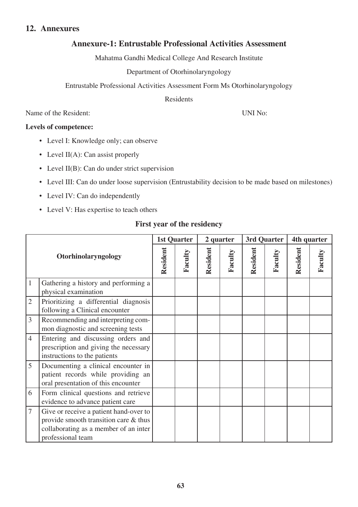# **Annexure-1: Entrustable Professional Activities Assessment**

Mahatma Gandhi Medical College And Research Institute

### Department of Otorhinolaryngology

Entrustable Professional Activities Assessment Form Ms Otorhinolaryngology

Residents

Name of the Resident: UNI No:

#### **Levels of competence:**

- Level I: Knowledge only; can observe
- Level  $II(A)$ : Can assist properly
- Level II(B): Can do under strict supervision
- Level III: Can do under loose supervision (Entrustability decision to be made based on milestones)
- Level IV: Can do independently
- Level V: Has expertise to teach others

### **First year of the residency**

| Otorhinolaryngology |                                                                                                                                               |          | <b>1st Quarter</b> |          | 2 quarter |          | 3rd Quarter |          | 4th quarter |
|---------------------|-----------------------------------------------------------------------------------------------------------------------------------------------|----------|--------------------|----------|-----------|----------|-------------|----------|-------------|
|                     |                                                                                                                                               | Resident | Faculty            | Resident | Faculty   | Resident | Faculty     | Resident | Faculty     |
| $\mathbf{1}$        | Gathering a history and performing a<br>physical examination                                                                                  |          |                    |          |           |          |             |          |             |
| $\overline{2}$      | Prioritizing a differential diagnosis<br>following a Clinical encounter                                                                       |          |                    |          |           |          |             |          |             |
| 3                   | Recommending and interpreting com-<br>mon diagnostic and screening tests                                                                      |          |                    |          |           |          |             |          |             |
| $\overline{4}$      | Entering and discussing orders and<br>prescription and giving the necessary<br>instructions to the patients                                   |          |                    |          |           |          |             |          |             |
| 5                   | Documenting a clinical encounter in<br>patient records while providing an<br>oral presentation of this encounter                              |          |                    |          |           |          |             |          |             |
| 6                   | Form clinical questions and retrieve<br>evidence to advance patient care                                                                      |          |                    |          |           |          |             |          |             |
| $\overline{7}$      | Give or receive a patient hand-over to<br>provide smooth transition care & thus<br>collaborating as a member of an inter<br>professional team |          |                    |          |           |          |             |          |             |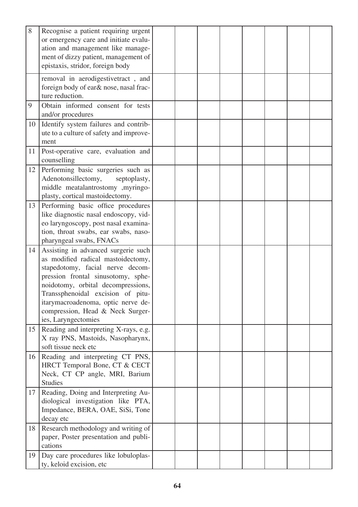| 8  | Recognise a patient requiring urgent<br>or emergency care and initiate evalu-<br>ation and management like manage-<br>ment of dizzy patient, management of                                                                                                                                                                      |  |  |  |  |
|----|---------------------------------------------------------------------------------------------------------------------------------------------------------------------------------------------------------------------------------------------------------------------------------------------------------------------------------|--|--|--|--|
|    | epistaxis, stridor, foreign body<br>removal in aerodigestivetract, and<br>foreign body of ear& nose, nasal frac-<br>ture reduction.                                                                                                                                                                                             |  |  |  |  |
| 9  | Obtain informed consent for tests<br>and/or procedures                                                                                                                                                                                                                                                                          |  |  |  |  |
| 10 | Identify system failures and contrib-<br>ute to a culture of safety and improve-<br>ment                                                                                                                                                                                                                                        |  |  |  |  |
| 11 | Post-operative care, evaluation and<br>counselling                                                                                                                                                                                                                                                                              |  |  |  |  |
| 12 | Performing basic surgeries such as<br>Adenotonsillectomy,<br>septoplasty,<br>middle meatalantrostomy ,myringo-<br>plasty, cortical mastoidectomy.                                                                                                                                                                               |  |  |  |  |
| 13 | Performing basic office procedures<br>like diagnostic nasal endoscopy, vid-<br>eo laryngoscopy, post nasal examina-<br>tion, throat swabs, ear swabs, naso-<br>pharyngeal swabs, FNACs                                                                                                                                          |  |  |  |  |
| 14 | Assisting in advanced surgerie such<br>as modified radical mastoidectomy,<br>stapedotomy, facial nerve decom-<br>pression frontal sinusotomy, sphe-<br>noidotomy, orbital decompressions,<br>Transsphenoidal excision of pitu-<br>itarymacroadenoma, optic nerve de-<br>compression, Head & Neck Surger-<br>ies, Laryngectomies |  |  |  |  |
| 15 | Reading and interpreting X-rays, e.g.<br>X ray PNS, Mastoids, Nasopharynx,<br>soft tissue neck etc                                                                                                                                                                                                                              |  |  |  |  |
| 16 | Reading and interpreting CT PNS,<br>HRCT Temporal Bone, CT & CECT<br>Neck, CT CP angle, MRI, Barium<br><b>Studies</b>                                                                                                                                                                                                           |  |  |  |  |
| 17 | Reading, Doing and Interpreting Au-<br>diological investigation like PTA,<br>Impedance, BERA, OAE, SiSi, Tone<br>decay etc                                                                                                                                                                                                      |  |  |  |  |
| 18 | Research methodology and writing of<br>paper, Poster presentation and publi-<br>cations                                                                                                                                                                                                                                         |  |  |  |  |
| 19 | Day care procedures like lobuloplas-<br>ty, keloid excision, etc                                                                                                                                                                                                                                                                |  |  |  |  |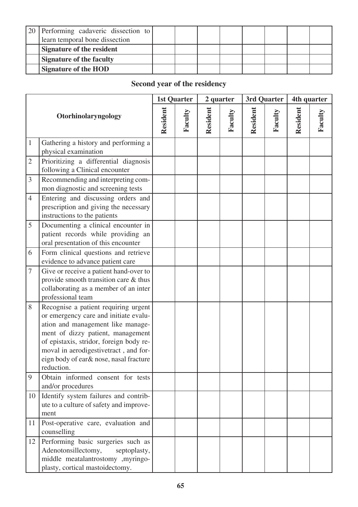| [20] Performing cadaveric dissection to<br>learn temporal bone dissection |  |  |  |  |
|---------------------------------------------------------------------------|--|--|--|--|
| Signature of the resident                                                 |  |  |  |  |
| <b>Signature of the faculty</b>                                           |  |  |  |  |
| <b>Signature of the HOD</b>                                               |  |  |  |  |

# **Second year of the residency**

|                |                                                                                                                                                                                                                                                                                                     |  | <b>1st Quarter</b> |          | 2 quarter |          | 3rd Quarter |          | 4th quarter |
|----------------|-----------------------------------------------------------------------------------------------------------------------------------------------------------------------------------------------------------------------------------------------------------------------------------------------------|--|--------------------|----------|-----------|----------|-------------|----------|-------------|
|                | Otorhinolaryngology                                                                                                                                                                                                                                                                                 |  | Faculty            | Resident | Faculty   | Resident | Faculty     | Resident | Faculty     |
| $\mathbf{1}$   | Gathering a history and performing a<br>physical examination                                                                                                                                                                                                                                        |  |                    |          |           |          |             |          |             |
| $\sqrt{2}$     | Prioritizing a differential diagnosis<br>following a Clinical encounter                                                                                                                                                                                                                             |  |                    |          |           |          |             |          |             |
| 3              | Recommending and interpreting com-<br>mon diagnostic and screening tests                                                                                                                                                                                                                            |  |                    |          |           |          |             |          |             |
| $\overline{4}$ | Entering and discussing orders and<br>prescription and giving the necessary<br>instructions to the patients                                                                                                                                                                                         |  |                    |          |           |          |             |          |             |
| 5              | Documenting a clinical encounter in<br>patient records while providing an<br>oral presentation of this encounter                                                                                                                                                                                    |  |                    |          |           |          |             |          |             |
| 6              | Form clinical questions and retrieve<br>evidence to advance patient care                                                                                                                                                                                                                            |  |                    |          |           |          |             |          |             |
| $\tau$         | Give or receive a patient hand-over to<br>provide smooth transition care & thus<br>collaborating as a member of an inter<br>professional team                                                                                                                                                       |  |                    |          |           |          |             |          |             |
| 8              | Recognise a patient requiring urgent<br>or emergency care and initiate evalu-<br>ation and management like manage-<br>ment of dizzy patient, management<br>of epistaxis, stridor, foreign body re-<br>moval in aerodigestivetract, and for-<br>eign body of ear& nose, nasal fracture<br>reduction. |  |                    |          |           |          |             |          |             |
| 9              | Obtain informed consent for tests<br>and/or procedures                                                                                                                                                                                                                                              |  |                    |          |           |          |             |          |             |
| 10             | Identify system failures and contrib-<br>ute to a culture of safety and improve-<br>ment                                                                                                                                                                                                            |  |                    |          |           |          |             |          |             |
| 11             | Post-operative care, evaluation and<br>counselling                                                                                                                                                                                                                                                  |  |                    |          |           |          |             |          |             |
| 12             | Performing basic surgeries such as<br>Adenotonsillectomy,<br>septoplasty,<br>middle meatalantrostomy ,myringo-<br>plasty, cortical mastoidectomy.                                                                                                                                                   |  |                    |          |           |          |             |          |             |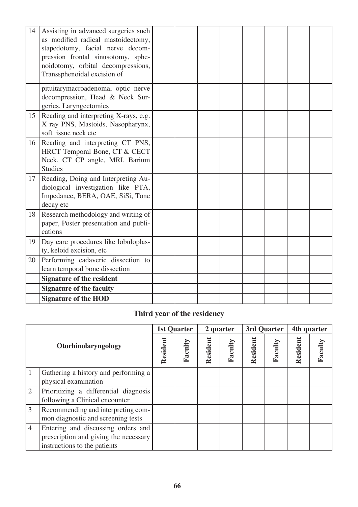| 14 | Assisting in advanced surgeries such<br>as modified radical mastoidectomy,<br>stapedotomy, facial nerve decom-<br>pression frontal sinusotomy, sphe-<br>noidotomy, orbital decompressions,<br>Transsphenoidal excision of |  |  |  |  |
|----|---------------------------------------------------------------------------------------------------------------------------------------------------------------------------------------------------------------------------|--|--|--|--|
|    | pituitarymacroadenoma, optic nerve<br>decompression, Head & Neck Sur-<br>geries, Laryngectomies                                                                                                                           |  |  |  |  |
| 15 | Reading and interpreting X-rays, e.g.<br>X ray PNS, Mastoids, Nasopharynx,<br>soft tissue neck etc                                                                                                                        |  |  |  |  |
| 16 | Reading and interpreting CT PNS,<br>HRCT Temporal Bone, CT & CECT<br>Neck, CT CP angle, MRI, Barium<br><b>Studies</b>                                                                                                     |  |  |  |  |
| 17 | Reading, Doing and Interpreting Au-<br>diological investigation like PTA,<br>Impedance, BERA, OAE, SiSi, Tone<br>decay etc                                                                                                |  |  |  |  |
| 18 | Research methodology and writing of<br>paper, Poster presentation and publi-<br>cations                                                                                                                                   |  |  |  |  |
| 19 | Day care procedures like lobuloplas-<br>ty, keloid excision, etc                                                                                                                                                          |  |  |  |  |
| 20 | Performing cadaveric dissection to<br>learn temporal bone dissection                                                                                                                                                      |  |  |  |  |
|    | <b>Signature of the resident</b>                                                                                                                                                                                          |  |  |  |  |
|    | <b>Signature of the faculty</b>                                                                                                                                                                                           |  |  |  |  |
|    | <b>Signature of the HOD</b>                                                                                                                                                                                               |  |  |  |  |

# **Third year of the residency**

|                     |                                                                                                             |          | 1st Quarter |          | 2 quarter |          | 3rd Quarter | 4th quarter |        |
|---------------------|-------------------------------------------------------------------------------------------------------------|----------|-------------|----------|-----------|----------|-------------|-------------|--------|
| Otorhinolaryngology |                                                                                                             | Resident | Facult      | Resident | Faculty   | Resident | Faculty     | Resident    | Facult |
|                     | Gathering a history and performing a<br>physical examination                                                |          |             |          |           |          |             |             |        |
| $\overline{2}$      | Prioritizing a differential diagnosis<br>following a Clinical encounter                                     |          |             |          |           |          |             |             |        |
| 3                   | Recommending and interpreting com-<br>mon diagnostic and screening tests                                    |          |             |          |           |          |             |             |        |
| $\overline{4}$      | Entering and discussing orders and<br>prescription and giving the necessary<br>instructions to the patients |          |             |          |           |          |             |             |        |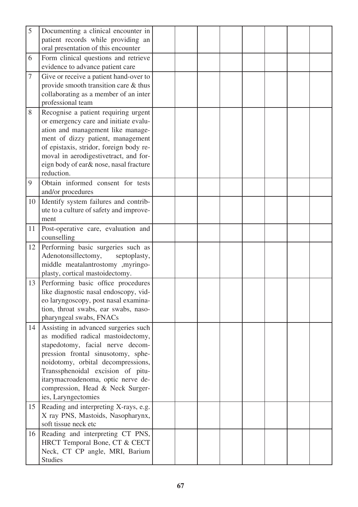| 5  | Documenting a clinical encounter in<br>patient records while providing an     |  |  |  |  |
|----|-------------------------------------------------------------------------------|--|--|--|--|
|    | oral presentation of this encounter                                           |  |  |  |  |
| 6  | Form clinical questions and retrieve<br>evidence to advance patient care      |  |  |  |  |
| 7  | Give or receive a patient hand-over to                                        |  |  |  |  |
|    | provide smooth transition care & thus                                         |  |  |  |  |
|    | collaborating as a member of an inter                                         |  |  |  |  |
|    | professional team                                                             |  |  |  |  |
| 8  | Recognise a patient requiring urgent<br>or emergency care and initiate evalu- |  |  |  |  |
|    | ation and management like manage-                                             |  |  |  |  |
|    | ment of dizzy patient, management                                             |  |  |  |  |
|    | of epistaxis, stridor, foreign body re-                                       |  |  |  |  |
|    | moval in aerodigestivetract, and for-                                         |  |  |  |  |
|    | eign body of ear& nose, nasal fracture<br>reduction.                          |  |  |  |  |
| 9  | Obtain informed consent for tests                                             |  |  |  |  |
|    | and/or procedures                                                             |  |  |  |  |
| 10 | Identify system failures and contrib-                                         |  |  |  |  |
|    | ute to a culture of safety and improve-                                       |  |  |  |  |
| 11 | ment<br>Post-operative care, evaluation and                                   |  |  |  |  |
|    | counselling                                                                   |  |  |  |  |
| 12 | Performing basic surgeries such as                                            |  |  |  |  |
|    | Adenotonsillectomy,<br>septoplasty,<br>middle meatalantrostomy ,myringo-      |  |  |  |  |
|    | plasty, cortical mastoidectomy.                                               |  |  |  |  |
| 13 | Performing basic office procedures                                            |  |  |  |  |
|    | like diagnostic nasal endoscopy, vid-                                         |  |  |  |  |
|    | eo laryngoscopy, post nasal examina-                                          |  |  |  |  |
|    | tion, throat swabs, ear swabs, naso-                                          |  |  |  |  |
| 14 | pharyngeal swabs, FNACs<br>Assisting in advanced surgeries such               |  |  |  |  |
|    | as modified radical mastoidectomy,                                            |  |  |  |  |
|    | stapedotomy, facial nerve decom-                                              |  |  |  |  |
|    | pression frontal sinusotomy, sphe-                                            |  |  |  |  |
|    | noidotomy, orbital decompressions,                                            |  |  |  |  |
|    | Transsphenoidal excision of pitu-                                             |  |  |  |  |
|    | itarymacroadenoma, optic nerve de-<br>compression, Head & Neck Surger-        |  |  |  |  |
|    | ies, Laryngectomies                                                           |  |  |  |  |
| 15 | Reading and interpreting X-rays, e.g.                                         |  |  |  |  |
|    | X ray PNS, Mastoids, Nasopharynx,                                             |  |  |  |  |
|    | soft tissue neck etc                                                          |  |  |  |  |
| 16 | Reading and interpreting CT PNS,                                              |  |  |  |  |
|    | HRCT Temporal Bone, CT & CECT                                                 |  |  |  |  |
|    | Neck, CT CP angle, MRI, Barium                                                |  |  |  |  |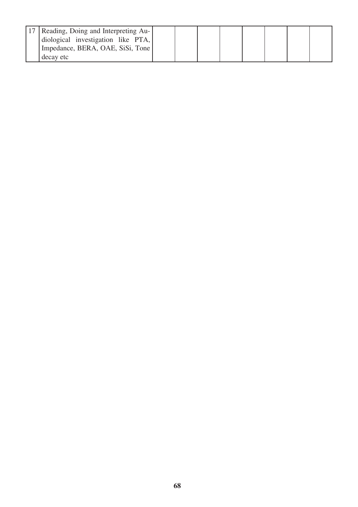| 17   Reading, Doing and Interpreting Au-<br>diological investigation like PTA,<br>Impedance, BERA, OAE, SiSi, Tone |  |  |  |  |
|--------------------------------------------------------------------------------------------------------------------|--|--|--|--|
| decay etc                                                                                                          |  |  |  |  |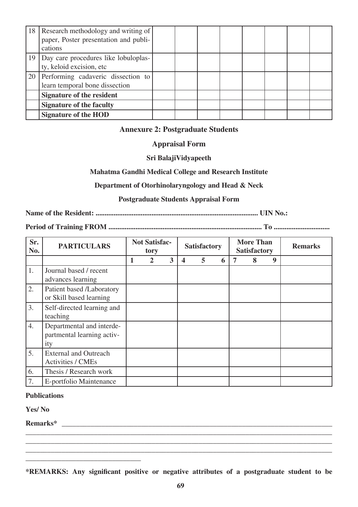|                 | 18 Research methodology and writing of<br>paper, Poster presentation and publi-<br>cations |  |  |  |  |
|-----------------|--------------------------------------------------------------------------------------------|--|--|--|--|
| 19 <sup>1</sup> | Day care procedures like lobuloplas-<br>ty, keloid excision, etc                           |  |  |  |  |
|                 | 20 Performing cadaveric dissection to<br>learn temporal bone dissection                    |  |  |  |  |
|                 | <b>Signature of the resident</b>                                                           |  |  |  |  |
|                 | <b>Signature of the faculty</b>                                                            |  |  |  |  |
|                 | <b>Signature of the HOD</b>                                                                |  |  |  |  |

#### **Annexure 2: Postgraduate Students**

#### **Appraisal Form**

#### **Sri BalajiVidyapeeth**

#### **Mahatma Gandhi Medical College and Research Institute**

#### **Department of Otorhinolaryngology and Head & Neck**

#### **Postgraduate Students Appraisal Form**

**Name of the Resident: .......................................................................................... UIN No.:**

#### **Period of Training FROM ..................................................................................... To ...............................**

| Sr.<br>No. | <b>PARTICULARS</b>                                             |   | <b>Not Satisfac-</b><br>tory |                         |   | <b>Satisfactory</b> |   | <b>More Than</b><br><b>Satisfactory</b> |   | <b>Remarks</b> |
|------------|----------------------------------------------------------------|---|------------------------------|-------------------------|---|---------------------|---|-----------------------------------------|---|----------------|
|            |                                                                | 1 | 2                            | $\overline{\mathbf{3}}$ | 4 | 5                   | 6 | 8                                       | 9 |                |
| 1.         | Journal based / recent<br>advances learning                    |   |                              |                         |   |                     |   |                                         |   |                |
| 2.         | Patient based /Laboratory<br>or Skill based learning           |   |                              |                         |   |                     |   |                                         |   |                |
| 3.         | Self-directed learning and<br>teaching                         |   |                              |                         |   |                     |   |                                         |   |                |
| 4.         | Departmental and interde-<br>partmental learning activ-<br>ity |   |                              |                         |   |                     |   |                                         |   |                |
| 5.         | <b>External and Outreach</b><br><b>Activities / CMEs</b>       |   |                              |                         |   |                     |   |                                         |   |                |
| 6.         | Thesis / Research work                                         |   |                              |                         |   |                     |   |                                         |   |                |
| 7.         | E-portfolio Maintenance                                        |   |                              |                         |   |                     |   |                                         |   |                |

#### **Publications**

**Yes/ No**

**Remarks\* \_\_\_\_\_\_\_\_\_\_\_\_\_\_\_\_\_\_\_\_\_\_\_\_\_\_\_\_\_\_\_\_\_\_\_\_\_\_\_\_\_\_\_\_\_\_\_\_\_\_\_\_\_\_\_\_\_\_\_\_\_\_\_\_\_\_\_\_\_\_\_\_\_\_\_**

**\_\_\_\_\_\_\_\_\_\_\_\_\_\_\_\_\_\_\_\_\_\_\_\_\_\_\_\_\_\_\_\_**

**\*REMARKS: Any significant positive or negative attributes of a postgraduate student to be** 

**\_\_\_\_\_\_\_\_\_\_\_\_\_\_\_\_\_\_\_\_\_\_\_\_\_\_\_\_\_\_\_\_\_\_\_\_\_\_\_\_\_\_\_\_\_\_\_\_\_\_\_\_\_\_\_\_\_\_\_\_\_\_\_\_\_\_\_\_\_\_\_\_\_\_\_\_\_\_\_\_\_\_\_\_\_ \_\_\_\_\_\_\_\_\_\_\_\_\_\_\_\_\_\_\_\_\_\_\_\_\_\_\_\_\_\_\_\_\_\_\_\_\_\_\_\_\_\_\_\_\_\_\_\_\_\_\_\_\_\_\_\_\_\_\_\_\_\_\_\_\_\_\_\_\_\_\_\_\_\_\_\_\_\_\_\_\_\_\_\_\_ \_\_\_\_\_\_\_\_\_\_\_\_\_\_\_\_\_\_\_\_\_\_\_\_\_\_\_\_\_\_\_\_\_\_\_\_\_\_\_\_\_\_\_\_\_\_\_\_\_\_\_\_\_\_\_\_\_\_\_\_\_\_\_\_\_\_\_\_\_\_\_\_\_\_\_\_\_\_\_\_\_\_\_\_\_**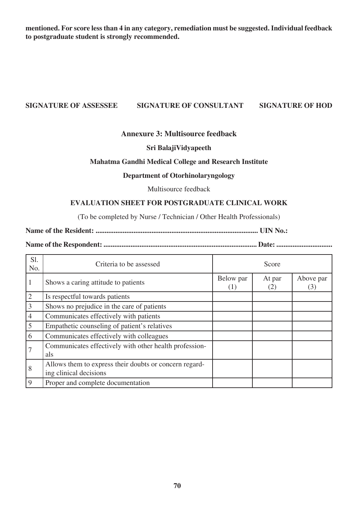**mentioned. For score less than 4 in any category, remediation must be suggested. Individual feedback to postgraduate student is strongly recommended.**

#### **SIGNATURE OF ASSESSEE SIGNATURE OF CONSULTANT SIGNATURE OF HOD**

#### **Annexure 3: Multisource feedback**

#### **Sri BalajiVidyapeeth**

#### **Mahatma Gandhi Medical College and Research Institute**

#### **Department of Otorhinolaryngology**

Multisource feedback

#### **EVALUATION SHEET FOR POSTGRADUATE CLINICAL WORK**

(To be completed by Nurse / Technician / Other Health Professionals)

**Name of the Resident: .......................................................................................... UIN No.:**

**Name of the Respondent: ..................................................................................... Date: ...............................**

| S1.<br>No.     | Criteria to be assessed                                                          |                  | Score         |                  |
|----------------|----------------------------------------------------------------------------------|------------------|---------------|------------------|
|                | Shows a caring attitude to patients                                              | Below par<br>(1) | At par<br>(2) | Above par<br>(3) |
| $\overline{2}$ | Is respectful towards patients                                                   |                  |               |                  |
| 3              | Shows no prejudice in the care of patients                                       |                  |               |                  |
| $\overline{4}$ | Communicates effectively with patients                                           |                  |               |                  |
| 5              | Empathetic counseling of patient's relatives                                     |                  |               |                  |
| 6              | Communicates effectively with colleagues                                         |                  |               |                  |
|                | Communicates effectively with other health profession-<br>als                    |                  |               |                  |
| 8              | Allows them to express their doubts or concern regard-<br>ing clinical decisions |                  |               |                  |
| 9              | Proper and complete documentation                                                |                  |               |                  |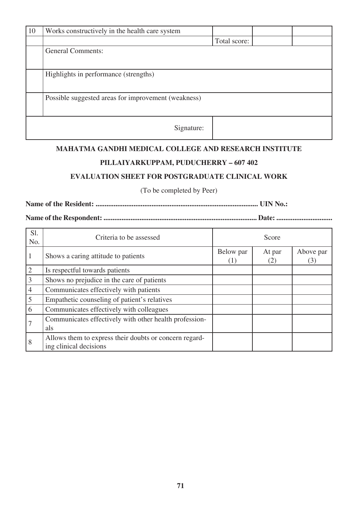| 10 | Works constructively in the health care system      |              |  |
|----|-----------------------------------------------------|--------------|--|
|    |                                                     | Total score: |  |
|    | <b>General Comments:</b>                            |              |  |
|    | Highlights in performance (strengths)               |              |  |
|    | Possible suggested areas for improvement (weakness) |              |  |
|    | Signature:                                          |              |  |

#### **MAHATMA GANDHI MEDICAL COLLEGE AND RESEARCH INSTITUTE**

## **PILLAIYARKUPPAM, PUDUCHERRY – 607 402**

### **EVALUATION SHEET FOR POSTGRADUATE CLINICAL WORK**

(To be completed by Peer)

**Name of the Resident: .......................................................................................... UIN No.:**

**Name of the Respondent: ..................................................................................... Date: ...............................**

| S1.<br>No.     | Criteria to be assessed                                                          |                  | Score         |                  |
|----------------|----------------------------------------------------------------------------------|------------------|---------------|------------------|
|                | Shows a caring attitude to patients                                              | Below par<br>(1) | At par<br>(2) | Above par<br>(3) |
| $\overline{2}$ | Is respectful towards patients                                                   |                  |               |                  |
| $\overline{3}$ | Shows no prejudice in the care of patients                                       |                  |               |                  |
| $\overline{4}$ | Communicates effectively with patients                                           |                  |               |                  |
| 5              | Empathetic counseling of patient's relatives                                     |                  |               |                  |
| 6              | Communicates effectively with colleagues                                         |                  |               |                  |
|                | Communicates effectively with other health profession-<br>als                    |                  |               |                  |
| 8              | Allows them to express their doubts or concern regard-<br>ing clinical decisions |                  |               |                  |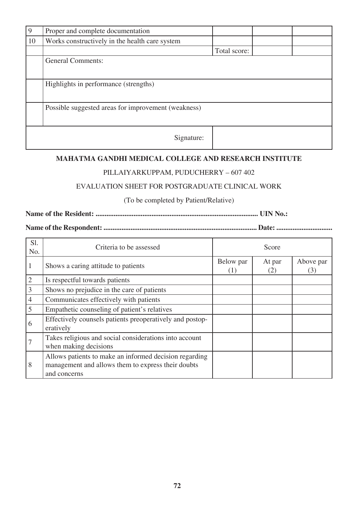| 9  | Proper and complete documentation                   |              |  |
|----|-----------------------------------------------------|--------------|--|
| 10 | Works constructively in the health care system      |              |  |
|    |                                                     | Total score: |  |
|    | <b>General Comments:</b>                            |              |  |
|    |                                                     |              |  |
|    | Highlights in performance (strengths)               |              |  |
|    |                                                     |              |  |
|    | Possible suggested areas for improvement (weakness) |              |  |
|    |                                                     |              |  |
|    | Signature:                                          |              |  |

## **MAHATMA GANDHI MEDICAL COLLEGE AND RESEARCH INSTITUTE**

### PILLAIYARKUPPAM, PUDUCHERRY – 607 402

## EVALUATION SHEET FOR POSTGRADUATE CLINICAL WORK

(To be completed by Patient/Relative)

**Name of the Resident: .......................................................................................... UIN No.:**

**Name of the Respondent: ..................................................................................... Date: ...............................**

| S1.<br>No.     | Criteria to be assessed                                                                                                      |                  | Score         |                  |
|----------------|------------------------------------------------------------------------------------------------------------------------------|------------------|---------------|------------------|
|                | Shows a caring attitude to patients                                                                                          | Below par<br>(1) | At par<br>(2) | Above par<br>(3) |
| $\overline{2}$ | Is respectful towards patients                                                                                               |                  |               |                  |
| $\mathfrak{Z}$ | Shows no prejudice in the care of patients                                                                                   |                  |               |                  |
| $\overline{4}$ | Communicates effectively with patients                                                                                       |                  |               |                  |
| 5              | Empathetic counseling of patient's relatives                                                                                 |                  |               |                  |
| 6              | Effectively counsels patients preoperatively and postop-<br>eratively                                                        |                  |               |                  |
|                | Takes religious and social considerations into account<br>when making decisions                                              |                  |               |                  |
| 8              | Allows patients to make an informed decision regarding<br>management and allows them to express their doubts<br>and concerns |                  |               |                  |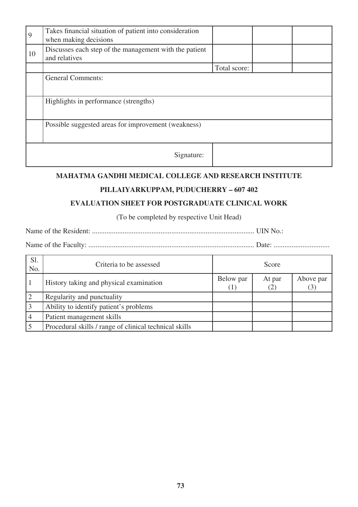| 9  | Takes financial situation of patient into consideration<br>when making decisions |              |  |
|----|----------------------------------------------------------------------------------|--------------|--|
| 10 | Discusses each step of the management with the patient<br>and relatives          |              |  |
|    |                                                                                  | Total score: |  |
|    | <b>General Comments:</b>                                                         |              |  |
|    | Highlights in performance (strengths)                                            |              |  |
|    | Possible suggested areas for improvement (weakness)                              |              |  |
|    | Signature:                                                                       |              |  |

## **MAHATMA GANDHI MEDICAL COLLEGE AND RESEARCH INSTITUTE**

## **PILLAIYARKUPPAM, PUDUCHERRY – 607 402**

## **EVALUATION SHEET FOR POSTGRADUATE CLINICAL WORK**

(To be completed by respective Unit Head)

Name of the Resident: .......................................................................................... UIN No.:

| S1.<br>No. | Criteria to be assessed                                |                | Score         |                  |
|------------|--------------------------------------------------------|----------------|---------------|------------------|
|            | History taking and physical examination                | Below par<br>T | At par<br>(2) | Above par<br>(3) |
|            | Regularity and punctuality                             |                |               |                  |
|            | Ability to identify patient's problems                 |                |               |                  |
|            | Patient management skills                              |                |               |                  |
|            | Procedural skills / range of clinical technical skills |                |               |                  |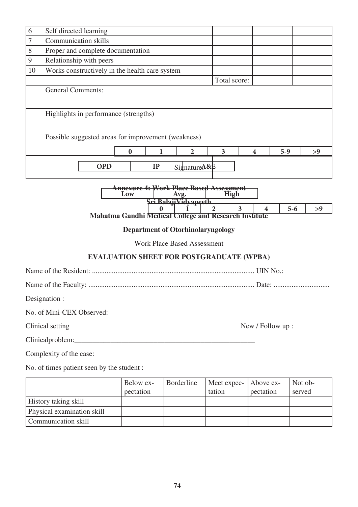| 6                                                                                                 | Self directed learning                                       |                |                         |         |    |  |
|---------------------------------------------------------------------------------------------------|--------------------------------------------------------------|----------------|-------------------------|---------|----|--|
| 7                                                                                                 | <b>Communication skills</b>                                  |                |                         |         |    |  |
| 8                                                                                                 | Proper and complete documentation                            |                |                         |         |    |  |
| 9                                                                                                 | Relationship with peers                                      |                |                         |         |    |  |
| 10                                                                                                | Works constructively in the health care system               |                |                         |         |    |  |
|                                                                                                   |                                                              | Total score:   |                         |         |    |  |
|                                                                                                   | <b>General Comments:</b>                                     |                |                         |         |    |  |
|                                                                                                   |                                                              |                |                         |         |    |  |
|                                                                                                   | Highlights in performance (strengths)                        |                |                         |         |    |  |
|                                                                                                   |                                                              |                |                         |         |    |  |
|                                                                                                   | Possible suggested areas for improvement (weakness)          |                |                         |         |    |  |
|                                                                                                   | $\mathbf{2}$<br>0                                            | 3              | $\overline{\mathbf{4}}$ | $5-9$   | >9 |  |
|                                                                                                   | <b>OPD</b><br>IP<br>SignatureA&E                             |                |                         |         |    |  |
| <del>Annexure 4: Work Place Based Assessment</del><br>Low<br>High<br>Avg.<br>Sri BalajiVidvapeeth |                                                              |                |                         |         |    |  |
|                                                                                                   | 0                                                            | $\overline{2}$ | 3<br>4                  | $5 - 6$ | >9 |  |
|                                                                                                   | <b>Mahatma Gandhi Medical College and Research Institute</b> |                |                         |         |    |  |
|                                                                                                   | <b>Department of Otorhinolaryngology</b>                     |                |                         |         |    |  |

Work Place Based Assessment

# **EVALUATION SHEET FOR POSTGRADUATE (WPBA)**

Name of the Resident: .......................................................................................... UIN No.:

Name of the Faculty: ............................................................................................ Date: ...............................

Designation :

No. of Mini-CEX Observed:

Clinical setting New / Follow up :

Clinicalproblem:\_\_\_\_\_\_\_\_\_\_\_\_\_\_\_\_\_\_\_\_\_\_\_\_\_\_\_\_\_\_\_\_\_\_\_\_\_\_\_\_\_\_\_\_\_\_\_\_\_\_

Complexity of the case:

No. of times patient seen by the student :

|                             | Below ex- | Borderline | Meet expec- Above ex- |           | Not ob- |
|-----------------------------|-----------|------------|-----------------------|-----------|---------|
|                             | pectation |            | tation                | pectation | served  |
| <b>History taking skill</b> |           |            |                       |           |         |
| Physical examination skill  |           |            |                       |           |         |
| Communication skill         |           |            |                       |           |         |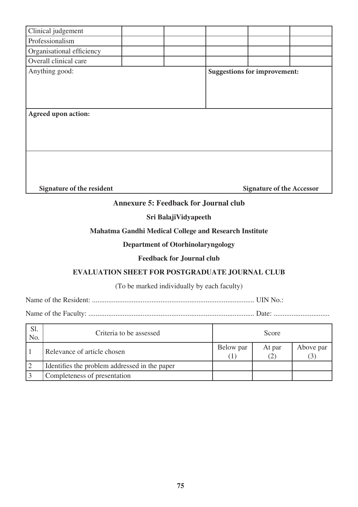| Clinical judgement                           |  |  |  |                                     |  |  |
|----------------------------------------------|--|--|--|-------------------------------------|--|--|
| Professionalism                              |  |  |  |                                     |  |  |
| Organisational efficiency                    |  |  |  |                                     |  |  |
| Overall clinical care                        |  |  |  |                                     |  |  |
| Anything good:                               |  |  |  | <b>Suggestions for improvement:</b> |  |  |
| Agreed upon action:                          |  |  |  |                                     |  |  |
| Signature of the resident                    |  |  |  | <b>Signature of the Accessor</b>    |  |  |
| <b>Annexure 5: Feedback for Journal club</b> |  |  |  |                                     |  |  |

#### **Sri BalajiVidyapeeth**

## **Mahatma Gandhi Medical College and Research Institute**

## **Department of Otorhinolaryngology**

#### **Feedback for Journal club**

#### **EVALUATION SHEET FOR POSTGRADUATE JOURNAL CLUB**

#### (To be marked individually by each faculty)

Name of the Resident: .......................................................................................... UIN No.:

| S1.<br>No. | Criteria to be assessed                       |           | Score         |                            |
|------------|-----------------------------------------------|-----------|---------------|----------------------------|
|            | Relevance of article chosen                   | Below par | At par<br>(2) | Above par<br>$\mathcal{L}$ |
|            | Identifies the problem addressed in the paper |           |               |                            |
|            | Completeness of presentation                  |           |               |                            |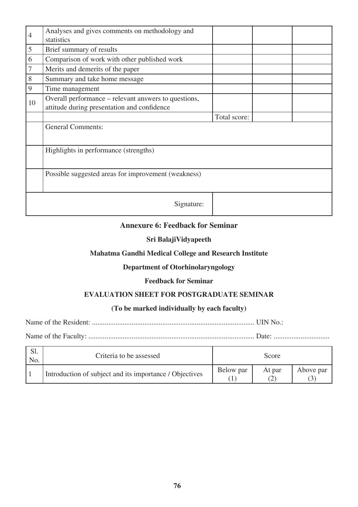| $\overline{4}$ | Analyses and gives comments on methodology and<br>statistics                                        |              |  |
|----------------|-----------------------------------------------------------------------------------------------------|--------------|--|
| 5              | Brief summary of results                                                                            |              |  |
| 6              | Comparison of work with other published work                                                        |              |  |
| 7              | Merits and demerits of the paper                                                                    |              |  |
| 8              | Summary and take home message                                                                       |              |  |
| 9              | Time management                                                                                     |              |  |
| 10             | Overall performance – relevant answers to questions,<br>attitude during presentation and confidence |              |  |
|                |                                                                                                     | Total score: |  |
|                | <b>General Comments:</b>                                                                            |              |  |
|                | Highlights in performance (strengths)                                                               |              |  |
|                | Possible suggested areas for improvement (weakness)                                                 |              |  |
|                | Signature:                                                                                          |              |  |

### **Annexure 6: Feedback for Seminar**

#### **Sri BalajiVidyapeeth**

#### **Mahatma Gandhi Medical College and Research Institute**

#### **Department of Otorhinolaryngology**

#### **Feedback for Seminar**

## **EVALUATION SHEET FOR POSTGRADUATE SEMINAR**

### **(To be marked individually by each faculty)**

Name of the Resident: .......................................................................................... UIN No.:

| S1.<br>No. | Criteria to be assessed                                 |           | Score                       |           |
|------------|---------------------------------------------------------|-----------|-----------------------------|-----------|
|            | Introduction of subject and its importance / Objectives | Below par | At par<br>$\left( 2\right)$ | Above par |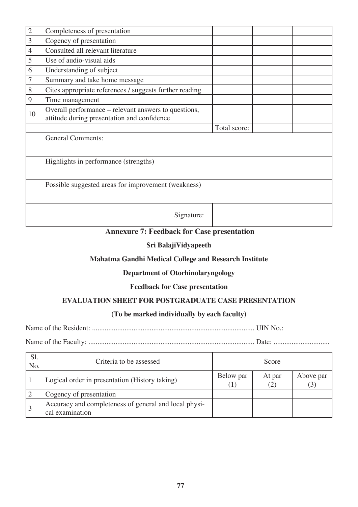| $\sqrt{2}$     | Completeness of presentation                                                                        |              |  |
|----------------|-----------------------------------------------------------------------------------------------------|--------------|--|
| $\overline{3}$ | Cogency of presentation                                                                             |              |  |
| $\overline{4}$ | Consulted all relevant literature                                                                   |              |  |
| 5              | Use of audio-visual aids                                                                            |              |  |
| 6              | Understanding of subject                                                                            |              |  |
| $\overline{7}$ | Summary and take home message                                                                       |              |  |
| $8\,$          | Cites appropriate references / suggests further reading                                             |              |  |
| 9              | Time management                                                                                     |              |  |
| 10             | Overall performance – relevant answers to questions,<br>attitude during presentation and confidence |              |  |
|                |                                                                                                     | Total score: |  |
|                | <b>General Comments:</b>                                                                            |              |  |
|                | Highlights in performance (strengths)                                                               |              |  |
|                | Possible suggested areas for improvement (weakness)                                                 |              |  |
|                | Signature:                                                                                          |              |  |

# **Annexure 7: Feedback for Case presentation**

### **Sri BalajiVidyapeeth**

#### **Mahatma Gandhi Medical College and Research Institute**

#### **Department of Otorhinolaryngology**

#### **Feedback for Case presentation**

## **EVALUATION SHEET FOR POSTGRADUATE CASE PRESENTATION**

## **(To be marked individually by each faculty)**

Name of the Resident: .......................................................................................... UIN No.:

| Sl.<br>No. | Criteria to be assessed                                                  |                      | Score         |                             |
|------------|--------------------------------------------------------------------------|----------------------|---------------|-----------------------------|
|            | Logical order in presentation (History taking)                           | Below par<br>$\perp$ | At par<br>(2) | Above par<br>$\mathfrak{I}$ |
|            | Cogency of presentation                                                  |                      |               |                             |
|            | Accuracy and completeness of general and local physi-<br>cal examination |                      |               |                             |